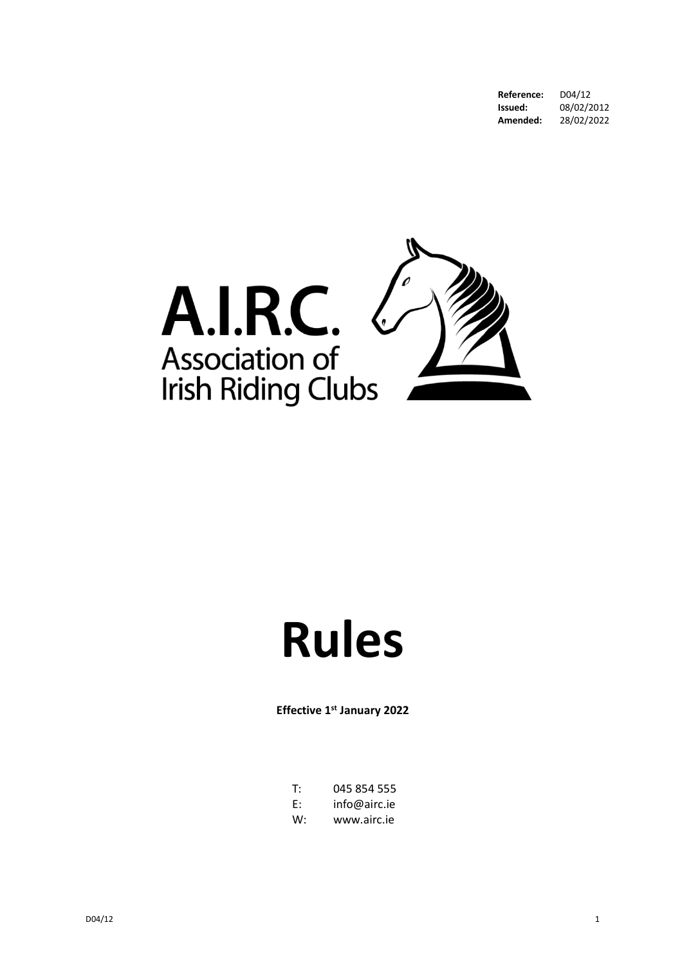**Reference:** D04/12<br>**Issued:** 08/02/2 08/02/2012<br>28/02/2022 Amended:



# **Rules**

**Effective 1st January 2022**

| T. | 045 854 555  |
|----|--------------|
| E: | info@airc.ie |
| w: | www.airc.ie  |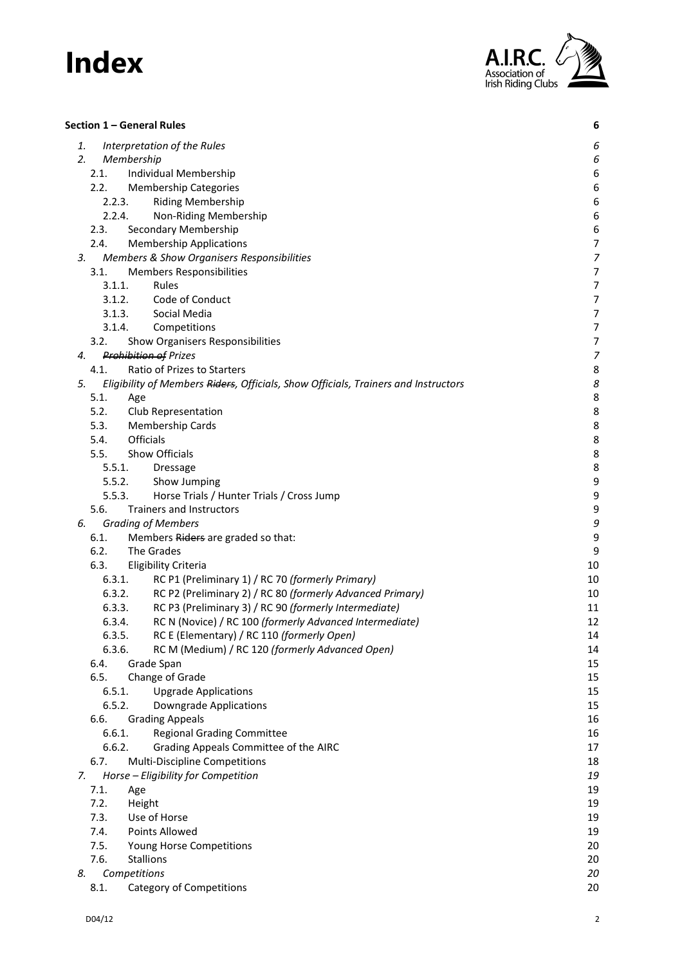

| Section 1 – General Rules                                                                | 6                |
|------------------------------------------------------------------------------------------|------------------|
| 1.<br>Interpretation of the Rules                                                        | 6                |
| 2.<br>Membership                                                                         | 6                |
| 2.1.<br>Individual Membership                                                            | 6                |
| 2.2.<br><b>Membership Categories</b>                                                     | 6                |
| 2.2.3.<br><b>Riding Membership</b>                                                       | $\boldsymbol{6}$ |
| 2.2.4.<br>Non-Riding Membership                                                          | 6                |
| 2.3.<br>Secondary Membership                                                             | 6                |
| 2.4.<br><b>Membership Applications</b>                                                   | $\boldsymbol{7}$ |
| Members & Show Organisers Responsibilities<br>3.                                         | $\overline{z}$   |
| <b>Members Responsibilities</b><br>3.1.                                                  | $\overline{7}$   |
| 3.1.1.<br>Rules                                                                          | $\overline{7}$   |
| Code of Conduct<br>3.1.2.                                                                | $\overline{7}$   |
| 3.1.3.<br>Social Media                                                                   | $\overline{7}$   |
| 3.1.4.<br>Competitions                                                                   | $\overline{7}$   |
| Show Organisers Responsibilities<br>3.2.                                                 | 7                |
| <b>Prohibition of Prizes</b><br>4.                                                       | $\overline{z}$   |
| Ratio of Prizes to Starters<br>4.1.                                                      | 8                |
| Eligibility of Members Riders, Officials, Show Officials, Trainers and Instructors<br>5. | 8                |
| 5.1.<br>Age                                                                              | 8                |
| 5.2.<br>Club Representation                                                              | 8                |
| <b>Membership Cards</b><br>5.3.                                                          | 8                |
| Officials<br>5.4.                                                                        | 8                |
| 5.5.<br>Show Officials                                                                   | 8                |
| 5.5.1.<br>Dressage                                                                       | 8                |
| 5.5.2.<br>Show Jumping                                                                   | 9                |
| 5.5.3.<br>Horse Trials / Hunter Trials / Cross Jump                                      | 9                |
| 5.6.<br><b>Trainers and Instructors</b>                                                  | 9                |
| <b>Grading of Members</b><br>6.                                                          | 9                |
| 6.1.<br>Members Riders are graded so that:                                               | 9                |
| 6.2.<br>The Grades                                                                       | 9                |
| 6.3.<br><b>Eligibility Criteria</b>                                                      | 10               |
| 6.3.1.<br>RC P1 (Preliminary 1) / RC 70 (formerly Primary)                               | 10               |
| 6.3.2.<br>RC P2 (Preliminary 2) / RC 80 (formerly Advanced Primary)                      | 10               |
| RC P3 (Preliminary 3) / RC 90 (formerly Intermediate)<br>6.3.3.                          | 11               |
| 6.3.4.<br>RC N (Novice) / RC 100 (formerly Advanced Intermediate)                        | 12               |
| 6.3.5.<br>RC E (Elementary) / RC 110 (formerly Open)<br>6.3.6.                           | 14               |
| RC M (Medium) / RC 120 (formerly Advanced Open)                                          | 14               |
| 6.4.<br>Grade Span<br>Change of Grade<br>6.5.                                            | 15<br>15         |
| 6.5.1.                                                                                   | 15               |
| <b>Upgrade Applications</b><br>6.5.2.<br><b>Downgrade Applications</b>                   | 15               |
| <b>Grading Appeals</b><br>6.6.                                                           | 16               |
| 6.6.1.<br><b>Regional Grading Committee</b>                                              | 16               |
| 6.6.2.<br>Grading Appeals Committee of the AIRC                                          | 17               |
| Multi-Discipline Competitions<br>6.7.                                                    | 18               |
| Horse - Eligibility for Competition<br>7.                                                | 19               |
| 7.1.<br>Age                                                                              | 19               |
| 7.2.<br>Height                                                                           | 19               |
| 7.3.<br>Use of Horse                                                                     | 19               |
| Points Allowed<br>7.4.                                                                   | 19               |
| 7.5.<br>Young Horse Competitions                                                         | 20               |
| 7.6.<br><b>Stallions</b>                                                                 | 20               |
| Competitions<br>8.                                                                       | 20               |
| 8.1.<br><b>Category of Competitions</b>                                                  | 20               |
|                                                                                          |                  |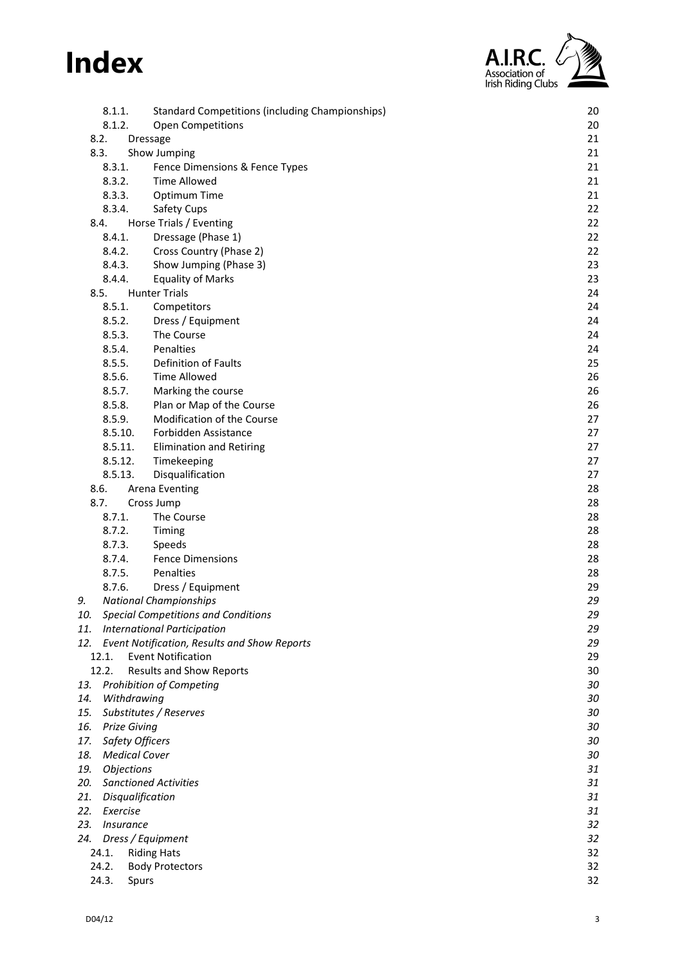

| 8.1.1.           |                      | <b>Standard Competitions (including Championships)</b> | 20       |
|------------------|----------------------|--------------------------------------------------------|----------|
| 8.1.2.           |                      | Open Competitions                                      | 20       |
| 8.2.             | <b>Dressage</b>      |                                                        | 21       |
| 8.3.             |                      | Show Jumping                                           | 21       |
| 8.3.1.           |                      | Fence Dimensions & Fence Types                         | 21       |
| 8.3.2.           |                      | <b>Time Allowed</b>                                    | 21       |
| 8.3.3.           |                      | Optimum Time                                           | 21       |
| 8.3.4.           |                      | Safety Cups                                            | 22       |
| 8.4.<br>8.4.1.   |                      | Horse Trials / Eventing                                | 22       |
|                  |                      | Dressage (Phase 1)                                     | 22       |
| 8.4.2.<br>8.4.3. |                      | Cross Country (Phase 2)<br>Show Jumping (Phase 3)      | 22<br>23 |
| 8.4.4.           |                      | <b>Equality of Marks</b>                               | 23       |
| 8.5.             |                      | <b>Hunter Trials</b>                                   | 24       |
| 8.5.1.           |                      | Competitors                                            | 24       |
| 8.5.2.           |                      | Dress / Equipment                                      | 24       |
| 8.5.3.           |                      | The Course                                             | 24       |
| 8.5.4.           |                      | Penalties                                              | 24       |
| 8.5.5.           |                      | Definition of Faults                                   | 25       |
| 8.5.6.           |                      | <b>Time Allowed</b>                                    | 26       |
| 8.5.7.           |                      | Marking the course                                     | 26       |
| 8.5.8.           |                      | Plan or Map of the Course                              | 26       |
| 8.5.9.           |                      | Modification of the Course                             | 27       |
|                  | 8.5.10.              | Forbidden Assistance                                   | 27       |
|                  | 8.5.11.              | <b>Elimination and Retiring</b>                        | 27       |
|                  | 8.5.12.              | Timekeeping                                            | 27       |
|                  | 8.5.13.              | Disqualification                                       | 27       |
| 8.6.             |                      | <b>Arena Eventing</b>                                  | 28       |
| 8.7.             |                      | Cross Jump                                             | 28       |
| 8.7.1.           |                      | The Course                                             | 28<br>28 |
| 8.7.2.<br>8.7.3. |                      | Timing<br>Speeds                                       | 28       |
| 8.7.4.           |                      | <b>Fence Dimensions</b>                                | 28       |
| 8.7.5.           |                      | Penalties                                              | 28       |
| 8.7.6.           |                      | Dress / Equipment                                      | 29       |
| 9.               |                      | <b>National Championships</b>                          | 29       |
| 10.              |                      | <b>Special Competitions and Conditions</b>             | 29       |
| 11.              |                      | <b>International Participation</b>                     | 29       |
|                  |                      | 12. Event Notification, Results and Show Reports       | 29       |
| 12.1.            |                      | <b>Event Notification</b>                              | 29       |
| 12.2.            |                      | <b>Results and Show Reports</b>                        | 30       |
| 13.              |                      | <b>Prohibition of Competing</b>                        | 30       |
| 14.              | Withdrawing          |                                                        | 30       |
| 15.              |                      | Substitutes / Reserves                                 | 30       |
| 16.              | <b>Prize Giving</b>  |                                                        | 30       |
| 17.              | Safety Officers      |                                                        | 30       |
| 18.              | <b>Medical Cover</b> |                                                        | 30       |
| 19.              | Objections           |                                                        | 31       |
| 20.<br>21.       | Disqualification     | <b>Sanctioned Activities</b>                           | 31<br>31 |
| 22.              | Exercise             |                                                        | 31       |
| 23.              | Insurance            |                                                        | 32       |
| 24.              |                      | Dress / Equipment                                      | 32       |
| 24.1.            |                      | <b>Riding Hats</b>                                     | 32       |
| 24.2.            |                      | <b>Body Protectors</b>                                 | 32       |
| 24.3.            | Spurs                |                                                        | 32       |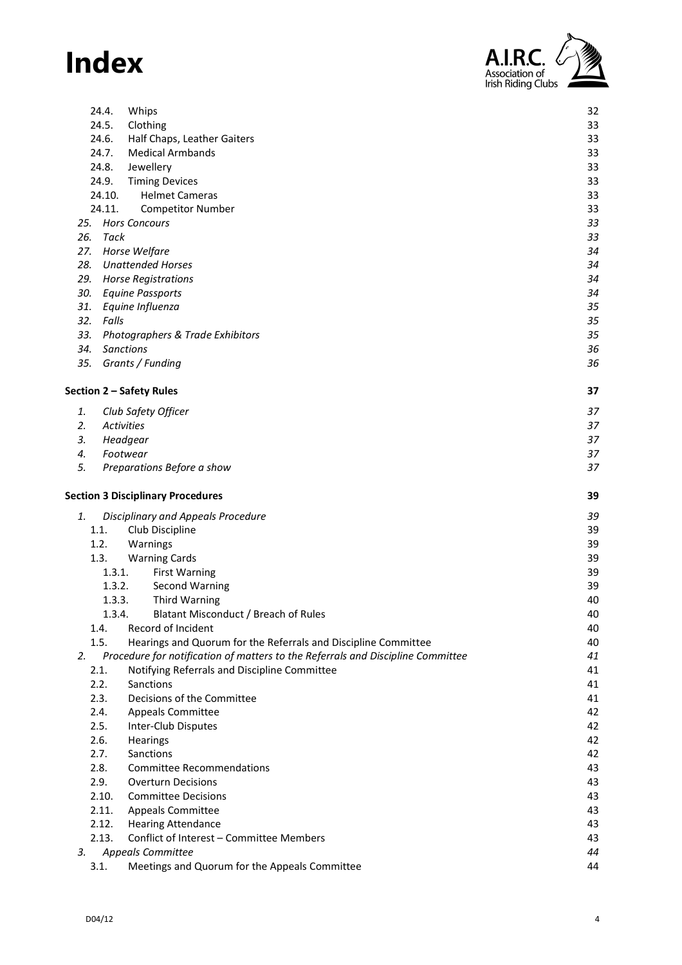

| 24.4.<br>Whips                                                                        | 32 |
|---------------------------------------------------------------------------------------|----|
| 24.5.<br>Clothing                                                                     | 33 |
| 24.6.<br>Half Chaps, Leather Gaiters                                                  | 33 |
| 24.7.<br><b>Medical Armbands</b>                                                      | 33 |
| 24.8.<br>Jewellery                                                                    | 33 |
| 24.9.<br><b>Timing Devices</b>                                                        | 33 |
| 24.10.<br><b>Helmet Cameras</b>                                                       | 33 |
| 24.11.<br><b>Competitor Number</b>                                                    | 33 |
| <b>Hors Concours</b><br>25.                                                           | 33 |
| 26.<br>Tack                                                                           | 33 |
| 27. Horse Welfare                                                                     | 34 |
| 28. Unattended Horses                                                                 | 34 |
| 29. Horse Registrations                                                               | 34 |
| 30. Equine Passports                                                                  | 34 |
| 31. Equine Influenza                                                                  | 35 |
| 32. Falls                                                                             | 35 |
| 33. Photographers & Trade Exhibitors                                                  | 35 |
| 34.<br><b>Sanctions</b>                                                               | 36 |
| 35. Grants / Funding                                                                  | 36 |
|                                                                                       |    |
| Section 2 - Safety Rules                                                              | 37 |
| 1.<br>Club Safety Officer                                                             | 37 |
| 2.<br><b>Activities</b>                                                               | 37 |
| 3.<br>Headgear                                                                        | 37 |
| 4.<br>Footwear                                                                        | 37 |
| 5.<br>Preparations Before a show                                                      | 37 |
| <b>Section 3 Disciplinary Procedures</b>                                              | 39 |
| <b>Disciplinary and Appeals Procedure</b><br>1.                                       | 39 |
| 1.1.<br>Club Discipline                                                               | 39 |
| 1.2.<br>Warnings                                                                      | 39 |
| 1.3.<br><b>Warning Cards</b>                                                          | 39 |
| 1.3.1.<br><b>First Warning</b>                                                        | 39 |
| <b>Second Warning</b><br>1.3.2.                                                       | 39 |
| <b>Third Warning</b><br>1.3.3.                                                        | 40 |
| Blatant Misconduct / Breach of Rules<br>1.3.4.                                        | 40 |
| 1.4.<br>Record of Incident                                                            | 40 |
| 1.5.<br>Hearings and Quorum for the Referrals and Discipline Committee                | 40 |
| 2.<br>Procedure for notification of matters to the Referrals and Discipline Committee | 41 |
| 2.1.<br>Notifying Referrals and Discipline Committee                                  | 41 |
| 2.2.<br>Sanctions                                                                     | 41 |
| 2.3.<br>Decisions of the Committee                                                    | 41 |
| 2.4.<br><b>Appeals Committee</b>                                                      | 42 |
| 2.5.<br>Inter-Club Disputes                                                           | 42 |
| 2.6.<br>Hearings                                                                      | 42 |
| 2.7.<br>Sanctions                                                                     | 42 |
|                                                                                       |    |
| 2.8.<br><b>Committee Recommendations</b><br><b>Overturn Decisions</b>                 | 43 |
| 2.9.                                                                                  | 43 |
| 2.10.<br><b>Committee Decisions</b>                                                   | 43 |
| 2.11.<br><b>Appeals Committee</b>                                                     | 43 |
| 2.12.<br><b>Hearing Attendance</b>                                                    | 43 |
| Conflict of Interest - Committee Members<br>2.13.                                     | 43 |
| Appeals Committee<br>3.                                                               | 44 |
| Meetings and Quorum for the Appeals Committee<br>3.1.                                 | 44 |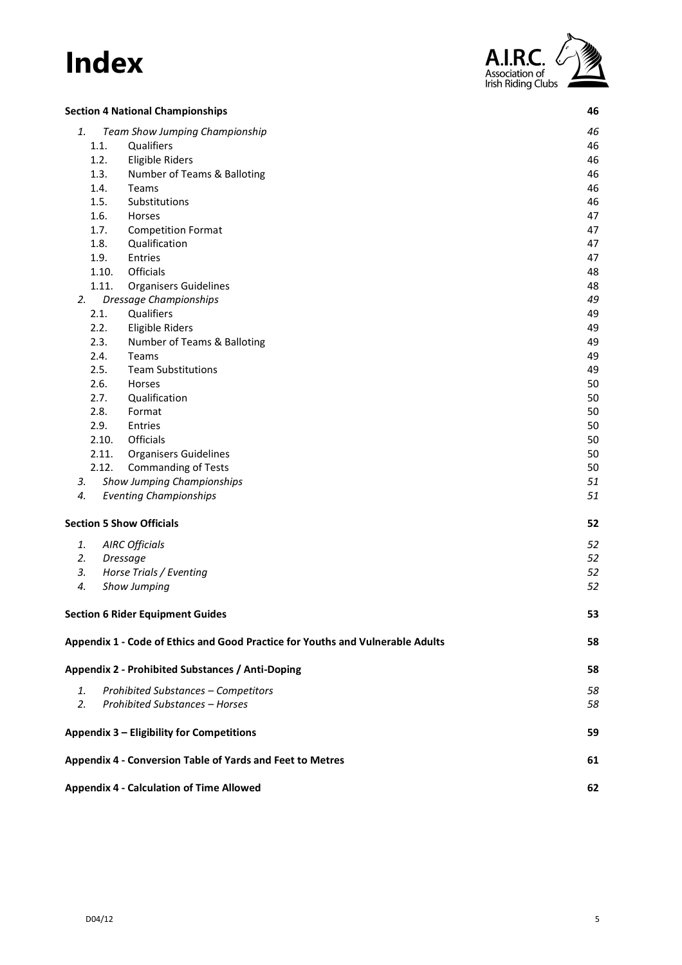

|    |       | <b>Section 4 National Championships</b>                                        | 46 |
|----|-------|--------------------------------------------------------------------------------|----|
| 1. |       | Team Show Jumping Championship                                                 | 46 |
|    | 1.1.  | Qualifiers                                                                     | 46 |
|    | 1.2.  | <b>Eligible Riders</b>                                                         | 46 |
|    | 1.3.  | Number of Teams & Balloting                                                    | 46 |
|    | 1.4.  | Teams                                                                          | 46 |
|    | 1.5.  | Substitutions                                                                  | 46 |
|    | 1.6.  | Horses                                                                         | 47 |
|    | 1.7.  | <b>Competition Format</b>                                                      | 47 |
|    | 1.8.  | Qualification                                                                  | 47 |
|    | 1.9.  | Entries                                                                        | 47 |
|    | 1.10. | Officials                                                                      | 48 |
|    | 1.11. | <b>Organisers Guidelines</b>                                                   | 48 |
| 2. |       | Dressage Championships                                                         | 49 |
|    | 2.1.  | Qualifiers                                                                     | 49 |
|    | 2.2.  | <b>Eligible Riders</b>                                                         | 49 |
|    | 2.3.  | Number of Teams & Balloting                                                    | 49 |
|    | 2.4.  | Teams                                                                          | 49 |
|    | 2.5.  | <b>Team Substitutions</b>                                                      | 49 |
|    | 2.6.  | Horses                                                                         | 50 |
|    | 2.7.  | Qualification                                                                  | 50 |
|    | 2.8.  | Format                                                                         | 50 |
|    | 2.9.  | Entries                                                                        | 50 |
|    | 2.10. | Officials                                                                      | 50 |
|    | 2.11. | <b>Organisers Guidelines</b>                                                   | 50 |
|    | 2.12. | <b>Commanding of Tests</b>                                                     | 50 |
| 3. |       | Show Jumping Championships                                                     | 51 |
| 4. |       | <b>Eventing Championships</b>                                                  | 51 |
|    |       | <b>Section 5 Show Officials</b>                                                | 52 |
| 1. |       | <b>AIRC Officials</b>                                                          | 52 |
| 2. |       | <b>Dressage</b>                                                                | 52 |
| 3. |       | Horse Trials / Eventing                                                        | 52 |
| 4. |       | Show Jumping                                                                   | 52 |
|    |       | <b>Section 6 Rider Equipment Guides</b>                                        | 53 |
|    |       | Appendix 1 - Code of Ethics and Good Practice for Youths and Vulnerable Adults | 58 |
|    |       | Appendix 2 - Prohibited Substances / Anti-Doping                               | 58 |
| 1. |       | Prohibited Substances - Competitors                                            | 58 |
| 2. |       | <b>Prohibited Substances - Horses</b>                                          | 58 |
|    |       | Appendix 3 - Eligibility for Competitions                                      | 59 |
|    |       | Appendix 4 - Conversion Table of Yards and Feet to Metres                      | 61 |
|    |       | <b>Appendix 4 - Calculation of Time Allowed</b>                                | 62 |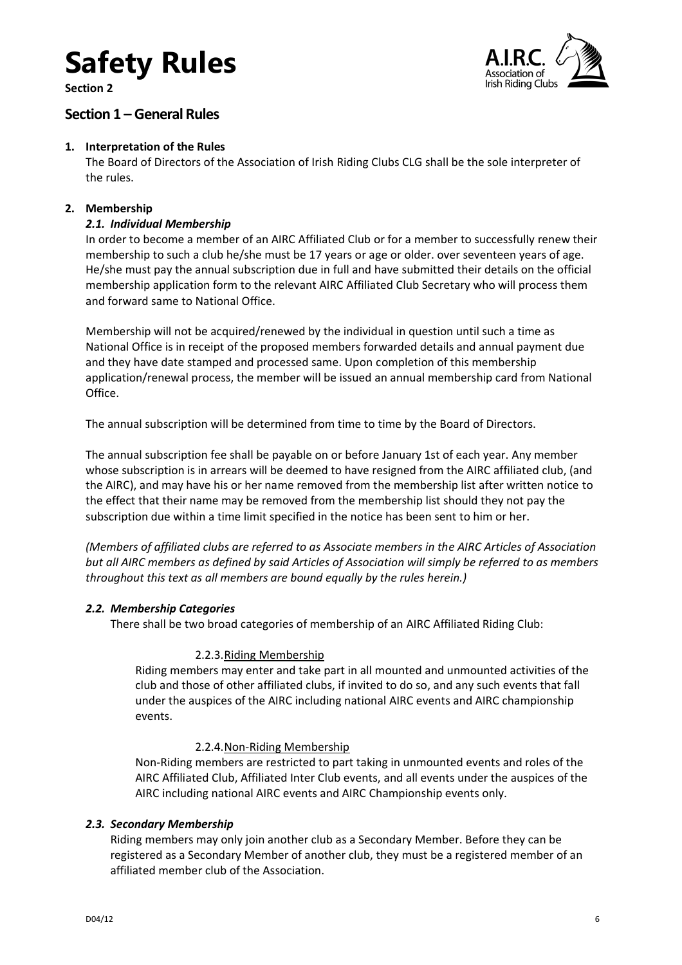**Section 2**



### <span id="page-5-0"></span>**Section 1 – General Rules**

### <span id="page-5-1"></span>**1. Interpretation of the Rules**

The Board of Directors of the Association of Irish Riding Clubs CLG shall be the sole interpreter of the rules.

### <span id="page-5-3"></span><span id="page-5-2"></span>**2. Membership**

### *2.1. Individual Membership*

In order to become a member of an AIRC Affiliated Club or for a member to successfully renew their membership to such a club he/she must be 17 years or age or older. over seventeen years of age. He/she must pay the annual subscription due in full and have submitted their details on the official membership application form to the relevant AIRC Affiliated Club Secretary who will process them and forward same to National Office.

Membership will not be acquired/renewed by the individual in question until such a time as National Office is in receipt of the proposed members forwarded details and annual payment due and they have date stamped and processed same. Upon completion of this membership application/renewal process, the member will be issued an annual membership card from National Office.

The annual subscription will be determined from time to time by the Board of Directors.

The annual subscription fee shall be payable on or before January 1st of each year. Any member whose subscription is in arrears will be deemed to have resigned from the AIRC affiliated club, (and the AIRC), and may have his or her name removed from the membership list after written notice to the effect that their name may be removed from the membership list should they not pay the subscription due within a time limit specified in the notice has been sent to him or her.

*(Members of affiliated clubs are referred to as Associate members in the AIRC Articles of Association but all AIRC members as defined by said Articles of Association will simply be referred to as members throughout this text as all members are bound equally by the rules herein.)*

### <span id="page-5-5"></span><span id="page-5-4"></span>*2.2. Membership Categories*

There shall be two broad categories of membership of an AIRC Affiliated Riding Club:

### 2.2.3.Riding Membership

Riding members may enter and take part in all mounted and unmounted activities of the club and those of other affiliated clubs, if invited to do so, and any such events that fall under the auspices of the AIRC including national AIRC events and AIRC championship events.

### 2.2.4.Non-Riding Membership

<span id="page-5-6"></span>Non-Riding members are restricted to part taking in unmounted events and roles of the AIRC Affiliated Club, Affiliated Inter Club events, and all events under the auspices of the AIRC including national AIRC events and AIRC Championship events only.

### <span id="page-5-7"></span>*2.3. Secondary Membership*

Riding members may only join another club as a Secondary Member. Before they can be registered as a Secondary Member of another club, they must be a registered member of an affiliated member club of the Association.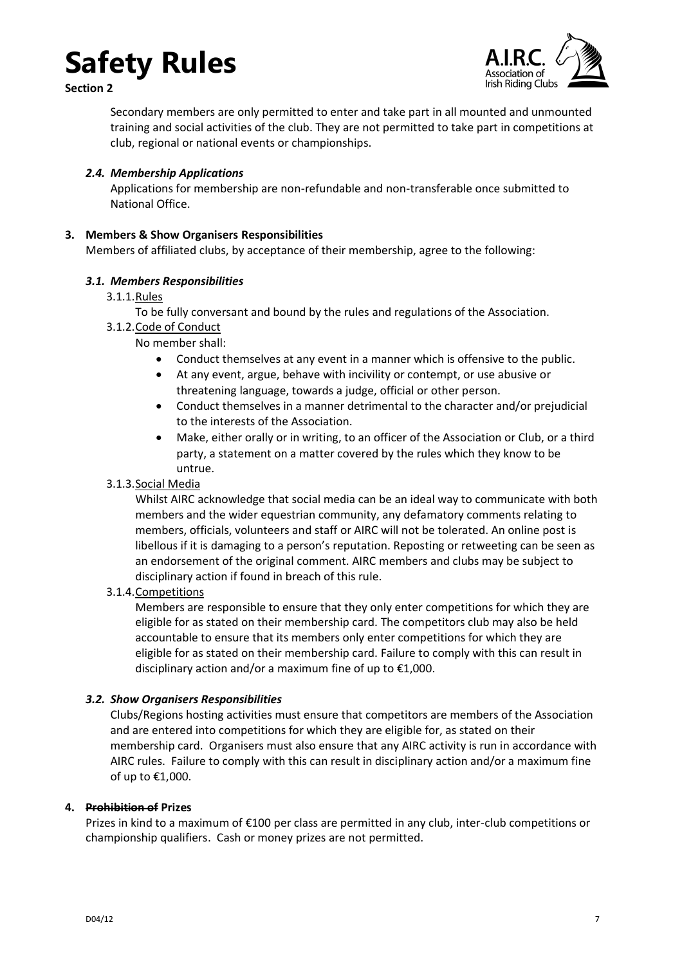



Secondary members are only permitted to enter and take part in all mounted and unmounted training and social activities of the club. They are not permitted to take part in competitions at club, regional or national events or championships.

### <span id="page-6-0"></span>*2.4. Membership Applications*

Applications for membership are non-refundable and non-transferable once submitted to National Office.

### <span id="page-6-1"></span>**3. Members & Show Organisers Responsibilities**

Members of affiliated clubs, by acceptance of their membership, agree to the following:

### <span id="page-6-3"></span><span id="page-6-2"></span>*3.1. Members Responsibilities*

### 3.1.1.Rules

To be fully conversant and bound by the rules and regulations of the Association.

<span id="page-6-4"></span>3.1.2.Code of Conduct

No member shall:

- Conduct themselves at any event in a manner which is offensive to the public.
- At any event, argue, behave with incivility or contempt, or use abusive or threatening language, towards a judge, official or other person.
- Conduct themselves in a manner detrimental to the character and/or prejudicial to the interests of the Association.
- Make, either orally or in writing, to an officer of the Association or Club, or a third party, a statement on a matter covered by the rules which they know to be untrue.
- <span id="page-6-5"></span>3.1.3.Social Media

Whilst AIRC acknowledge that social media can be an ideal way to communicate with both members and the wider equestrian community, any defamatory comments relating to members, officials, volunteers and staff or AIRC will not be tolerated. An online post is libellous if it is damaging to a person's reputation. Reposting or retweeting can be seen as an endorsement of the original comment. AIRC members and clubs may be subject to disciplinary action if found in breach of this rule.

### <span id="page-6-6"></span>3.1.4.Competitions

Members are responsible to ensure that they only enter competitions for which they are eligible for as stated on their membership card. The competitors club may also be held accountable to ensure that its members only enter competitions for which they are eligible for as stated on their membership card. Failure to comply with this can result in disciplinary action and/or a maximum fine of up to €1,000.

### <span id="page-6-7"></span>*3.2. Show Organisers Responsibilities*

Clubs/Regions hosting activities must ensure that competitors are members of the Association and are entered into competitions for which they are eligible for, as stated on their membership card. Organisers must also ensure that any AIRC activity is run in accordance with AIRC rules. Failure to comply with this can result in disciplinary action and/or a maximum fine of up to €1,000.

### <span id="page-6-8"></span>**4. Prohibition of Prizes**

Prizes in kind to a maximum of €100 per class are permitted in any club, inter-club competitions or championship qualifiers. Cash or money prizes are not permitted.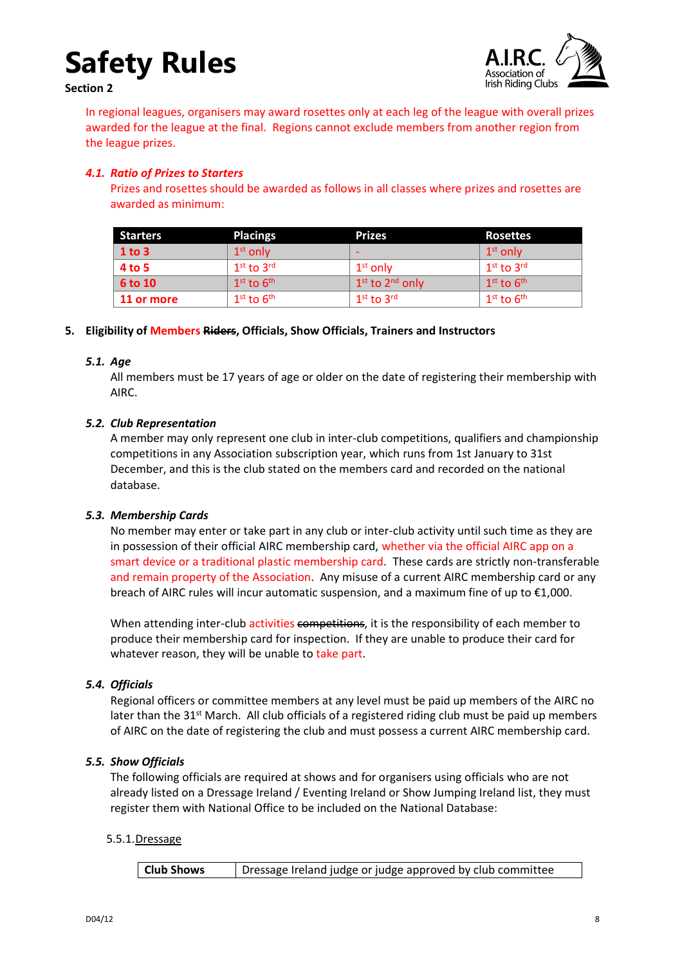**Section 2**



In regional leagues, organisers may award rosettes only at each leg of the league with overall prizes awarded for the league at the final. Regions cannot exclude members from another region from the league prizes.

### <span id="page-7-0"></span>*4.1. Ratio of Prizes to Starters*

Prizes and rosettes should be awarded as follows in all classes where prizes and rosettes are awarded as minimum:

| <b>Starters</b> | <b>Placings</b> | <b>Prizes</b>                           | <b>Rosettes</b>                    |
|-----------------|-----------------|-----------------------------------------|------------------------------------|
| $1$ to $3$      | $1st$ only      | $\overline{\phantom{0}}$                | 1 <sup>st</sup> only               |
| 4 to 5          | $1st$ to $3rd$  | $1st$ only                              | $1st$ to $3rd$                     |
| <b>6 to 10</b>  | $1st$ to $6th$  | 1 <sup>st</sup> to 2 <sup>nd</sup> only | $1^{\text{st}}$ to $6^{\text{th}}$ |
| 11 or more      | $1st$ to $6th$  | $1st$ to $3rd$                          | $1st$ to $6th$                     |

### <span id="page-7-1"></span>**5. Eligibility of Members Riders, Officials, Show Officials, Trainers and Instructors**

### <span id="page-7-2"></span>*5.1. Age*

All members must be 17 years of age or older on the date of registering their membership with AIRC.

### <span id="page-7-3"></span>*5.2. Club Representation*

A member may only represent one club in inter-club competitions, qualifiers and championship competitions in any Association subscription year, which runs from 1st January to 31st December, and this is the club stated on the members card and recorded on the national database.

### <span id="page-7-4"></span>*5.3. Membership Cards*

No member may enter or take part in any club or inter-club activity until such time as they are in possession of their official AIRC membership card, whether via the official AIRC app on a smart device or a traditional plastic membership card. These cards are strictly non-transferable and remain property of the Association. Any misuse of a current AIRC membership card or any breach of AIRC rules will incur automatic suspension, and a maximum fine of up to €1,000.

When attending inter-club activities competitions, it is the responsibility of each member to produce their membership card for inspection. If they are unable to produce their card for whatever reason, they will be unable to take part.

### <span id="page-7-5"></span>*5.4. Officials*

Regional officers or committee members at any level must be paid up members of the AIRC no later than the 31<sup>st</sup> March. All club officials of a registered riding club must be paid up members of AIRC on the date of registering the club and must possess a current AIRC membership card.

### <span id="page-7-6"></span>*5.5. Show Officials*

The following officials are required at shows and for organisers using officials who are not already listed on a Dressage Ireland / Eventing Ireland or Show Jumping Ireland list, they must register them with National Office to be included on the National Database:

### <span id="page-7-7"></span>5.5.1.Dressage

**Club Shows** | Dressage Ireland judge or judge approved by club committee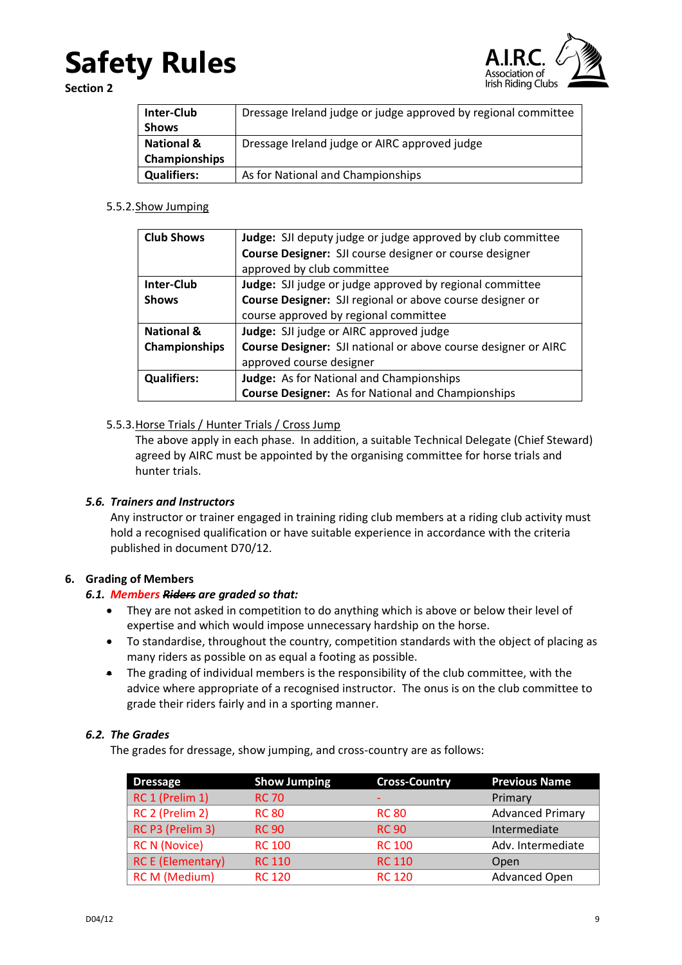

**Section 2**

| <b>Inter-Club</b>     | Dressage Ireland judge or judge approved by regional committee |  |
|-----------------------|----------------------------------------------------------------|--|
| <b>Shows</b>          |                                                                |  |
| <b>National &amp;</b> | Dressage Ireland judge or AIRC approved judge                  |  |
| <b>Championships</b>  |                                                                |  |
| <b>Qualifiers:</b>    | As for National and Championships                              |  |

### <span id="page-8-0"></span>5.5.2.Show Jumping

| <b>Club Shows</b>     | Judge: SJI deputy judge or judge approved by club committee    |  |  |  |
|-----------------------|----------------------------------------------------------------|--|--|--|
|                       | Course Designer: SJI course designer or course designer        |  |  |  |
|                       | approved by club committee                                     |  |  |  |
| <b>Inter-Club</b>     | Judge: SJI judge or judge approved by regional committee       |  |  |  |
| <b>Shows</b>          | Course Designer: SJI regional or above course designer or      |  |  |  |
|                       | course approved by regional committee                          |  |  |  |
| <b>National &amp;</b> | Judge: SJI judge or AIRC approved judge                        |  |  |  |
| Championships         | Course Designer: SJI national or above course designer or AIRC |  |  |  |
|                       | approved course designer                                       |  |  |  |
| <b>Qualifiers:</b>    | Judge: As for National and Championships                       |  |  |  |
|                       | <b>Course Designer:</b> As for National and Championships      |  |  |  |

### <span id="page-8-1"></span>5.5.3.Horse Trials / Hunter Trials / Cross Jump

The above apply in each phase. In addition, a suitable Technical Delegate (Chief Steward) agreed by AIRC must be appointed by the organising committee for horse trials and hunter trials.

### <span id="page-8-2"></span>*5.6. Trainers and Instructors*

Any instructor or trainer engaged in training riding club members at a riding club activity must hold a recognised qualification or have suitable experience in accordance with the criteria published in document D70/12.

### <span id="page-8-4"></span><span id="page-8-3"></span>**6. Grading of Members**

### *6.1. Members Riders are graded so that:*

- They are not asked in competition to do anything which is above or below their level of expertise and which would impose unnecessary hardship on the horse.
- To standardise, throughout the country, competition standards with the object of placing as many riders as possible on as equal a footing as possible.
- The grading of individual members is the responsibility of the club committee, with the advice where appropriate of a recognised instructor. The onus is on the club committee to grade their riders fairly and in a sporting manner.

### <span id="page-8-5"></span>*6.2. The Grades*

The grades for dressage, show jumping, and cross-country are as follows:

| <b>Dressage</b>          | <b>Show Jumping</b> | <b>Cross-Country</b> | <b>Previous Name</b>    |
|--------------------------|---------------------|----------------------|-------------------------|
| RC 1 (Prelim 1)          | <b>RC 70</b>        |                      | Primary                 |
| RC 2 (Prelim 2)          | <b>RC 80</b>        | <b>RC 80</b>         | <b>Advanced Primary</b> |
| RC P3 (Prelim 3)         | <b>RC 90</b>        | <b>RC 90</b>         | Intermediate            |
| <b>RC N (Novice)</b>     | <b>RC 100</b>       | <b>RC 100</b>        | Adv. Intermediate       |
| <b>RC E (Elementary)</b> | <b>RC 110</b>       | <b>RC 110</b>        | Open                    |
| <b>RC M (Medium)</b>     | <b>RC 120</b>       | <b>RC 120</b>        | <b>Advanced Open</b>    |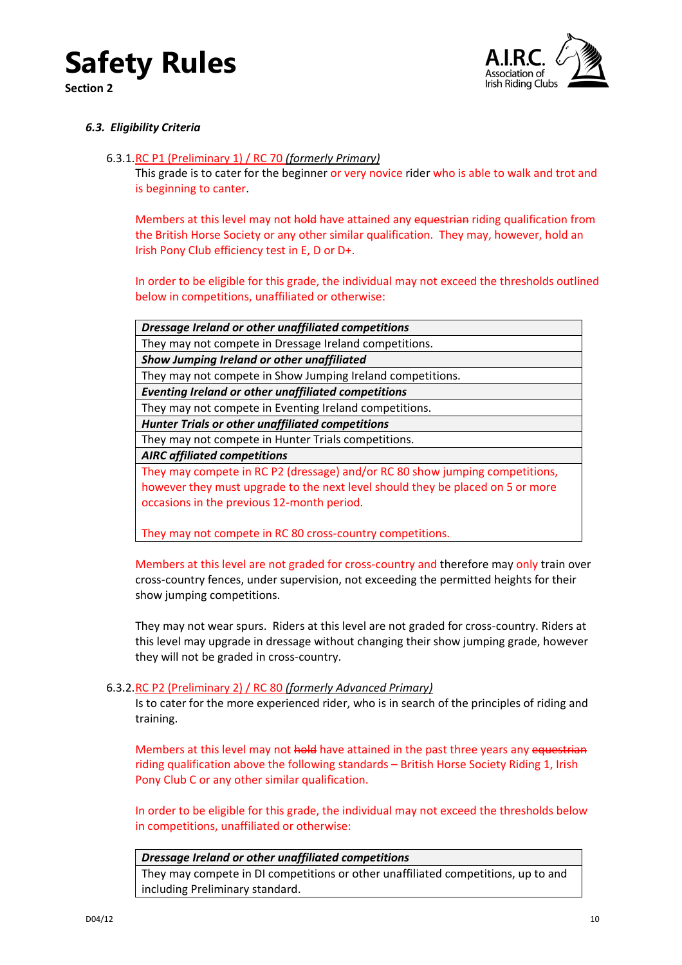

**Section 2**



### <span id="page-9-1"></span><span id="page-9-0"></span>*6.3. Eligibility Criteria*

### 6.3.1.RC P1 (Preliminary 1) / RC 70 *(formerly Primary)*

This grade is to cater for the beginner or very novice rider who is able to walk and trot and is beginning to canter.

Members at this level may not hold have attained any equestrian riding qualification from the British Horse Society or any other similar qualification. They may, however, hold an Irish Pony Club efficiency test in E, D or D+.

In order to be eligible for this grade, the individual may not exceed the thresholds outlined below in competitions, unaffiliated or otherwise:

| Dressage Ireland or other unaffiliated competitions                            |
|--------------------------------------------------------------------------------|
| They may not compete in Dressage Ireland competitions.                         |
| Show Jumping Ireland or other unaffiliated                                     |
| They may not compete in Show Jumping Ireland competitions.                     |
| <b>Eventing Ireland or other unaffiliated competitions</b>                     |
| They may not compete in Eventing Ireland competitions.                         |
| <b>Hunter Trials or other unaffiliated competitions</b>                        |
| They may not compete in Hunter Trials competitions.                            |
| <b>AIRC</b> affiliated competitions                                            |
| They may compete in RC P2 (dressage) and/or RC 80 show jumping competitions,   |
| however they must upgrade to the next level should they be placed on 5 or more |
| occasions in the previous 12-month period.                                     |
|                                                                                |

They may not compete in RC 80 cross-country competitions.

Members at this level are not graded for cross-country and therefore may only train over cross-country fences, under supervision, not exceeding the permitted heights for their show jumping competitions.

They may not wear spurs. Riders at this level are not graded for cross-country. Riders at this level may upgrade in dressage without changing their show jumping grade, however they will not be graded in cross-country.

### <span id="page-9-2"></span>6.3.2.RC P2 (Preliminary 2) / RC 80 *(formerly Advanced Primary)*

Is to cater for the more experienced rider, who is in search of the principles of riding and training.

Members at this level may not hold have attained in the past three years any equestrian riding qualification above the following standards – British Horse Society Riding 1, Irish Pony Club C or any other similar qualification.

In order to be eligible for this grade, the individual may not exceed the thresholds below in competitions, unaffiliated or otherwise:

#### *Dressage Ireland or other unaffiliated competitions*

They may compete in DI competitions or other unaffiliated competitions, up to and including Preliminary standard.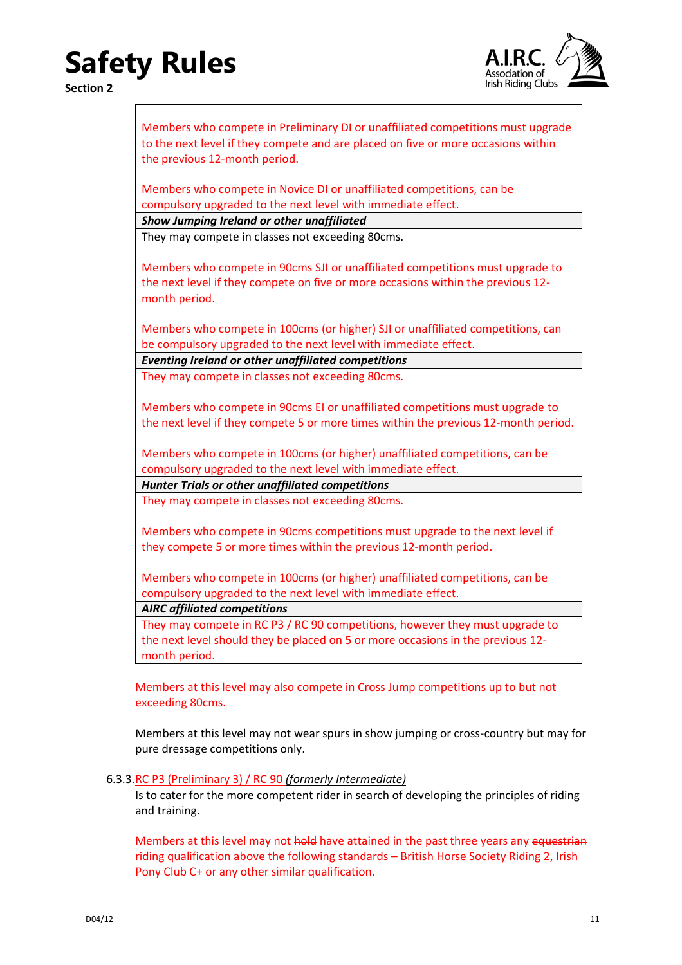

| Members who compete in Preliminary DI or unaffiliated competitions must upgrade<br>to the next level if they compete and are placed on five or more occasions within<br>the previous 12-month period. |
|-------------------------------------------------------------------------------------------------------------------------------------------------------------------------------------------------------|
| Members who compete in Novice DI or unaffiliated competitions, can be                                                                                                                                 |
| compulsory upgraded to the next level with immediate effect.                                                                                                                                          |
| Show Jumping Ireland or other unaffiliated                                                                                                                                                            |
| They may compete in classes not exceeding 80cms.                                                                                                                                                      |
| Members who compete in 90cms SJI or unaffiliated competitions must upgrade to<br>the next level if they compete on five or more occasions within the previous 12-<br>month period.                    |
| Members who compete in 100cms (or higher) SJI or unaffiliated competitions, can                                                                                                                       |
| be compulsory upgraded to the next level with immediate effect.                                                                                                                                       |
| <b>Eventing Ireland or other unaffiliated competitions</b>                                                                                                                                            |
| They may compete in classes not exceeding 80cms.                                                                                                                                                      |
|                                                                                                                                                                                                       |
| Members who compete in 90cms EI or unaffiliated competitions must upgrade to                                                                                                                          |
| the next level if they compete 5 or more times within the previous 12-month period.                                                                                                                   |
|                                                                                                                                                                                                       |
| Members who compete in 100cms (or higher) unaffiliated competitions, can be                                                                                                                           |
| compulsory upgraded to the next level with immediate effect.                                                                                                                                          |
| <b>Hunter Trials or other unaffiliated competitions</b>                                                                                                                                               |
| They may compete in classes not exceeding 80cms.                                                                                                                                                      |
|                                                                                                                                                                                                       |
| Members who compete in 90cms competitions must upgrade to the next level if                                                                                                                           |
| they compete 5 or more times within the previous 12-month period.                                                                                                                                     |
|                                                                                                                                                                                                       |
| Members who compete in 100cms (or higher) unaffiliated competitions, can be                                                                                                                           |
| compulsory upgraded to the next level with immediate effect.                                                                                                                                          |
| <b>AIRC</b> affiliated competitions                                                                                                                                                                   |
| They may compete in RC P3 / RC 90 competitions, however they must upgrade to                                                                                                                          |
| the next level should they be placed on 5 or more occasions in the previous 12-                                                                                                                       |
| month period.                                                                                                                                                                                         |
|                                                                                                                                                                                                       |

Members at this level may also compete in Cross Jump competitions up to but not exceeding 80cms.

Members at this level may not wear spurs in show jumping or cross-country but may for pure dressage competitions only.

### <span id="page-10-0"></span>6.3.3.RC P3 (Preliminary 3) / RC 90 *(formerly Intermediate)*

Is to cater for the more competent rider in search of developing the principles of riding and training.

Members at this level may not hold have attained in the past three years any equestrian riding qualification above the following standards – British Horse Society Riding 2, Irish Pony Club C+ or any other similar qualification.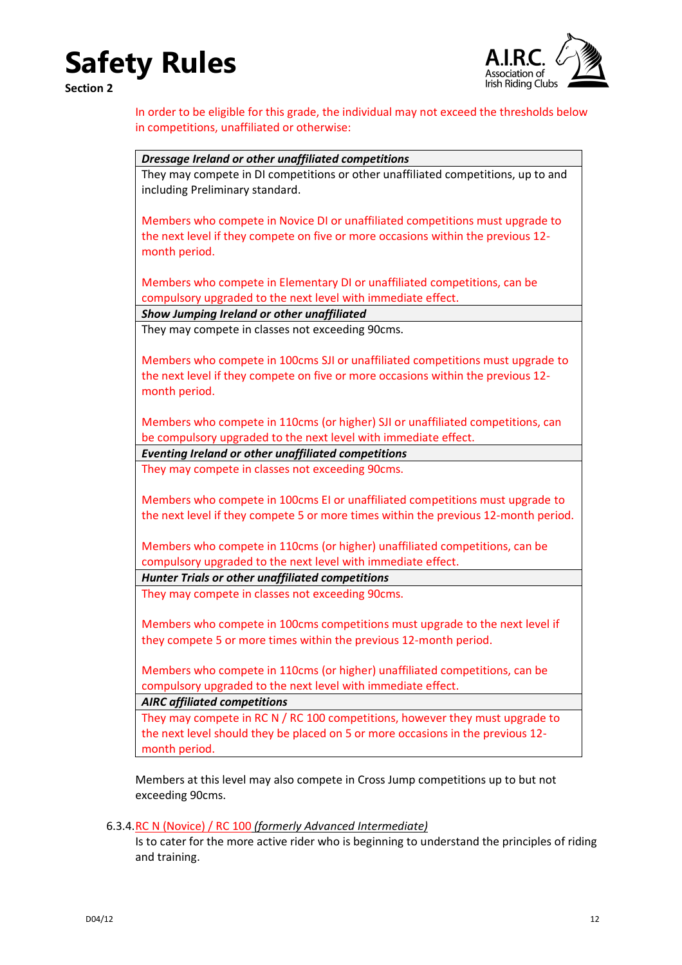**Section 2**



In order to be eligible for this grade, the individual may not exceed the thresholds below in competitions, unaffiliated or otherwise:

| Dressage Ireland or other unaffiliated competitions                                 |  |
|-------------------------------------------------------------------------------------|--|
| They may compete in DI competitions or other unaffiliated competitions, up to and   |  |
| including Preliminary standard.                                                     |  |
| Members who compete in Novice DI or unaffiliated competitions must upgrade to       |  |
| the next level if they compete on five or more occasions within the previous 12-    |  |
| month period.                                                                       |  |
|                                                                                     |  |
| Members who compete in Elementary DI or unaffiliated competitions, can be           |  |
| compulsory upgraded to the next level with immediate effect.                        |  |
| Show Jumping Ireland or other unaffiliated                                          |  |
| They may compete in classes not exceeding 90cms.                                    |  |
|                                                                                     |  |
| Members who compete in 100cms SJI or unaffiliated competitions must upgrade to      |  |
| the next level if they compete on five or more occasions within the previous 12-    |  |
| month period.                                                                       |  |
| Members who compete in 110cms (or higher) SJI or unaffiliated competitions, can     |  |
| be compulsory upgraded to the next level with immediate effect.                     |  |
| <b>Eventing Ireland or other unaffiliated competitions</b>                          |  |
| They may compete in classes not exceeding 90cms.                                    |  |
|                                                                                     |  |
| Members who compete in 100cms EI or unaffiliated competitions must upgrade to       |  |
| the next level if they compete 5 or more times within the previous 12-month period. |  |
|                                                                                     |  |
| Members who compete in 110cms (or higher) unaffiliated competitions, can be         |  |
| compulsory upgraded to the next level with immediate effect.                        |  |
| <b>Hunter Trials or other unaffiliated competitions</b>                             |  |
| They may compete in classes not exceeding 90cms.                                    |  |
| Members who compete in 100cms competitions must upgrade to the next level if        |  |
| they compete 5 or more times within the previous 12-month period.                   |  |
|                                                                                     |  |
| Members who compete in 110cms (or higher) unaffiliated competitions, can be         |  |
| compulsory upgraded to the next level with immediate effect.                        |  |
| <b>AIRC</b> affiliated competitions                                                 |  |
| They may compete in RC N / RC 100 competitions, however they must upgrade to        |  |
| the next level should they be placed on 5 or more occasions in the previous 12-     |  |
| month period.                                                                       |  |

exceeding 90cms.

<span id="page-11-0"></span>6.3.4.RC N (Novice) / RC 100 *(formerly Advanced Intermediate)*

Is to cater for the more active rider who is beginning to understand the principles of riding and training.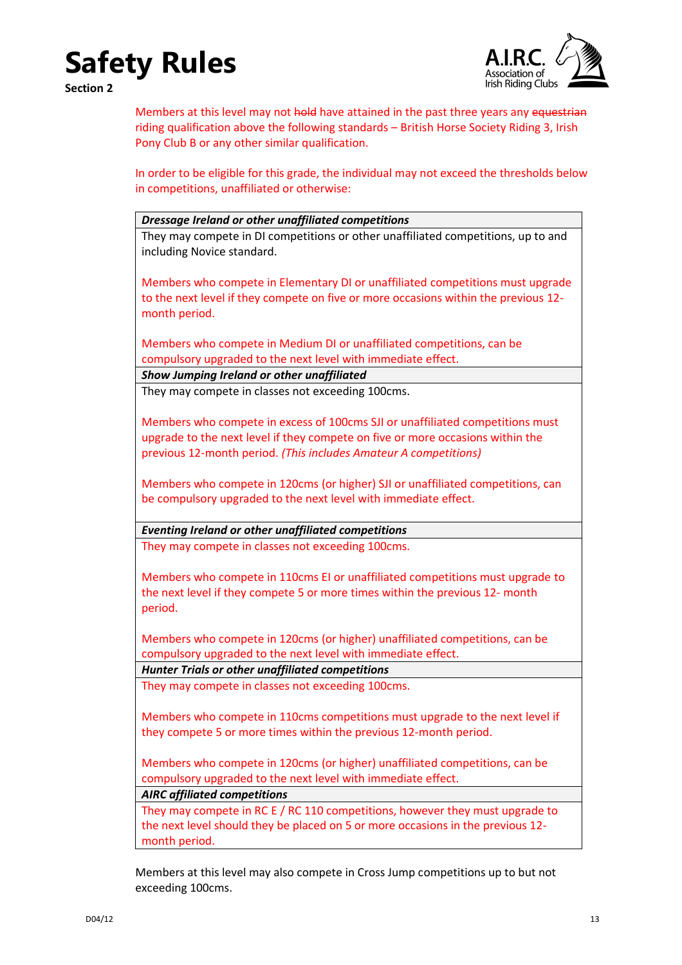

 $\overline{\phantom{a}}$ 

**Section 2**

Members at this level may not hold have attained in the past three years any equestrian riding qualification above the following standards – British Horse Society Riding 3, Irish Pony Club B or any other similar qualification.

In order to be eligible for this grade, the individual may not exceed the thresholds below in competitions, unaffiliated or otherwise:

| Dressage Ireland or other unaffiliated competitions                                 |
|-------------------------------------------------------------------------------------|
| They may compete in DI competitions or other unaffiliated competitions, up to and   |
| including Novice standard.                                                          |
|                                                                                     |
| Members who compete in Elementary DI or unaffiliated competitions must upgrade      |
|                                                                                     |
| to the next level if they compete on five or more occasions within the previous 12- |
| month period.                                                                       |
|                                                                                     |
| Members who compete in Medium DI or unaffiliated competitions, can be               |
| compulsory upgraded to the next level with immediate effect.                        |
| Show Jumping Ireland or other unaffiliated                                          |
| They may compete in classes not exceeding 100cms.                                   |
|                                                                                     |
| Members who compete in excess of 100cms SJI or unaffiliated competitions must       |
|                                                                                     |
| upgrade to the next level if they compete on five or more occasions within the      |
| previous 12-month period. (This includes Amateur A competitions)                    |
|                                                                                     |
| Members who compete in 120cms (or higher) SJI or unaffiliated competitions, can     |
| be compulsory upgraded to the next level with immediate effect.                     |
|                                                                                     |
| <b>Eventing Ireland or other unaffiliated competitions</b>                          |
| They may compete in classes not exceeding 100cms.                                   |
|                                                                                     |
| Members who compete in 110cms EI or unaffiliated competitions must upgrade to       |
| the next level if they compete 5 or more times within the previous 12- month        |
|                                                                                     |
| period.                                                                             |
|                                                                                     |
| Members who compete in 120cms (or higher) unaffiliated competitions, can be         |
| compulsory upgraded to the next level with immediate effect.                        |
| <b>Hunter Trials or other unaffiliated competitions</b>                             |
| They may compete in classes not exceeding 100cms.                                   |
|                                                                                     |
| Members who compete in 110cms competitions must upgrade to the next level if        |
| they compete 5 or more times within the previous 12-month period.                   |
|                                                                                     |
| Members who compete in 120cms (or higher) unaffiliated competitions, can be         |
| compulsory upgraded to the next level with immediate effect.                        |
| <b>AIRC affiliated competitions</b>                                                 |
|                                                                                     |
| They may compete in RC E / RC 110 competitions, however they must upgrade to        |
| the next level should they be placed on 5 or more occasions in the previous 12-     |
|                                                                                     |
| month period.                                                                       |

Members at this level may also compete in Cross Jump competitions up to but not exceeding 100cms.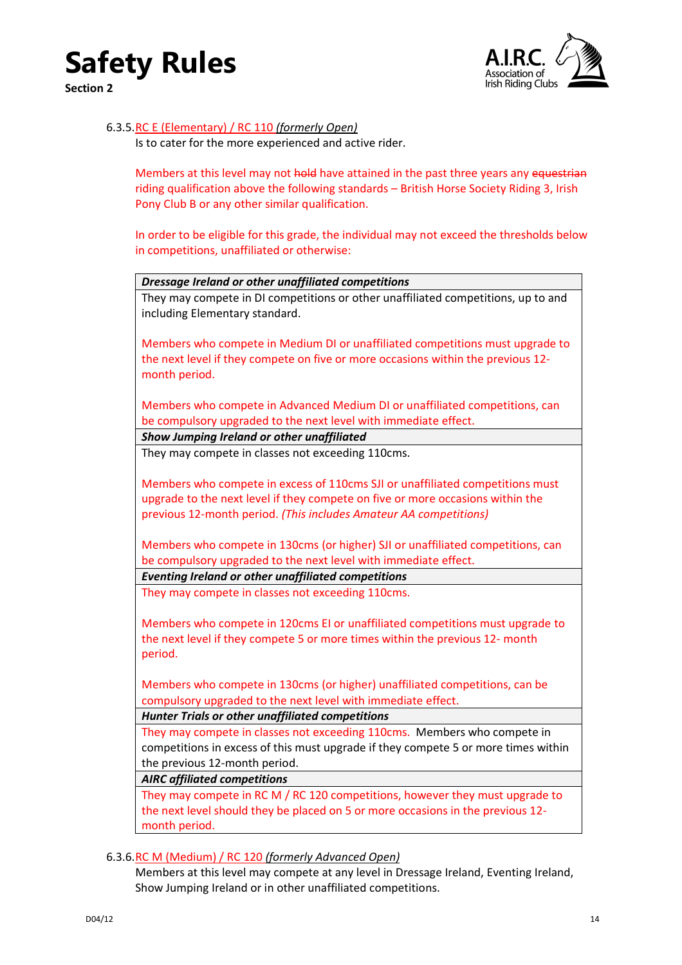

<span id="page-13-0"></span>**Section 2**



### 6.3.5.RC E (Elementary) / RC 110 *(formerly Open)*

Is to cater for the more experienced and active rider.

Members at this level may not hold have attained in the past three years any equestrian riding qualification above the following standards – British Horse Society Riding 3, Irish Pony Club B or any other similar qualification.

In order to be eligible for this grade, the individual may not exceed the thresholds below in competitions, unaffiliated or otherwise:

| Dressage Ireland or other unaffiliated competitions                                |
|------------------------------------------------------------------------------------|
| They may compete in DI competitions or other unaffiliated competitions, up to and  |
| including Elementary standard.                                                     |
|                                                                                    |
| Members who compete in Medium DI or unaffiliated competitions must upgrade to      |
| the next level if they compete on five or more occasions within the previous 12-   |
| month period.                                                                      |
|                                                                                    |
| Members who compete in Advanced Medium DI or unaffiliated competitions, can        |
| be compulsory upgraded to the next level with immediate effect.                    |
| Show Jumping Ireland or other unaffiliated                                         |
| They may compete in classes not exceeding 110cms.                                  |
|                                                                                    |
| Members who compete in excess of 110cms SJI or unaffiliated competitions must      |
| upgrade to the next level if they compete on five or more occasions within the     |
| previous 12-month period. (This includes Amateur AA competitions)                  |
| Members who compete in 130cms (or higher) SJI or unaffiliated competitions, can    |
| be compulsory upgraded to the next level with immediate effect.                    |
| <b>Eventing Ireland or other unaffiliated competitions</b>                         |
| They may compete in classes not exceeding 110cms.                                  |
|                                                                                    |
| Members who compete in 120cms EI or unaffiliated competitions must upgrade to      |
| the next level if they compete 5 or more times within the previous 12- month       |
| period.                                                                            |
|                                                                                    |
| Members who compete in 130cms (or higher) unaffiliated competitions, can be        |
| compulsory upgraded to the next level with immediate effect.                       |
| <b>Hunter Trials or other unaffiliated competitions</b>                            |
| They may compete in classes not exceeding 110cms. Members who compete in           |
| competitions in excess of this must upgrade if they compete 5 or more times within |
| the previous 12-month period.                                                      |
| <b>AIRC</b> affiliated competitions                                                |
| They may compete in RC M / RC 120 competitions, however they must upgrade to       |
| the next level should they be placed on 5 or more occasions in the previous 12-    |
| month period.                                                                      |

<span id="page-13-1"></span>6.3.6.RC M (Medium) / RC 120 *(formerly Advanced Open)*

Members at this level may compete at any level in Dressage Ireland, Eventing Ireland, Show Jumping Ireland or in other unaffiliated competitions.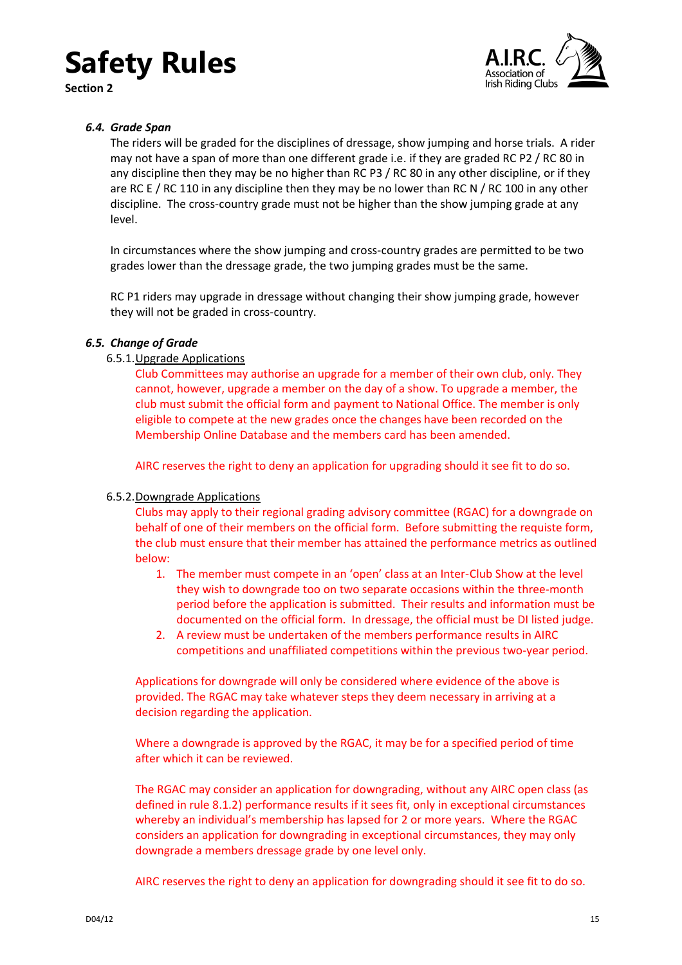**Section 2**



### <span id="page-14-0"></span>*6.4. Grade Span*

The riders will be graded for the disciplines of dressage, show jumping and horse trials. A rider may not have a span of more than one different grade i.e. if they are graded RC P2 / RC 80 in any discipline then they may be no higher than RC P3 / RC 80 in any other discipline, or if they are RC E / RC 110 in any discipline then they may be no lower than RC N / RC 100 in any other discipline. The cross-country grade must not be higher than the show jumping grade at any level.

In circumstances where the show jumping and cross-country grades are permitted to be two grades lower than the dressage grade, the two jumping grades must be the same.

RC P1 riders may upgrade in dressage without changing their show jumping grade, however they will not be graded in cross-country.

### <span id="page-14-2"></span><span id="page-14-1"></span>*6.5. Change of Grade*

### 6.5.1.Upgrade Applications

Club Committees may authorise an upgrade for a member of their own club, only. They cannot, however, upgrade a member on the day of a show. To upgrade a member, the club must submit the official form and payment to National Office. The member is only eligible to compete at the new grades once the changes have been recorded on the Membership Online Database and the members card has been amended.

AIRC reserves the right to deny an application for upgrading should it see fit to do so.

### <span id="page-14-3"></span>6.5.2.Downgrade Applications

Clubs may apply to their regional grading advisory committee (RGAC) for a downgrade on behalf of one of their members on the official form. Before submitting the requiste form, the club must ensure that their member has attained the performance metrics as outlined below:

- 1. The member must compete in an 'open' class at an Inter-Club Show at the level they wish to downgrade too on two separate occasions within the three-month period before the application is submitted. Their results and information must be documented on the official form. In dressage, the official must be DI listed judge.
- 2. A review must be undertaken of the members performance results in AIRC competitions and unaffiliated competitions within the previous two-year period.

Applications for downgrade will only be considered where evidence of the above is provided. The RGAC may take whatever steps they deem necessary in arriving at a decision regarding the application.

Where a downgrade is approved by the RGAC, it may be for a specified period of time after which it can be reviewed.

The RGAC may consider an application for downgrading, without any AIRC open class (as defined in rule [8.1.2\)](#page-19-5) performance results if it sees fit, only in exceptional circumstances whereby an individual's membership has lapsed for 2 or more years. Where the RGAC considers an application for downgrading in exceptional circumstances, they may only downgrade a members dressage grade by one level only.

AIRC reserves the right to deny an application for downgrading should it see fit to do so.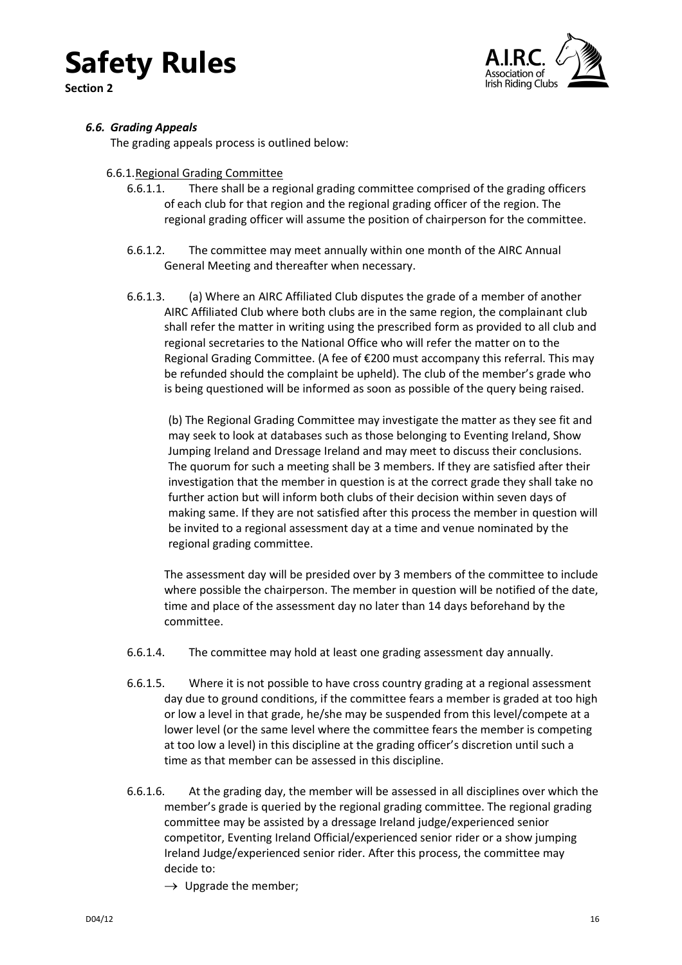**Section 2**



### <span id="page-15-0"></span>*6.6. Grading Appeals*

The grading appeals process is outlined below:

### <span id="page-15-1"></span>6.6.1.Regional Grading Committee

- 6.6.1.1. There shall be a regional grading committee comprised of the grading officers of each club for that region and the regional grading officer of the region. The regional grading officer will assume the position of chairperson for the committee.
- 6.6.1.2. The committee may meet annually within one month of the AIRC Annual General Meeting and thereafter when necessary.
- <span id="page-15-2"></span>6.6.1.3. (a) Where an AIRC Affiliated Club disputes the grade of a member of another AIRC Affiliated Club where both clubs are in the same region, the complainant club shall refer the matter in writing using the prescribed form as provided to all club and regional secretaries to the National Office who will refer the matter on to the Regional Grading Committee. (A fee of €200 must accompany this referral. This may be refunded should the complaint be upheld). The club of the member's grade who is being questioned will be informed as soon as possible of the query being raised.

(b) The Regional Grading Committee may investigate the matter as they see fit and may seek to look at databases such as those belonging to Eventing Ireland, Show Jumping Ireland and Dressage Ireland and may meet to discuss their conclusions. The quorum for such a meeting shall be 3 members. If they are satisfied after their investigation that the member in question is at the correct grade they shall take no further action but will inform both clubs of their decision within seven days of making same. If they are not satisfied after this process the member in question will be invited to a regional assessment day at a time and venue nominated by the regional grading committee.

The assessment day will be presided over by 3 members of the committee to include where possible the chairperson. The member in question will be notified of the date, time and place of the assessment day no later than 14 days beforehand by the committee.

- 6.6.1.4. The committee may hold at least one grading assessment day annually.
- 6.6.1.5. Where it is not possible to have cross country grading at a regional assessment day due to ground conditions, if the committee fears a member is graded at too high or low a level in that grade, he/she may be suspended from this level/compete at a lower level (or the same level where the committee fears the member is competing at too low a level) in this discipline at the grading officer's discretion until such a time as that member can be assessed in this discipline.
- <span id="page-15-3"></span>6.6.1.6. At the grading day, the member will be assessed in all disciplines over which the member's grade is queried by the regional grading committee. The regional grading committee may be assisted by a dressage Ireland judge/experienced senior competitor, Eventing Ireland Official/experienced senior rider or a show jumping Ireland Judge/experienced senior rider. After this process, the committee may decide to:
	- $\rightarrow$  Upgrade the member;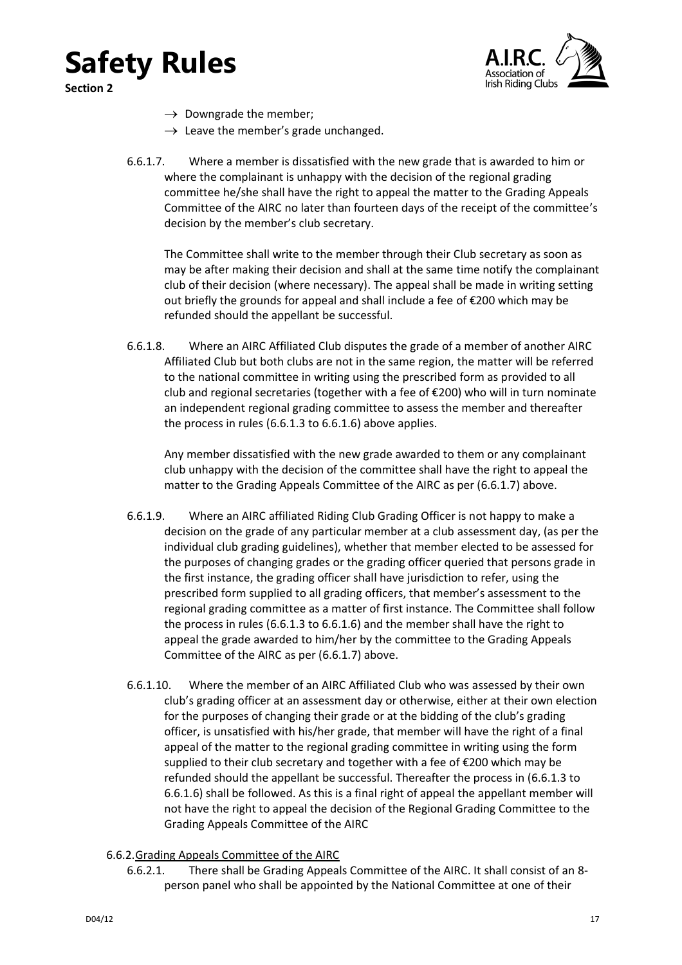





- $\rightarrow$  Downgrade the member;
- $\rightarrow$  Leave the member's grade unchanged.
- <span id="page-16-1"></span>6.6.1.7. Where a member is dissatisfied with the new grade that is awarded to him or where the complainant is unhappy with the decision of the regional grading committee he/she shall have the right to appeal the matter to the Grading Appeals Committee of the AIRC no later than fourteen days of the receipt of the committee's decision by the member's club secretary.

The Committee shall write to the member through their Club secretary as soon as may be after making their decision and shall at the same time notify the complainant club of their decision (where necessary). The appeal shall be made in writing setting out briefly the grounds for appeal and shall include a fee of €200 which may be refunded should the appellant be successful.

6.6.1.8. Where an AIRC Affiliated Club disputes the grade of a member of another AIRC Affiliated Club but both clubs are not in the same region, the matter will be referred to the national committee in writing using the prescribed form as provided to all club and regional secretaries (together with a fee of  $E$ 200) who will in turn nominate an independent regional grading committee to assess the member and thereafter the process in rules [\(6.6.1.3](#page-15-2) to [6.6.1.6\)](#page-15-3) above applies.

Any member dissatisfied with the new grade awarded to them or any complainant club unhappy with the decision of the committee shall have the right to appeal the matter to the Grading Appeals Committee of the AIRC as per [\(6.6.1.7\)](#page-16-1) above.

- 6.6.1.9. Where an AIRC affiliated Riding Club Grading Officer is not happy to make a decision on the grade of any particular member at a club assessment day, (as per the individual club grading guidelines), whether that member elected to be assessed for the purposes of changing grades or the grading officer queried that persons grade in the first instance, the grading officer shall have jurisdiction to refer, using the prescribed form supplied to all grading officers, that member's assessment to the regional grading committee as a matter of first instance. The Committee shall follow the process in rules [\(6.6.1.3](#page-15-2) to [6.6.1.6\)](#page-15-3) and the member shall have the right to appeal the grade awarded to him/her by the committee to the Grading Appeals Committee of the AIRC as per [\(6.6.1.7\)](#page-16-1) above.
- 6.6.1.10. Where the member of an AIRC Affiliated Club who was assessed by their own club's grading officer at an assessment day or otherwise, either at their own election for the purposes of changing their grade or at the bidding of the club's grading officer, is unsatisfied with his/her grade, that member will have the right of a final appeal of the matter to the regional grading committee in writing using the form supplied to their club secretary and together with a fee of €200 which may be refunded should the appellant be successful. Thereafter the process in [\(6.6.1.3](#page-15-2) to [6.6.1.6\)](#page-15-3) shall be followed. As this is a final right of appeal the appellant member will not have the right to appeal the decision of the Regional Grading Committee to the Grading Appeals Committee of the AIRC

### <span id="page-16-0"></span>6.6.2.Grading Appeals Committee of the AIRC

6.6.2.1. There shall be Grading Appeals Committee of the AIRC. It shall consist of an 8 person panel who shall be appointed by the National Committee at one of their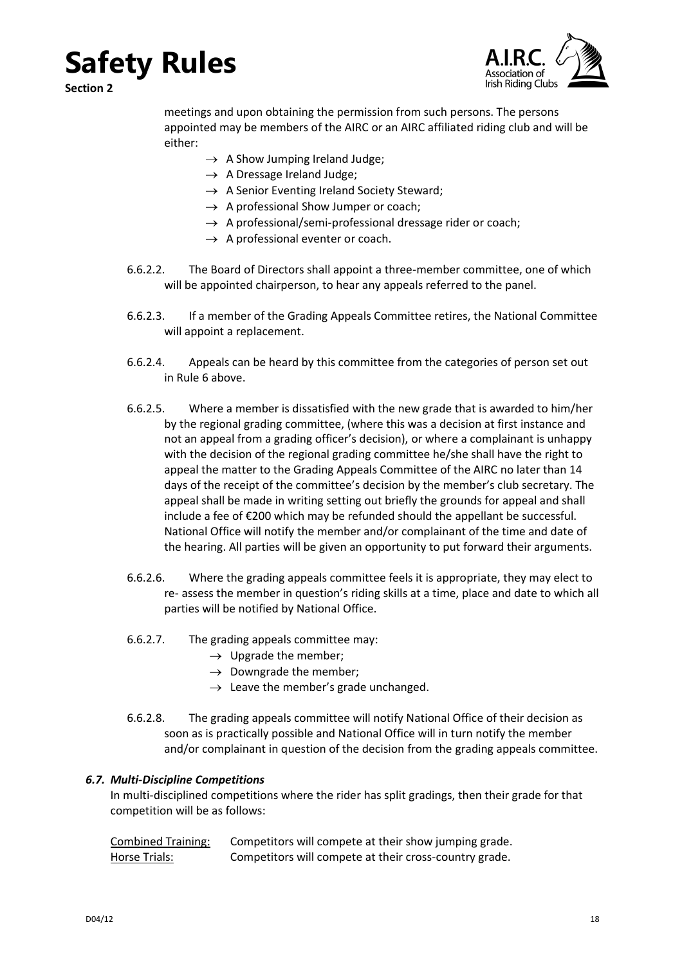**Section 2**



meetings and upon obtaining the permission from such persons. The persons appointed may be members of the AIRC or an AIRC affiliated riding club and will be either:

- $\rightarrow$  A Show Jumping Ireland Judge:
- $\rightarrow$  A Dressage Ireland Judge;
- $\rightarrow$  A Senior Eventing Ireland Society Steward;
- $\rightarrow$  A professional Show Jumper or coach;
- $\rightarrow$  A professional/semi-professional dressage rider or coach;
- $\rightarrow$  A professional eventer or coach.
- 6.6.2.2. The Board of Directors shall appoint a three-member committee, one of which will be appointed chairperson, to hear any appeals referred to the panel.
- 6.6.2.3. If a member of the Grading Appeals Committee retires, the National Committee will appoint a replacement.
- 6.6.2.4. Appeals can be heard by this committee from the categories of person set out in Rule 6 above.
- 6.6.2.5. Where a member is dissatisfied with the new grade that is awarded to him/her by the regional grading committee, (where this was a decision at first instance and not an appeal from a grading officer's decision), or where a complainant is unhappy with the decision of the regional grading committee he/she shall have the right to appeal the matter to the Grading Appeals Committee of the AIRC no later than 14 days of the receipt of the committee's decision by the member's club secretary. The appeal shall be made in writing setting out briefly the grounds for appeal and shall include a fee of €200 which may be refunded should the appellant be successful. National Office will notify the member and/or complainant of the time and date of the hearing. All parties will be given an opportunity to put forward their arguments.
- 6.6.2.6. Where the grading appeals committee feels it is appropriate, they may elect to re- assess the member in question's riding skills at a time, place and date to which all parties will be notified by National Office.
- 6.6.2.7. The grading appeals committee may:
	- $\rightarrow$  Upgrade the member;
	- $\rightarrow$  Downgrade the member;
	- $\rightarrow$  Leave the member's grade unchanged.
- 6.6.2.8. The grading appeals committee will notify National Office of their decision as soon as is practically possible and National Office will in turn notify the member and/or complainant in question of the decision from the grading appeals committee.

### <span id="page-17-0"></span>*6.7. Multi-Discipline Competitions*

In multi-disciplined competitions where the rider has split gradings, then their grade for that competition will be as follows:

| Combined Training: | Competitors will compete at their show jumping grade.  |
|--------------------|--------------------------------------------------------|
| Horse Trials:      | Competitors will compete at their cross-country grade. |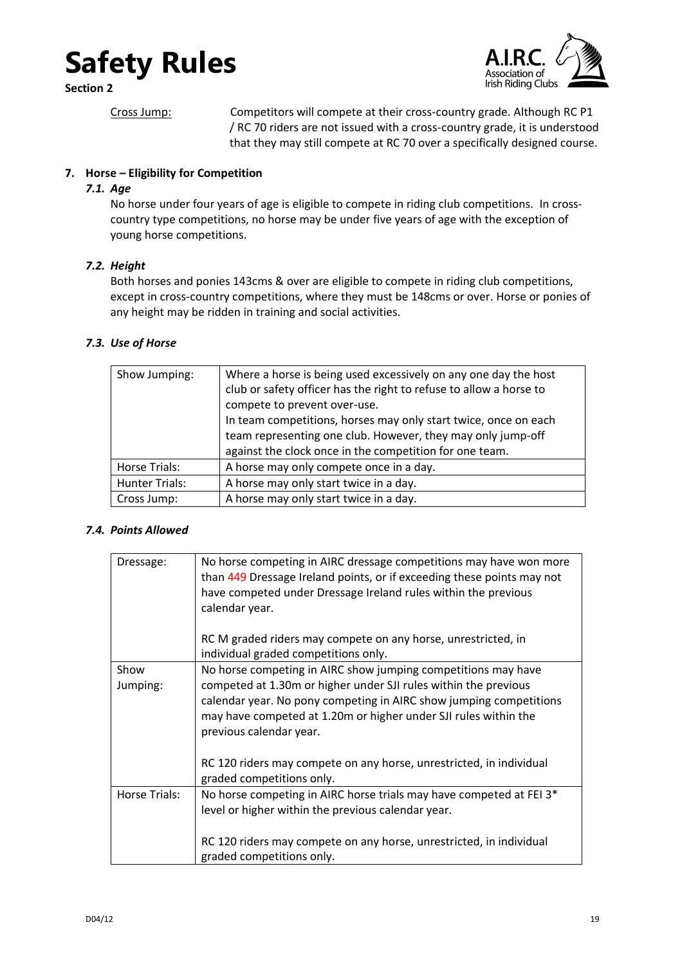**Section 2**



Cross Jump: Competitors will compete at their cross-country grade. Although RC P1 / RC 70 riders are not issued with a cross-country grade, it is understood that they may still compete at RC 70 over a specifically designed course.

Irish Riding Clubs

### <span id="page-18-1"></span><span id="page-18-0"></span>**7. Horse – Eligibility for Competition**

### *7.1. Age*

No horse under four years of age is eligible to compete in riding club competitions. In crosscountry type competitions, no horse may be under five years of age with the exception of young horse competitions.

### <span id="page-18-2"></span>*7.2. Height*

Both horses and ponies 143cms & over are eligible to compete in riding club competitions, except in cross-country competitions, where they must be 148cms or over. Horse or ponies of any height may be ridden in training and social activities.

### <span id="page-18-3"></span>*7.3. Use of Horse*

| Show Jumping:         | Where a horse is being used excessively on any one day the host<br>club or safety officer has the right to refuse to allow a horse to<br>compete to prevent over-use.<br>In team competitions, horses may only start twice, once on each<br>team representing one club. However, they may only jump-off<br>against the clock once in the competition for one team. |
|-----------------------|--------------------------------------------------------------------------------------------------------------------------------------------------------------------------------------------------------------------------------------------------------------------------------------------------------------------------------------------------------------------|
| Horse Trials:         | A horse may only compete once in a day.                                                                                                                                                                                                                                                                                                                            |
| <b>Hunter Trials:</b> | A horse may only start twice in a day.                                                                                                                                                                                                                                                                                                                             |
| Cross Jump:           | A horse may only start twice in a day.                                                                                                                                                                                                                                                                                                                             |

### <span id="page-18-4"></span>*7.4. Points Allowed*

| Dressage:     | No horse competing in AIRC dressage competitions may have won more<br>than 449 Dressage Ireland points, or if exceeding these points may not<br>have competed under Dressage Ireland rules within the previous<br>calendar year. |
|---------------|----------------------------------------------------------------------------------------------------------------------------------------------------------------------------------------------------------------------------------|
|               | RC M graded riders may compete on any horse, unrestricted, in<br>individual graded competitions only.                                                                                                                            |
| Show          | No horse competing in AIRC show jumping competitions may have                                                                                                                                                                    |
| Jumping:      | competed at 1.30m or higher under SJI rules within the previous                                                                                                                                                                  |
|               | calendar year. No pony competing in AIRC show jumping competitions<br>may have competed at 1.20m or higher under SJI rules within the<br>previous calendar year.                                                                 |
|               | RC 120 riders may compete on any horse, unrestricted, in individual<br>graded competitions only.                                                                                                                                 |
| Horse Trials: | No horse competing in AIRC horse trials may have competed at FEI 3*<br>level or higher within the previous calendar year.                                                                                                        |
|               | RC 120 riders may compete on any horse, unrestricted, in individual<br>graded competitions only.                                                                                                                                 |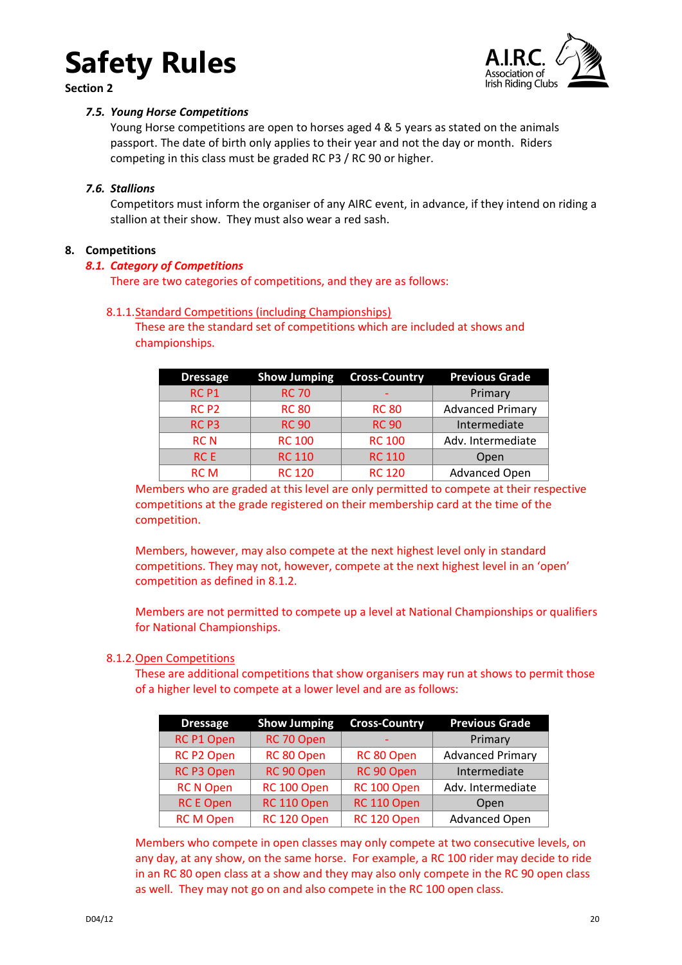

<span id="page-19-0"></span>**Section 2**



### *7.5. Young Horse Competitions*

Young Horse competitions are open to horses aged 4 & 5 years as stated on the animals passport. The date of birth only applies to their year and not the day or month. Riders competing in this class must be graded RC P3 / RC 90 or higher.

### <span id="page-19-1"></span>*7.6. Stallions*

Competitors must inform the organiser of any AIRC event, in advance, if they intend on riding a stallion at their show. They must also wear a red sash.

### <span id="page-19-3"></span><span id="page-19-2"></span>**8. Competitions**

### *8.1. Category of Competitions*

There are two categories of competitions, and they are as follows:

### <span id="page-19-4"></span>8.1.1.Standard Competitions (including Championships)

These are the standard set of competitions which are included at shows and championships.

| <b>Dressage</b>  | <b>Show Jumping</b> | <b>Cross-Country</b> | <b>Previous Grade</b>   |
|------------------|---------------------|----------------------|-------------------------|
| RC <sub>P1</sub> | <b>RC 70</b>        |                      | Primary                 |
| RC <sub>P2</sub> | <b>RC 80</b>        | <b>RC 80</b>         | <b>Advanced Primary</b> |
| RC <sub>P3</sub> | <b>RC 90</b>        | <b>RC 90</b>         | Intermediate            |
| <b>RCN</b>       | <b>RC 100</b>       | <b>RC 100</b>        | Adv. Intermediate       |
| <b>RCE</b>       | <b>RC 110</b>       | <b>RC 110</b>        | Open                    |
| <b>RCM</b>       | <b>RC 120</b>       | <b>RC 120</b>        | <b>Advanced Open</b>    |

Members who are graded at this level are only permitted to compete at their respective competitions at the grade registered on their membership card at the time of the competition.

Members, however, may also compete at the next highest level only in standard competitions. They may not, however, compete at the next highest level in an 'open' competition as defined in 8.1.2.

Members are not permitted to compete up a level at National Championships or qualifiers for National Championships.

### <span id="page-19-5"></span>8.1.2.Open Competitions

These are additional competitions that show organisers may run at shows to permit those of a higher level to compete at a lower level and are as follows:

| <b>Dressage</b>   | <b>Cross-Country</b><br><b>Show Jumping</b> |             | <b>Previous Grade</b>   |
|-------------------|---------------------------------------------|-------------|-------------------------|
| RC P1 Open        | RC 70 Open                                  |             | Primary                 |
| <b>RC P2 Open</b> | RC 80 Open                                  | RC 80 Open  | <b>Advanced Primary</b> |
| <b>RC P3 Open</b> | RC 90 Open                                  | RC 90 Open  | Intermediate            |
| <b>RC N Open</b>  | RC 100 Open                                 | RC 100 Open | Adv. Intermediate       |
| <b>RC E Open</b>  | RC 110 Open                                 | RC 110 Open | Open                    |
| <b>RCM Open</b>   | RC 120 Open                                 | RC 120 Open | <b>Advanced Open</b>    |

Members who compete in open classes may only compete at two consecutive levels, on any day, at any show, on the same horse. For example, a RC 100 rider may decide to ride in an RC 80 open class at a show and they may also only compete in the RC 90 open class as well. They may not go on and also compete in the RC 100 open class.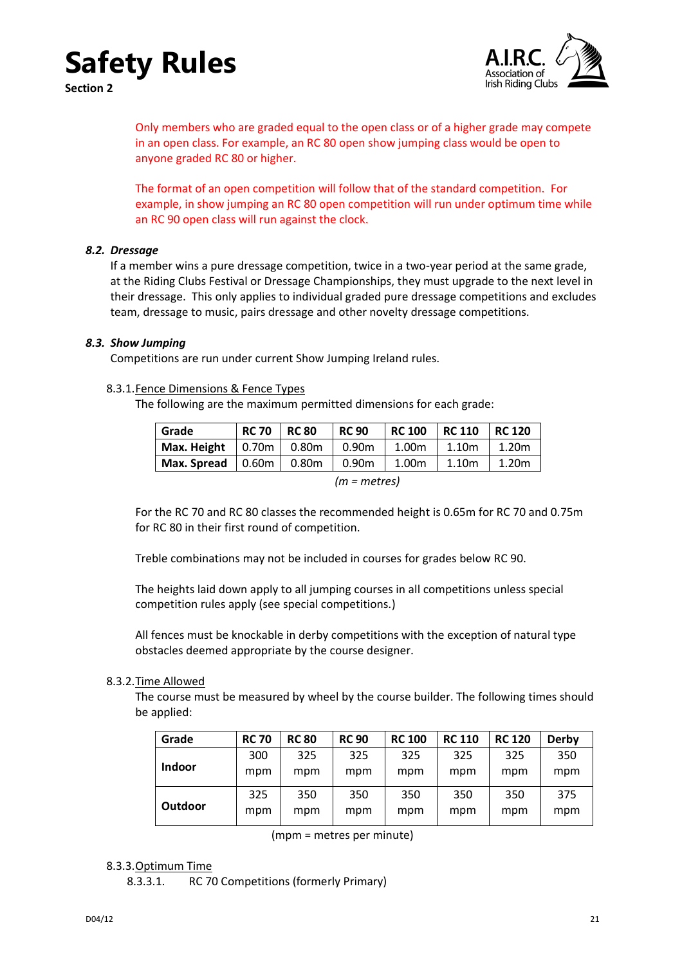

**Section 2**



Only members who are graded equal to the open class or of a higher grade may compete in an open class. For example, an RC 80 open show jumping class would be open to anyone graded RC 80 or higher.

The format of an open competition will follow that of the standard competition. For example, in show jumping an RC 80 open competition will run under optimum time while an RC 90 open class will run against the clock.

### <span id="page-20-0"></span>*8.2. Dressage*

If a member wins a pure dressage competition, twice in a two-year period at the same grade, at the Riding Clubs Festival or Dressage Championships, they must upgrade to the next level in their dressage. This only applies to individual graded pure dressage competitions and excludes team, dressage to music, pairs dressage and other novelty dressage competitions.

### <span id="page-20-1"></span>*8.3. Show Jumping*

Competitions are run under current Show Jumping Ireland rules.

#### <span id="page-20-2"></span>8.3.1.Fence Dimensions & Fence Types

The following are the maximum permitted dimensions for each grade:

| Grade                             | <b>RC 70</b> | <b>RC 80</b>                | <b>RC 90</b>      | <b>RC 100</b>     | RC 110 | RC 120            |
|-----------------------------------|--------------|-----------------------------|-------------------|-------------------|--------|-------------------|
| Max. Height                       |              | $\vert$ 0.70m $\vert$ 0.80m | 0.90m             | 1.00 <sub>m</sub> | 1.10m  | 1.20 <sub>m</sub> |
| Max. Spread $\vert$ 0.60m $\vert$ |              | 0.80m                       | 0.90 <sub>m</sub> | 1.00m             | 1.10m  | 1.20 <sub>m</sub> |

*<sup>(</sup>m = metres)*

For the RC 70 and RC 80 classes the recommended height is 0.65m for RC 70 and 0.75m for RC 80 in their first round of competition.

Treble combinations may not be included in courses for grades below RC 90.

The heights laid down apply to all jumping courses in all competitions unless special competition rules apply (see special competitions.)

All fences must be knockable in derby competitions with the exception of natural type obstacles deemed appropriate by the course designer.

### <span id="page-20-3"></span>8.3.2.Time Allowed

The course must be measured by wheel by the course builder. The following times should be applied:

| Grade          | <b>RC 70</b> | <b>RC 80</b> | <b>RC 90</b> | <b>RC 100</b> | <b>RC 110</b> | <b>RC 120</b> | Derby |
|----------------|--------------|--------------|--------------|---------------|---------------|---------------|-------|
| <b>Indoor</b>  | 300          | 325          | 325          | 325           | 325           | 325           | 350   |
|                | mpm          | mpm          | mpm          | mpm           | mpm           | mpm           | mpm   |
|                | 325          | 350          | 350          | 350           | 350           | 350           | 375   |
| <b>Outdoor</b> | mpm          | mpm          | mpm          | mpm           | mpm           | mpm           | mpm   |

(mpm = metres per minute)

#### <span id="page-20-4"></span>8.3.3.Optimum Time

8.3.3.1. RC 70 Competitions (formerly Primary)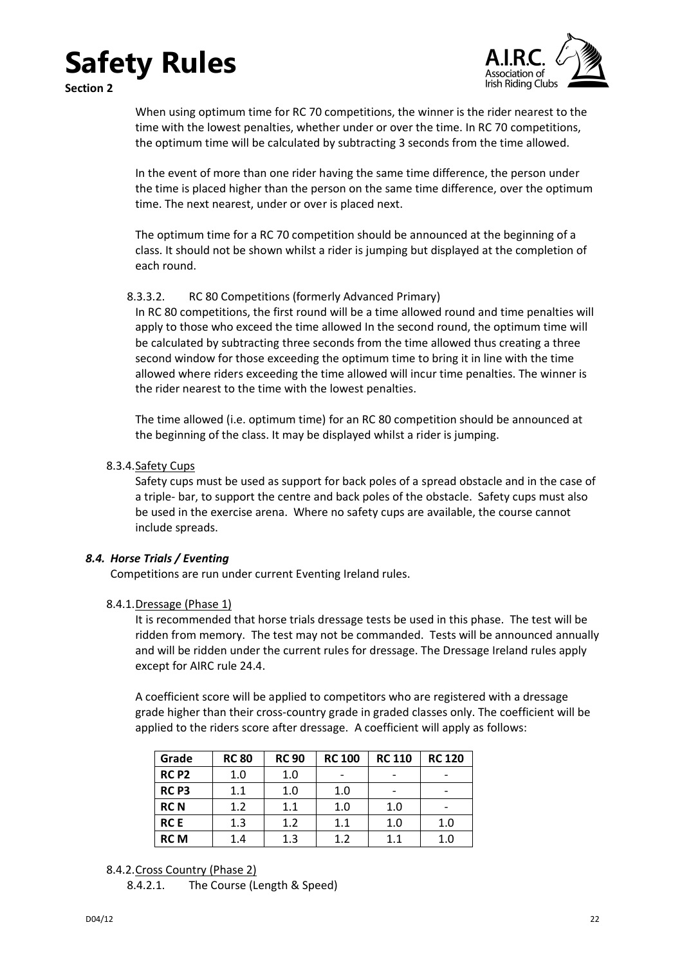### **Safety Rules Section 2**



When using optimum time for RC 70 competitions, the winner is the rider nearest to the time with the lowest penalties, whether under or over the time. In RC 70 competitions, the optimum time will be calculated by subtracting 3 seconds from the time allowed.

In the event of more than one rider having the same time difference, the person under the time is placed higher than the person on the same time difference, over the optimum time. The next nearest, under or over is placed next.

The optimum time for a RC 70 competition should be announced at the beginning of a class. It should not be shown whilst a rider is jumping but displayed at the completion of each round.

### 8.3.3.2. RC 80 Competitions (formerly Advanced Primary)

In RC 80 competitions, the first round will be a time allowed round and time penalties will apply to those who exceed the time allowed In the second round, the optimum time will be calculated by subtracting three seconds from the time allowed thus creating a three second window for those exceeding the optimum time to bring it in line with the time allowed where riders exceeding the time allowed will incur time penalties. The winner is the rider nearest to the time with the lowest penalties.

The time allowed (i.e. optimum time) for an RC 80 competition should be announced at the beginning of the class. It may be displayed whilst a rider is jumping.

### <span id="page-21-0"></span>8.3.4. Safety Cups

Safety cups must be used as support for back poles of a spread obstacle and in the case of a triple- bar, to support the centre and back poles of the obstacle. Safety cups must also be used in the exercise arena. Where no safety cups are available, the course cannot include spreads.

### <span id="page-21-1"></span>*8.4. Horse Trials / Eventing*

Competitions are run under current Eventing Ireland rules.

### <span id="page-21-2"></span>8.4.1.Dressage (Phase 1)

It is recommended that horse trials dressage tests be used in this phase. The test will be ridden from memory. The test may not be commanded. Tests will be announced annually and will be ridden under the current rules for dressage. The Dressage Ireland rules apply except for AIRC rule [24.4.](#page-31-5)

A coefficient score will be applied to competitors who are registered with a dressage grade higher than their cross‐country grade in graded classes only. The coefficient will be applied to the riders score after dressage. A coefficient will apply as follows:

| Grade            | <b>RC 80</b> | <b>RC 90</b> | <b>RC 100</b> | <b>RC 110</b> | <b>RC 120</b> |
|------------------|--------------|--------------|---------------|---------------|---------------|
| RC <sub>P2</sub> | 1.0          | 1.0          |               |               |               |
| RC <sub>P3</sub> | 1.1          | 1.0          | 1.0           |               |               |
| <b>RCN</b>       | 1.2          | 1.1          | 1.0           | 1.0           |               |
| <b>RCE</b>       | 1.3          | 1.2          | 1.1           | 1.0           | 1.0           |
| <b>RCM</b>       | 1.4          | $1.3\,$      | 1.2           | 1.1           | 1.0           |

### <span id="page-21-3"></span>8.4.2.Cross Country (Phase 2)

<sup>8.4.2.1.</sup> The Course (Length & Speed)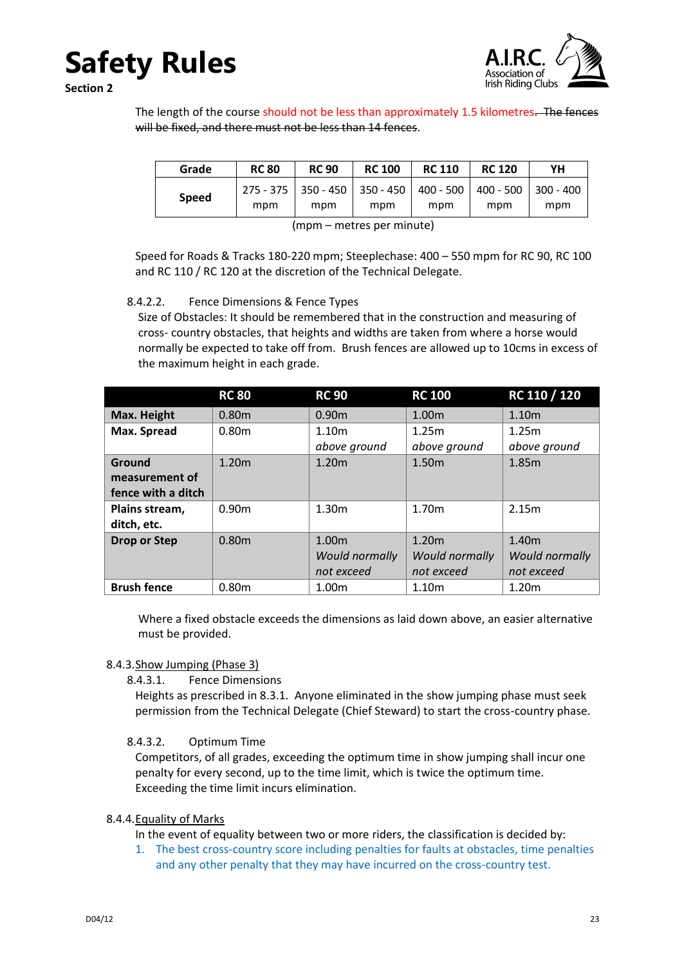

**Section 2**

The length of the course should not be less than approximately 1.5 kilometres. The fences will be fixed, and there must not be less than 14 fences.

| Grade        | <b>RC 80</b> | <b>RC 90</b> | <b>RC 100</b> | <b>RC 110</b>                                                                | <b>RC 120</b> | YΗ  |
|--------------|--------------|--------------|---------------|------------------------------------------------------------------------------|---------------|-----|
| <b>Speed</b> | mpm          | mpm          | mpm           | 275 - 375   350 - 450   350 - 450   400 - 500   400 - 500   300 - 400<br>mpm | mpm           | mpm |

(mpm – metres per minute)

Speed for Roads & Tracks 180-220 mpm; Steeplechase: 400 – 550 mpm for RC 90, RC 100 and RC 110 / RC 120 at the discretion of the Technical Delegate.

### 8.4.2.2. Fence Dimensions & Fence Types

Size of Obstacles: It should be remembered that in the construction and measuring of cross- country obstacles, that heights and widths are taken from where a horse would normally be expected to take off from. Brush fences are allowed up to 10cms in excess of the maximum height in each grade.

|                     | <b>RC 80</b>      | <b>RC 90</b>      | <b>RC 100</b>         | RC 110 / 120          |
|---------------------|-------------------|-------------------|-----------------------|-----------------------|
| Max. Height         | 0.80 <sub>m</sub> | 0.90 <sub>m</sub> | 1.00 <sub>m</sub>     | 1.10m                 |
| Max. Spread         | 0.80 <sub>m</sub> | 1.10 <sub>m</sub> | 1.25m                 | 1.25m                 |
|                     |                   | above ground      | above ground          | above ground          |
| Ground              | 1.20m             | 1.20 <sub>m</sub> | 1.50 <sub>m</sub>     | 1.85m                 |
| measurement of      |                   |                   |                       |                       |
| fence with a ditch  |                   |                   |                       |                       |
| Plains stream,      | 0.90 <sub>m</sub> | 1.30 <sub>m</sub> | 1.70m                 | 2.15m                 |
| ditch, etc.         |                   |                   |                       |                       |
| <b>Drop or Step</b> | 0.80 <sub>m</sub> | 1.00m             | 1.20m                 | 1.40m                 |
|                     |                   | Would normally    | <b>Would normally</b> | <b>Would normally</b> |
|                     |                   | not exceed        | not exceed            | not exceed            |
| <b>Brush fence</b>  | 0.80 <sub>m</sub> | 1.00 <sub>m</sub> | 1.10 <sub>m</sub>     | 1.20m                 |

Where a fixed obstacle exceeds the dimensions as laid down above, an easier alternative must be provided.

### <span id="page-22-0"></span>8.4.3.Show Jumping (Phase 3)

8.4.3.1. Fence Dimensions

Heights as prescribed in 8.3.1. Anyone eliminated in the show jumping phase must seek permission from the Technical Delegate (Chief Steward) to start the cross-country phase.

### 8.4.3.2. Optimum Time

Competitors, of all grades, exceeding the optimum time in show jumping shall incur one penalty for every second, up to the time limit, which is twice the optimum time. Exceeding the time limit incurs elimination.

### <span id="page-22-1"></span>8.4.4.Equality of Marks

In the event of equality between two or more riders, the classification is decided by:

1. The best cross-country score including penalties for faults at obstacles, time penalties and any other penalty that they may have incurred on the cross-country test.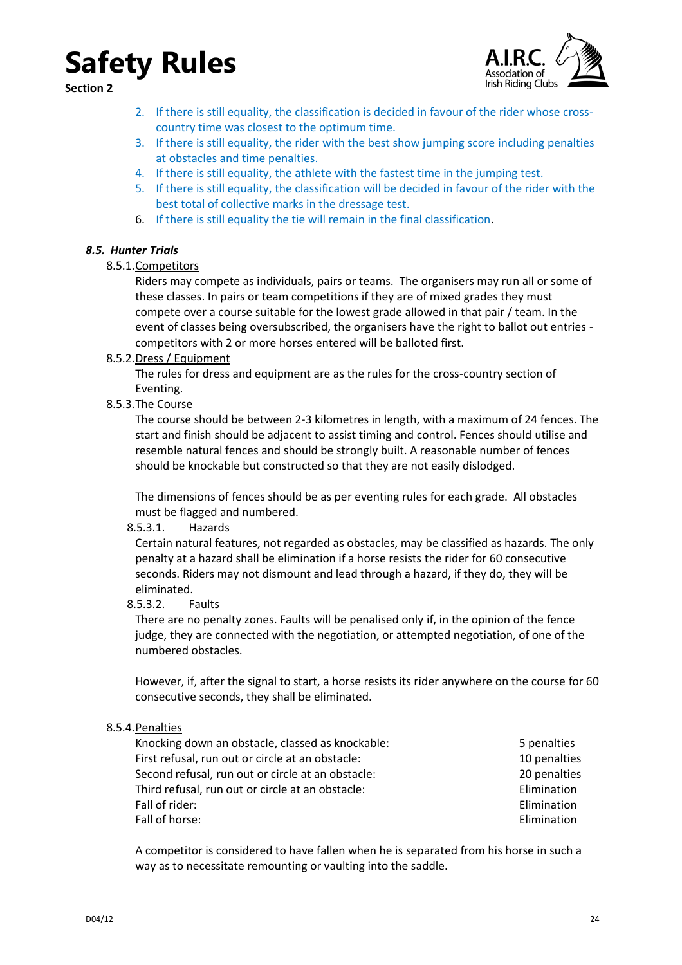**Section 2**



- 2. If there is still equality, the classification is decided in favour of the rider whose crosscountry time was closest to the optimum time.
- 3. If there is still equality, the rider with the best show jumping score including penalties at obstacles and time penalties.
- 4. If there is still equality, the athlete with the fastest time in the jumping test.
- 5. If there is still equality, the classification will be decided in favour of the rider with the best total of collective marks in the dressage test.
- 6. If there is still equality the tie will remain in the final classification.

### <span id="page-23-1"></span><span id="page-23-0"></span>*8.5. Hunter Trials*

### 8.5.1.Competitors

Riders may compete as individuals, pairs or teams. The organisers may run all or some of these classes. In pairs or team competitions if they are of mixed grades they must compete over a course suitable for the lowest grade allowed in that pair / team. In the event of classes being oversubscribed, the organisers have the right to ballot out entries competitors with 2 or more horses entered will be balloted first.

<span id="page-23-2"></span>8.5.2.Dress / Equipment

The rules for dress and equipment are as the rules for the cross-country section of Eventing.

<span id="page-23-3"></span>8.5.3.The Course

The course should be between 2-3 kilometres in length, with a maximum of 24 fences. The start and finish should be adjacent to assist timing and control. Fences should utilise and resemble natural fences and should be strongly built. A reasonable number of fences should be knockable but constructed so that they are not easily dislodged.

The dimensions of fences should be as per eventing rules for each grade. All obstacles must be flagged and numbered.

8.5.3.1. Hazards

Certain natural features, not regarded as obstacles, may be classified as hazards. The only penalty at a hazard shall be elimination if a horse resists the rider for 60 consecutive seconds. Riders may not dismount and lead through a hazard, if they do, they will be eliminated.

8.5.3.2. Faults

There are no penalty zones. Faults will be penalised only if, in the opinion of the fence judge, they are connected with the negotiation, or attempted negotiation, of one of the numbered obstacles.

However, if, after the signal to start, a horse resists its rider anywhere on the course for 60 consecutive seconds, they shall be eliminated.

### <span id="page-23-4"></span>8.5.4.Penalties

| Knocking down an obstacle, classed as knockable:  | 5 penalties  |
|---------------------------------------------------|--------------|
| First refusal, run out or circle at an obstacle:  | 10 penalties |
| Second refusal, run out or circle at an obstacle: | 20 penalties |
| Third refusal, run out or circle at an obstacle:  | Elimination  |
| Fall of rider:                                    | Elimination  |
| Fall of horse:                                    | Elimination  |

A competitor is considered to have fallen when he is separated from his horse in such a way as to necessitate remounting or vaulting into the saddle.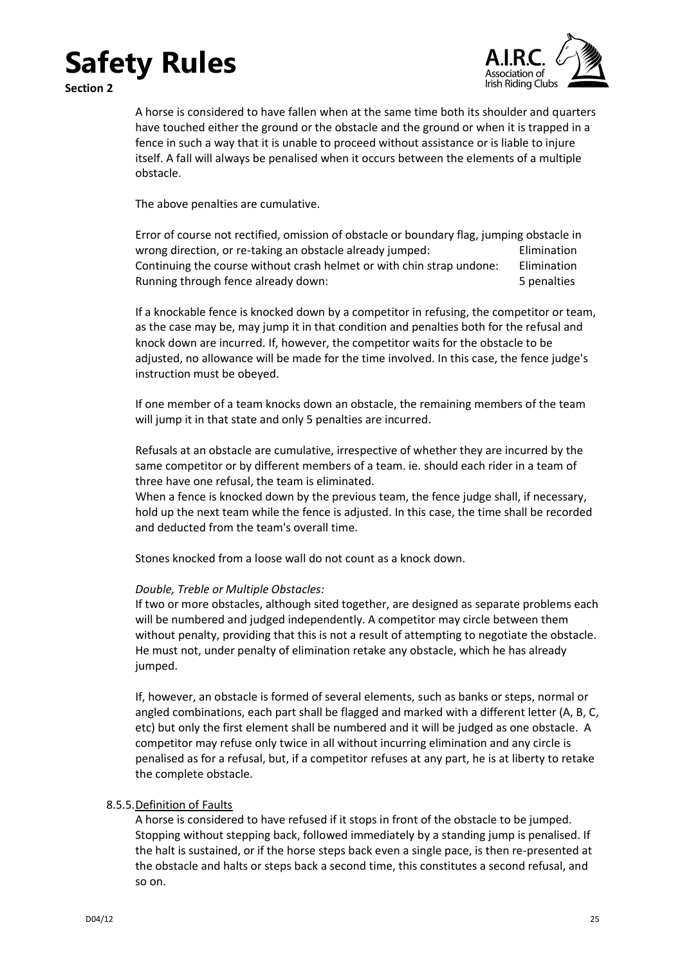



A horse is considered to have fallen when at the same time both its shoulder and quarters have touched either the ground or the obstacle and the ground or when it is trapped in a fence in such a way that it is unable to proceed without assistance or is liable to injure itself. A fall will always be penalised when it occurs between the elements of a multiple obstacle.

The above penalties are cumulative.

Error of course not rectified, omission of obstacle or boundary flag, jumping obstacle in wrong direction, or re-taking an obstacle already jumped: Elimination Continuing the course without crash helmet or with chin strap undone: Elimination Running through fence already down: 5 penalties

If a knockable fence is knocked down by a competitor in refusing, the competitor or team, as the case may be, may jump it in that condition and penalties both for the refusal and knock down are incurred. If, however, the competitor waits for the obstacle to be adjusted, no allowance will be made for the time involved. In this case, the fence judge's instruction must be obeyed.

If one member of a team knocks down an obstacle, the remaining members of the team will jump it in that state and only 5 penalties are incurred.

Refusals at an obstacle are cumulative, irrespective of whether they are incurred by the same competitor or by different members of a team. ie. should each rider in a team of three have one refusal, the team is eliminated.

When a fence is knocked down by the previous team, the fence judge shall, if necessary, hold up the next team while the fence is adjusted. In this case, the time shall be recorded and deducted from the team's overall time.

Stones knocked from a loose wall do not count as a knock down.

### *Double, Treble or Multiple Obstacles:*

If two or more obstacles, although sited together, are designed as separate problems each will be numbered and judged independently. A competitor may circle between them without penalty, providing that this is not a result of attempting to negotiate the obstacle. He must not, under penalty of elimination retake any obstacle, which he has already jumped.

If, however, an obstacle is formed of several elements, such as banks or steps, normal or angled combinations, each part shall be flagged and marked with a different letter (A, B, C, etc) but only the first element shall be numbered and it will be judged as one obstacle. A competitor may refuse only twice in all without incurring elimination and any circle is penalised as for a refusal, but, if a competitor refuses at any part, he is at liberty to retake the complete obstacle.

### <span id="page-24-0"></span>8.5.5.Definition of Faults

A horse is considered to have refused if it stops in front of the obstacle to be jumped. Stopping without stepping back, followed immediately by a standing jump is penalised. If the halt is sustained, or if the horse steps back even a single pace, is then re-presented at the obstacle and halts or steps back a second time, this constitutes a second refusal, and so on.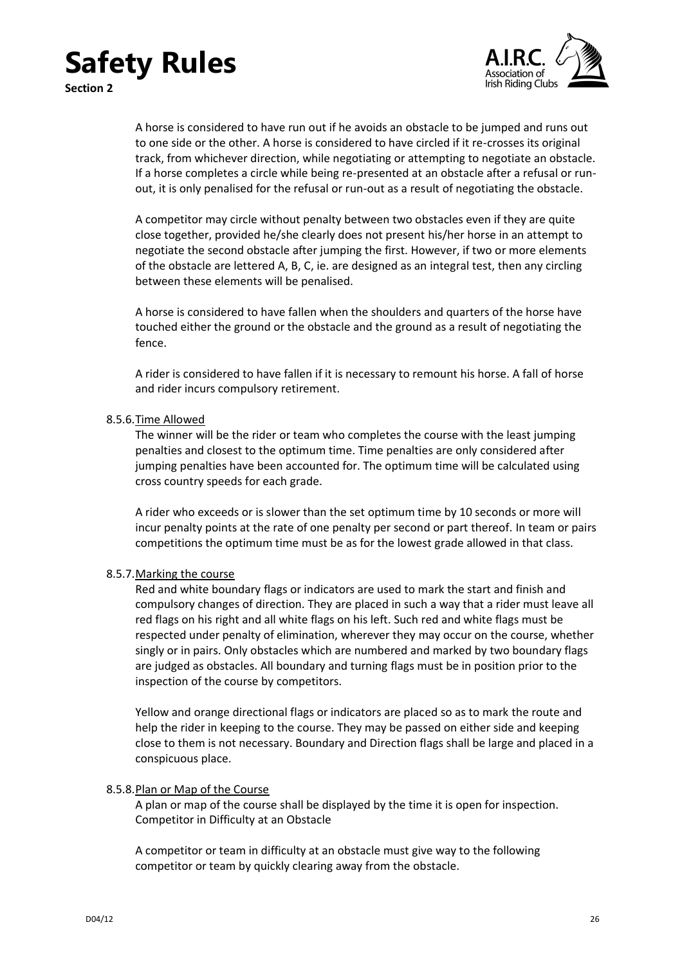**Section 2**



A horse is considered to have run out if he avoids an obstacle to be jumped and runs out to one side or the other. A horse is considered to have circled if it re-crosses its original track, from whichever direction, while negotiating or attempting to negotiate an obstacle. If a horse completes a circle while being re-presented at an obstacle after a refusal or runout, it is only penalised for the refusal or run-out as a result of negotiating the obstacle.

A competitor may circle without penalty between two obstacles even if they are quite close together, provided he/she clearly does not present his/her horse in an attempt to negotiate the second obstacle after jumping the first. However, if two or more elements of the obstacle are lettered A, B, C, ie. are designed as an integral test, then any circling between these elements will be penalised.

A horse is considered to have fallen when the shoulders and quarters of the horse have touched either the ground or the obstacle and the ground as a result of negotiating the fence.

A rider is considered to have fallen if it is necessary to remount his horse. A fall of horse and rider incurs compulsory retirement.

### <span id="page-25-0"></span>8.5.6.Time Allowed

The winner will be the rider or team who completes the course with the least jumping penalties and closest to the optimum time. Time penalties are only considered after jumping penalties have been accounted for. The optimum time will be calculated using cross country speeds for each grade.

A rider who exceeds or is slower than the set optimum time by 10 seconds or more will incur penalty points at the rate of one penalty per second or part thereof. In team or pairs competitions the optimum time must be as for the lowest grade allowed in that class.

### <span id="page-25-1"></span>8.5.7.Marking the course

Red and white boundary flags or indicators are used to mark the start and finish and compulsory changes of direction. They are placed in such a way that a rider must leave all red flags on his right and all white flags on his left. Such red and white flags must be respected under penalty of elimination, wherever they may occur on the course, whether singly or in pairs. Only obstacles which are numbered and marked by two boundary flags are judged as obstacles. All boundary and turning flags must be in position prior to the inspection of the course by competitors.

Yellow and orange directional flags or indicators are placed so as to mark the route and help the rider in keeping to the course. They may be passed on either side and keeping close to them is not necessary. Boundary and Direction flags shall be large and placed in a conspicuous place.

### <span id="page-25-2"></span>8.5.8.Plan or Map of the Course

A plan or map of the course shall be displayed by the time it is open for inspection. Competitor in Difficulty at an Obstacle

A competitor or team in difficulty at an obstacle must give way to the following competitor or team by quickly clearing away from the obstacle.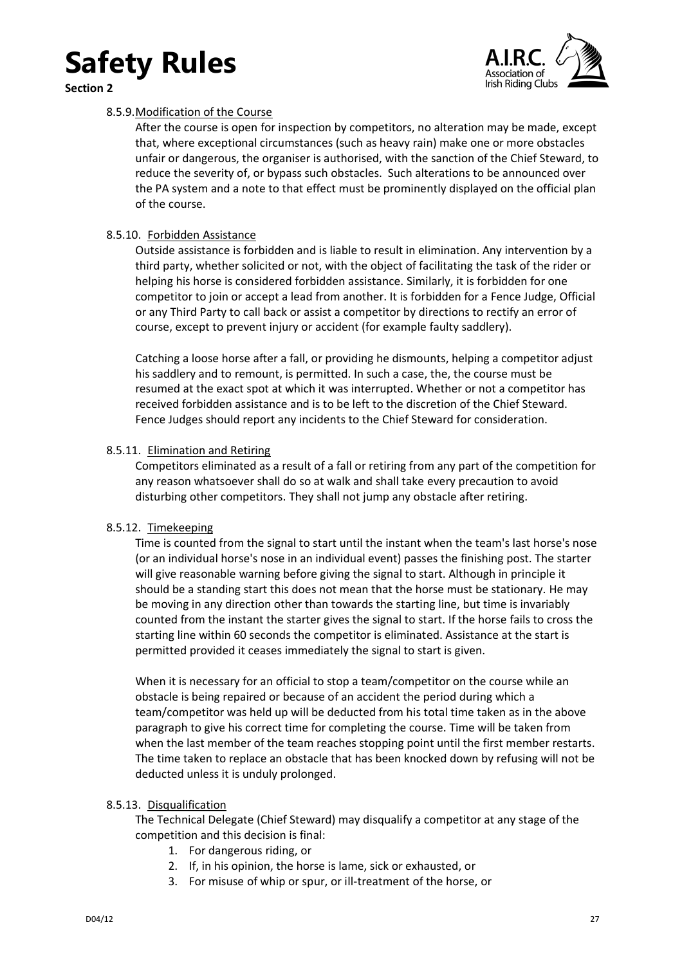

<span id="page-26-0"></span>**Section 2**



### 8.5.9.Modification of the Course

After the course is open for inspection by competitors, no alteration may be made, except that, where exceptional circumstances (such as heavy rain) make one or more obstacles unfair or dangerous, the organiser is authorised, with the sanction of the Chief Steward, to reduce the severity of, or bypass such obstacles. Such alterations to be announced over the PA system and a note to that effect must be prominently displayed on the official plan of the course.

### <span id="page-26-1"></span>8.5.10. Forbidden Assistance

Outside assistance is forbidden and is liable to result in elimination. Any intervention by a third party, whether solicited or not, with the object of facilitating the task of the rider or helping his horse is considered forbidden assistance. Similarly, it is forbidden for one competitor to join or accept a lead from another. It is forbidden for a Fence Judge, Official or any Third Party to call back or assist a competitor by directions to rectify an error of course, except to prevent injury or accident (for example faulty saddlery).

Catching a loose horse after a fall, or providing he dismounts, helping a competitor adjust his saddlery and to remount, is permitted. In such a case, the, the course must be resumed at the exact spot at which it was interrupted. Whether or not a competitor has received forbidden assistance and is to be left to the discretion of the Chief Steward. Fence Judges should report any incidents to the Chief Steward for consideration.

### <span id="page-26-2"></span>8.5.11. Elimination and Retiring

Competitors eliminated as a result of a fall or retiring from any part of the competition for any reason whatsoever shall do so at walk and shall take every precaution to avoid disturbing other competitors. They shall not jump any obstacle after retiring.

### <span id="page-26-3"></span>8.5.12. Timekeeping

Time is counted from the signal to start until the instant when the team's last horse's nose (or an individual horse's nose in an individual event) passes the finishing post. The starter will give reasonable warning before giving the signal to start. Although in principle it should be a standing start this does not mean that the horse must be stationary. He may be moving in any direction other than towards the starting line, but time is invariably counted from the instant the starter gives the signal to start. If the horse fails to cross the starting line within 60 seconds the competitor is eliminated. Assistance at the start is permitted provided it ceases immediately the signal to start is given.

When it is necessary for an official to stop a team/competitor on the course while an obstacle is being repaired or because of an accident the period during which a team/competitor was held up will be deducted from his total time taken as in the above paragraph to give his correct time for completing the course. Time will be taken from when the last member of the team reaches stopping point until the first member restarts. The time taken to replace an obstacle that has been knocked down by refusing will not be deducted unless it is unduly prolonged.

### <span id="page-26-4"></span>8.5.13. Disqualification

The Technical Delegate (Chief Steward) may disqualify a competitor at any stage of the competition and this decision is final:

- 1. For dangerous riding, or
- 2. If, in his opinion, the horse is lame, sick or exhausted, or
- 3. For misuse of whip or spur, or ill-treatment of the horse, or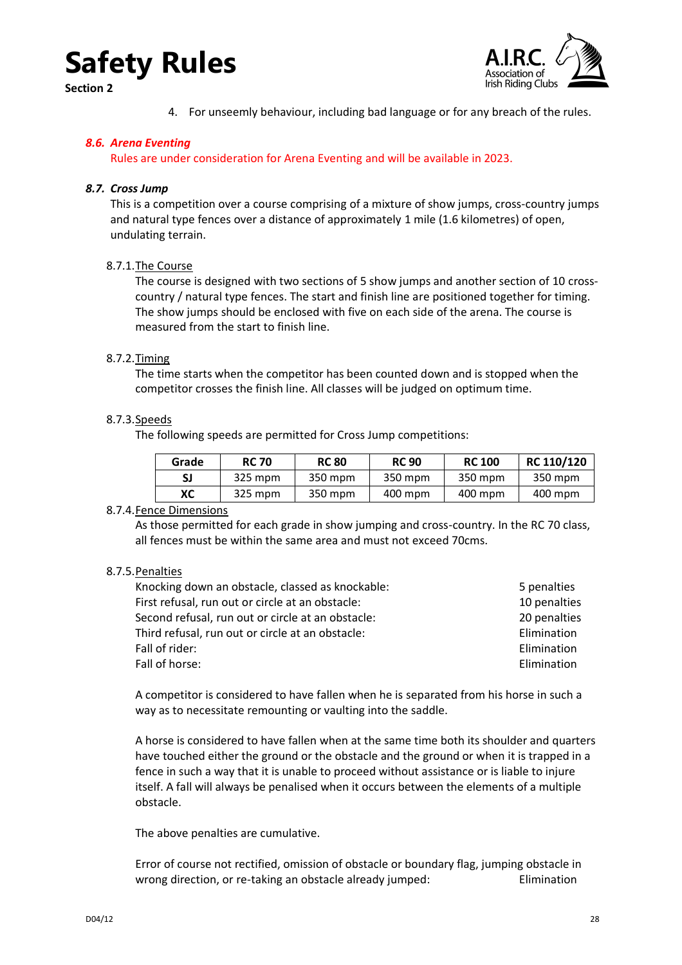**Section 2**



4. For unseemly behaviour, including bad language or for any breach of the rules.

### <span id="page-27-0"></span>*8.6. Arena Eventing*

Rules are under consideration for Arena Eventing and will be available in 2023.

### <span id="page-27-1"></span>*8.7. Cross Jump*

This is a competition over a course comprising of a mixture of show jumps, cross-country jumps and natural type fences over a distance of approximately 1 mile (1.6 kilometres) of open, undulating terrain.

### <span id="page-27-2"></span>8.7.1.The Course

The course is designed with two sections of 5 show jumps and another section of 10 crosscountry / natural type fences. The start and finish line are positioned together for timing. The show jumps should be enclosed with five on each side of the arena. The course is measured from the start to finish line.

### <span id="page-27-3"></span>8.7.2.Timing

The time starts when the competitor has been counted down and is stopped when the competitor crosses the finish line. All classes will be judged on optimum time.

### <span id="page-27-4"></span>8.7.3.Speeds

The following speeds are permitted for Cross Jump competitions:

| Grade | <b>RC 70</b> | <b>RC 80</b> | <b>RC 90</b> | <b>RC 100</b> | RC 110/120 |
|-------|--------------|--------------|--------------|---------------|------------|
| SJ    | 325 mpm      | 350 mpm      | 350 mpm      | 350 mpm       | 350 mpm    |
| xс    | 325 mpm      | 350 mpm      | 400 mpm      | 400 mpm       | 400 mpm    |

### <span id="page-27-5"></span>8.7.4.Fence Dimensions

As those permitted for each grade in show jumping and cross-country. In the RC 70 class, all fences must be within the same area and must not exceed 70cms.

### <span id="page-27-6"></span>8.7.5.Penalties

| Knocking down an obstacle, classed as knockable:  | 5 penalties  |
|---------------------------------------------------|--------------|
| First refusal, run out or circle at an obstacle:  | 10 penalties |
| Second refusal, run out or circle at an obstacle: | 20 penalties |
| Third refusal, run out or circle at an obstacle:  | Elimination  |
| Fall of rider:                                    | Elimination  |
| Fall of horse:                                    | Elimination  |

A competitor is considered to have fallen when he is separated from his horse in such a way as to necessitate remounting or vaulting into the saddle.

A horse is considered to have fallen when at the same time both its shoulder and quarters have touched either the ground or the obstacle and the ground or when it is trapped in a fence in such a way that it is unable to proceed without assistance or is liable to injure itself. A fall will always be penalised when it occurs between the elements of a multiple obstacle.

The above penalties are cumulative.

Error of course not rectified, omission of obstacle or boundary flag, jumping obstacle in wrong direction, or re-taking an obstacle already jumped: Elimination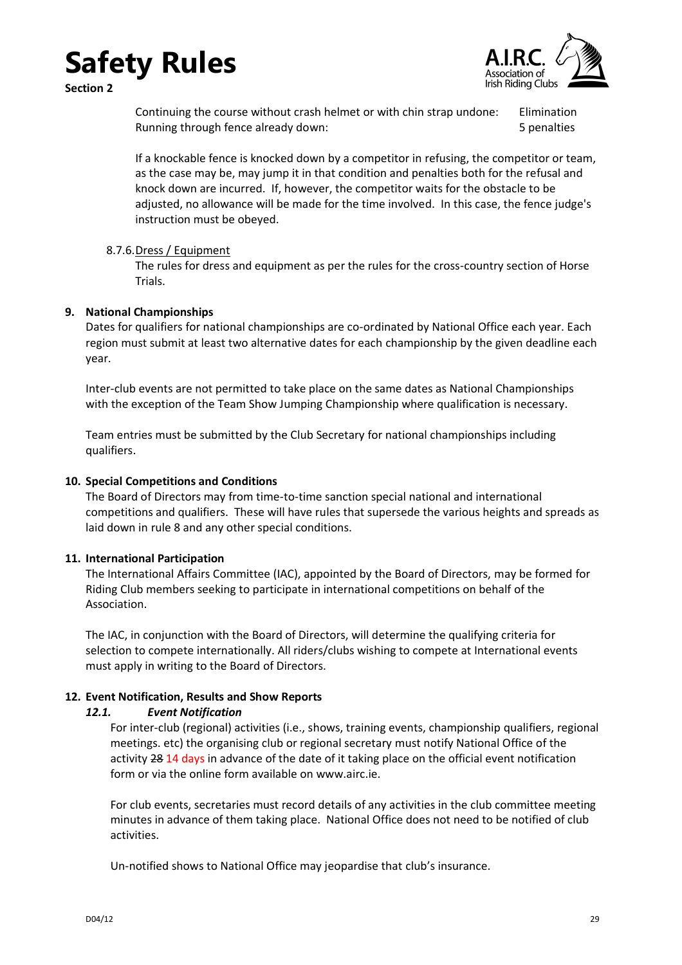**Section 2**



Continuing the course without crash helmet or with chin strap undone: Elimination Running through fence already down: 5 penalties

If a knockable fence is knocked down by a competitor in refusing, the competitor or team, as the case may be, may jump it in that condition and penalties both for the refusal and knock down are incurred. If, however, the competitor waits for the obstacle to be adjusted, no allowance will be made for the time involved. In this case, the fence judge's instruction must be obeyed.

### <span id="page-28-0"></span>8.7.6.Dress / Equipment

The rules for dress and equipment as per the rules for the cross-country section of Horse Trials.

### <span id="page-28-1"></span>**9. National Championships**

Dates for qualifiers for national championships are co-ordinated by National Office each year. Each region must submit at least two alternative dates for each championship by the given deadline each year.

Inter-club events are not permitted to take place on the same dates as National Championships with the exception of the Team Show Jumping Championship where qualification is necessary.

Team entries must be submitted by the Club Secretary for national championships including qualifiers.

#### <span id="page-28-2"></span>**10. Special Competitions and Conditions**

The Board of Directors may from time-to-time sanction special national and international competitions and qualifiers. These will have rules that supersede the various heights and spreads as laid down in rule [8](#page-19-2) and any other special conditions.

#### <span id="page-28-3"></span>**11. International Participation**

The International Affairs Committee (IAC), appointed by the Board of Directors, may be formed for Riding Club members seeking to participate in international competitions on behalf of the Association.

The IAC, in conjunction with the Board of Directors, will determine the qualifying criteria for selection to compete internationally. All riders/clubs wishing to compete at International events must apply in writing to the Board of Directors.

### <span id="page-28-5"></span><span id="page-28-4"></span>**12. Event Notification, Results and Show Reports**

#### *12.1. Event Notification*

For inter-club (regional) activities (i.e., shows, training events, championship qualifiers, regional meetings. etc) the organising club or regional secretary must notify National Office of the activity 28 14 days in advance of the date of it taking place on the official event notification form or via the online form available on www.airc.ie.

For club events, secretaries must record details of any activities in the club committee meeting minutes in advance of them taking place. National Office does not need to be notified of club activities.

Un-notified shows to National Office may jeopardise that club's insurance.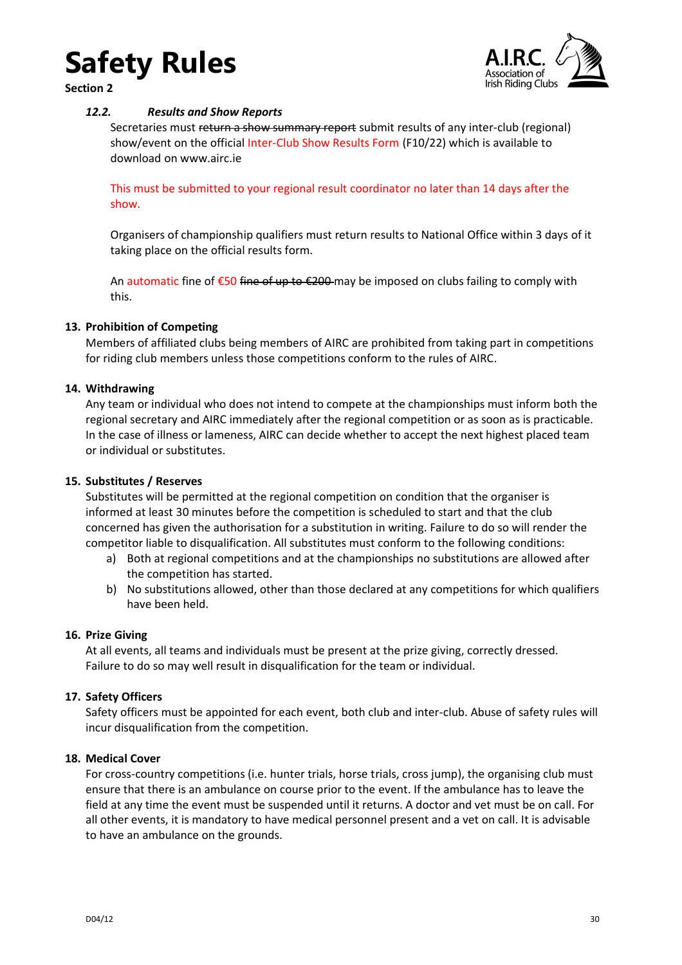<span id="page-29-0"></span>**Section 2**



### *12.2. Results and Show Reports*

Secretaries must return a show summary report submit results of any inter-club (regional) show/event on the official Inter-Club Show Results Form (F10/22) which is available to download on www.airc.ie

This must be submitted to your regional result coordinator no later than 14 days after the show.

Organisers of championship qualifiers must return results to National Office within 3 days of it taking place on the official results form.

An automatic fine of €50 fine of up to €200 may be imposed on clubs failing to comply with this.

### <span id="page-29-1"></span>**13. Prohibition of Competing**

Members of affiliated clubs being members of AIRC are prohibited from taking part in competitions for riding club members unless those competitions conform to the rules of AIRC.

### <span id="page-29-2"></span>**14. Withdrawing**

Any team or individual who does not intend to compete at the championships must inform both the regional secretary and AIRC immediately after the regional competition or as soon as is practicable. In the case of illness or lameness, AIRC can decide whether to accept the next highest placed team or individual or substitutes.

### <span id="page-29-3"></span>**15. Substitutes / Reserves**

Substitutes will be permitted at the regional competition on condition that the organiser is informed at least 30 minutes before the competition is scheduled to start and that the club concerned has given the authorisation for a substitution in writing. Failure to do so will render the competitor liable to disqualification. All substitutes must conform to the following conditions:

- a) Both at regional competitions and at the championships no substitutions are allowed after the competition has started.
- b) No substitutions allowed, other than those declared at any competitions for which qualifiers have been held.

### <span id="page-29-4"></span>**16. Prize Giving**

At all events, all teams and individuals must be present at the prize giving, correctly dressed. Failure to do so may well result in disqualification for the team or individual.

### <span id="page-29-5"></span>**17. Safety Officers**

Safety officers must be appointed for each event, both club and inter-club. Abuse of safety rules will incur disqualification from the competition.

### <span id="page-29-6"></span>**18. Medical Cover**

For cross-country competitions (i.e. hunter trials, horse trials, cross jump), the organising club must ensure that there is an ambulance on course prior to the event. If the ambulance has to leave the field at any time the event must be suspended until it returns. A doctor and vet must be on call. For all other events, it is mandatory to have medical personnel present and a vet on call. It is advisable to have an ambulance on the grounds.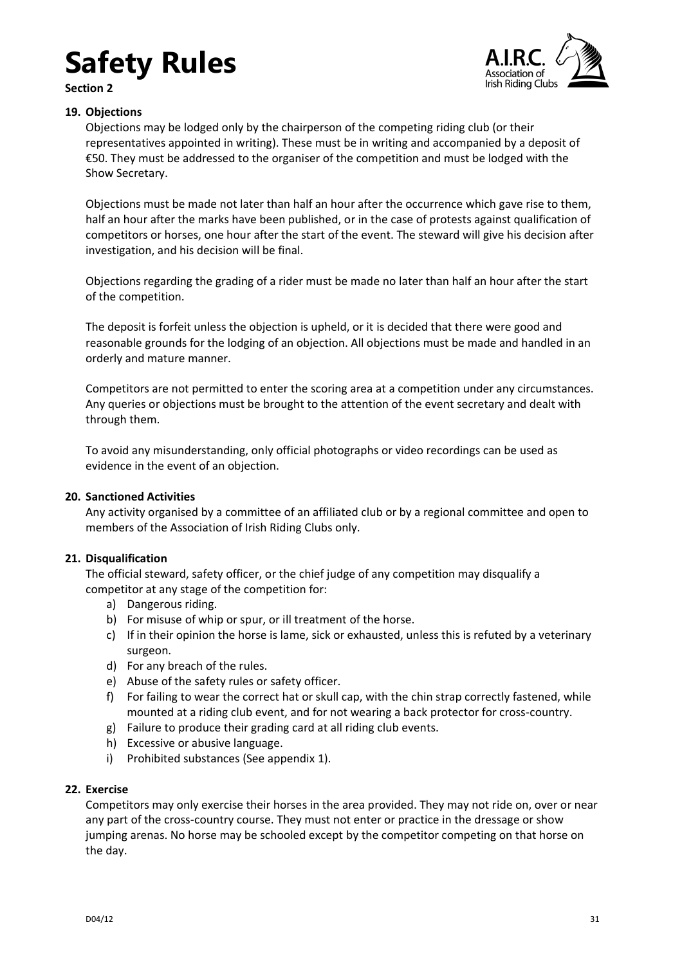

#### **Section 2**

### <span id="page-30-0"></span>**19. Objections**

Objections may be lodged only by the chairperson of the competing riding club (or their representatives appointed in writing). These must be in writing and accompanied by a deposit of €50. They must be addressed to the organiser of the competition and must be lodged with the Show Secretary.

Objections must be made not later than half an hour after the occurrence which gave rise to them, half an hour after the marks have been published, or in the case of protests against qualification of competitors or horses, one hour after the start of the event. The steward will give his decision after investigation, and his decision will be final.

Objections regarding the grading of a rider must be made no later than half an hour after the start of the competition.

The deposit is forfeit unless the objection is upheld, or it is decided that there were good and reasonable grounds for the lodging of an objection. All objections must be made and handled in an orderly and mature manner.

Competitors are not permitted to enter the scoring area at a competition under any circumstances. Any queries or objections must be brought to the attention of the event secretary and dealt with through them.

To avoid any misunderstanding, only official photographs or video recordings can be used as evidence in the event of an objection.

### <span id="page-30-1"></span>**20. Sanctioned Activities**

Any activity organised by a committee of an affiliated club or by a regional committee and open to members of the Association of Irish Riding Clubs only.

### <span id="page-30-2"></span>**21. Disqualification**

The official steward, safety officer, or the chief judge of any competition may disqualify a competitor at any stage of the competition for:

- a) Dangerous riding.
- b) For misuse of whip or spur, or ill treatment of the horse.
- c) If in their opinion the horse is lame, sick or exhausted, unless this is refuted by a veterinary surgeon.
- d) For any breach of the rules.
- e) Abuse of the safety rules or safety officer.
- f) For failing to wear the correct hat or skull cap, with the chin strap correctly fastened, while mounted at a riding club event, and for not wearing a back protector for cross-country.
- g) Failure to produce their grading card at all riding club events.
- h) Excessive or abusive language.
- i) Prohibited substances (See appendix 1).

### <span id="page-30-3"></span>**22. Exercise**

Competitors may only exercise their horses in the area provided. They may not ride on, over or near any part of the cross-country course. They must not enter or practice in the dressage or show jumping arenas. No horse may be schooled except by the competitor competing on that horse on the day.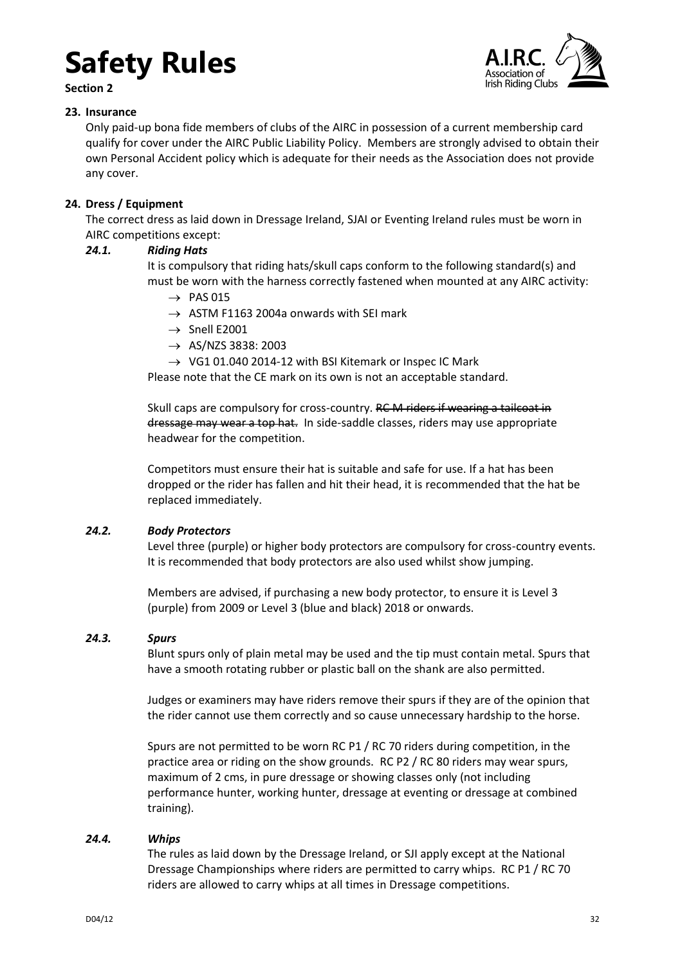**Section 2**



### <span id="page-31-0"></span>**23. Insurance**

Only paid-up bona fide members of clubs of the AIRC in possession of a current membership card qualify for cover under the AIRC Public Liability Policy. Members are strongly advised to obtain their own Personal Accident policy which is adequate for their needs as the Association does not provide any cover.

### <span id="page-31-1"></span>**24. Dress / Equipment**

The correct dress as laid down in Dressage Ireland, SJAI or Eventing Ireland rules must be worn in AIRC competitions except:

### <span id="page-31-2"></span>*24.1. Riding Hats*

It is compulsory that riding hats/skull caps conform to the following standard(s) and must be worn with the harness correctly fastened when mounted at any AIRC activity:

- $\rightarrow$  PAS 015
- $\rightarrow$  ASTM F1163 2004a onwards with SEI mark
- $\rightarrow$  Snell E2001
- $\rightarrow$  AS/NZS 3838: 2003
- $\rightarrow$  VG1 01.040 2014-12 with BSI Kitemark or Inspec IC Mark

Please note that the CE mark on its own is not an acceptable standard.

Skull caps are compulsory for cross-country. RC M riders if wearing a tailcoat in dressage may wear a top hat. In side-saddle classes, riders may use appropriate headwear for the competition.

Competitors must ensure their hat is suitable and safe for use. If a hat has been dropped or the rider has fallen and hit their head, it is recommended that the hat be replaced immediately.

### <span id="page-31-3"></span>*24.2. Body Protectors*

Level three (purple) or higher body protectors are compulsory for cross-country events. It is recommended that body protectors are also used whilst show jumping.

Members are advised, if purchasing a new body protector, to ensure it is Level 3 (purple) from 2009 or Level 3 (blue and black) 2018 or onwards.

### <span id="page-31-4"></span>*24.3. Spurs*

Blunt spurs only of plain metal may be used and the tip must contain metal. Spurs that have a smooth rotating rubber or plastic ball on the shank are also permitted.

Judges or examiners may have riders remove their spurs if they are of the opinion that the rider cannot use them correctly and so cause unnecessary hardship to the horse.

Spurs are not permitted to be worn RC P1 / RC 70 riders during competition, in the practice area or riding on the show grounds. RC P2 / RC 80 riders may wear spurs, maximum of 2 cms, in pure dressage or showing classes only (not including performance hunter, working hunter, dressage at eventing or dressage at combined training).

### <span id="page-31-5"></span>*24.4. Whips*

The rules as laid down by the Dressage Ireland, or SJI apply except at the National Dressage Championships where riders are permitted to carry whips. RC P1 / RC 70 riders are allowed to carry whips at all times in Dressage competitions.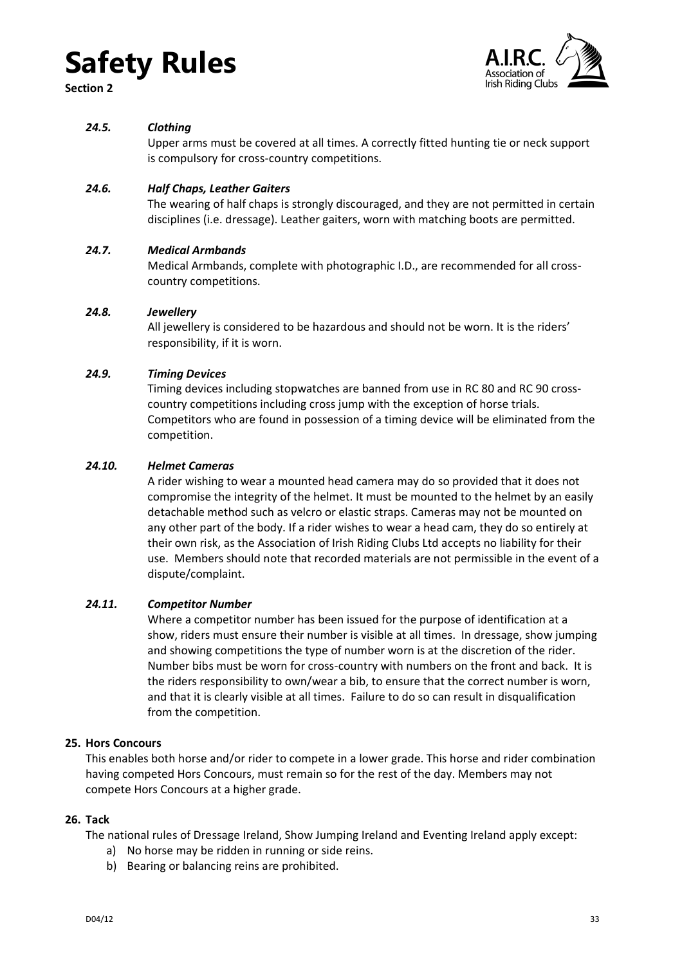**Section 2**



### <span id="page-32-0"></span>*24.5. Clothing*

Upper arms must be covered at all times. A correctly fitted hunting tie or neck support is compulsory for cross-country competitions.

### <span id="page-32-1"></span>*24.6. Half Chaps, Leather Gaiters*

The wearing of half chaps is strongly discouraged, and they are not permitted in certain disciplines (i.e. dressage). Leather gaiters, worn with matching boots are permitted.

### <span id="page-32-2"></span>*24.7. Medical Armbands*

Medical Armbands, complete with photographic I.D., are recommended for all crosscountry competitions.

### <span id="page-32-3"></span>*24.8. Jewellery*

All jewellery is considered to be hazardous and should not be worn. It is the riders' responsibility, if it is worn.

### <span id="page-32-4"></span>*24.9. Timing Devices*

Timing devices including stopwatches are banned from use in RC 80 and RC 90 crosscountry competitions including cross jump with the exception of horse trials. Competitors who are found in possession of a timing device will be eliminated from the competition.

### <span id="page-32-5"></span>*24.10. Helmet Cameras*

A rider wishing to wear a mounted head camera may do so provided that it does not compromise the integrity of the helmet. It must be mounted to the helmet by an easily detachable method such as velcro or elastic straps. Cameras may not be mounted on any other part of the body. If a rider wishes to wear a head cam, they do so entirely at their own risk, as the Association of Irish Riding Clubs Ltd accepts no liability for their use. Members should note that recorded materials are not permissible in the event of a dispute/complaint.

### <span id="page-32-6"></span>*24.11. Competitor Number*

Where a competitor number has been issued for the purpose of identification at a show, riders must ensure their number is visible at all times. In dressage, show jumping and showing competitions the type of number worn is at the discretion of the rider. Number bibs must be worn for cross-country with numbers on the front and back. It is the riders responsibility to own/wear a bib, to ensure that the correct number is worn, and that it is clearly visible at all times. Failure to do so can result in disqualification from the competition.

### <span id="page-32-7"></span>**25. Hors Concours**

This enables both horse and/or rider to compete in a lower grade. This horse and rider combination having competed Hors Concours, must remain so for the rest of the day. Members may not compete Hors Concours at a higher grade.

### <span id="page-32-8"></span>**26. Tack**

The national rules of Dressage Ireland, Show Jumping Ireland and Eventing Ireland apply except:

- a) No horse may be ridden in running or side reins.
- b) Bearing or balancing reins are prohibited.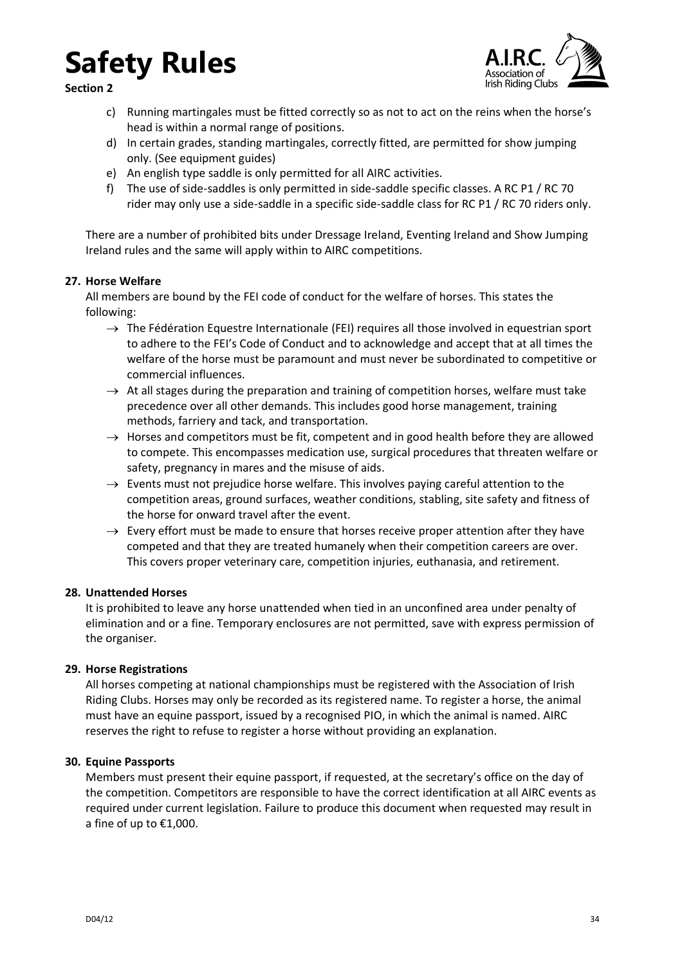**Section 2**



- c) Running martingales must be fitted correctly so as not to act on the reins when the horse's head is within a normal range of positions.
- d) In certain grades, standing martingales, correctly fitted, are permitted for show jumping only. (See equipment guides)
- e) An english type saddle is only permitted for all AIRC activities.
- f) The use of side-saddles is only permitted in side-saddle specific classes. A RC P1 / RC 70 rider may only use a side-saddle in a specific side-saddle class for RC P1 / RC 70 riders only.

There are a number of prohibited bits under Dressage Ireland, Eventing Ireland and Show Jumping Ireland rules and the same will apply within to AIRC competitions.

### <span id="page-33-0"></span>**27. Horse Welfare**

All members are bound by the FEI code of conduct for the welfare of horses. This states the following:

- $\rightarrow$  The Fédération Equestre Internationale (FEI) requires all those involved in equestrian sport to adhere to the FEI's Code of Conduct and to acknowledge and accept that at all times the welfare of the horse must be paramount and must never be subordinated to competitive or commercial influences.
- $\rightarrow$  At all stages during the preparation and training of competition horses, welfare must take precedence over all other demands. This includes good horse management, training methods, farriery and tack, and transportation.
- $\rightarrow$  Horses and competitors must be fit, competent and in good health before they are allowed to compete. This encompasses medication use, surgical procedures that threaten welfare or safety, pregnancy in mares and the misuse of aids.
- $\rightarrow$  Events must not prejudice horse welfare. This involves paying careful attention to the competition areas, ground surfaces, weather conditions, stabling, site safety and fitness of the horse for onward travel after the event.
- $\rightarrow$  Every effort must be made to ensure that horses receive proper attention after they have competed and that they are treated humanely when their competition careers are over. This covers proper veterinary care, competition injuries, euthanasia, and retirement.

### <span id="page-33-1"></span>**28. Unattended Horses**

It is prohibited to leave any horse unattended when tied in an unconfined area under penalty of elimination and or a fine. Temporary enclosures are not permitted, save with express permission of the organiser.

### <span id="page-33-2"></span>**29. Horse Registrations**

All horses competing at national championships must be registered with the Association of Irish Riding Clubs. Horses may only be recorded as its registered name. To register a horse, the animal must have an equine passport, issued by a recognised PIO, in which the animal is named. AIRC reserves the right to refuse to register a horse without providing an explanation.

### <span id="page-33-3"></span>**30. Equine Passports**

Members must present their equine passport, if requested, at the secretary's office on the day of the competition. Competitors are responsible to have the correct identification at all AIRC events as required under current legislation. Failure to produce this document when requested may result in a fine of up to €1,000.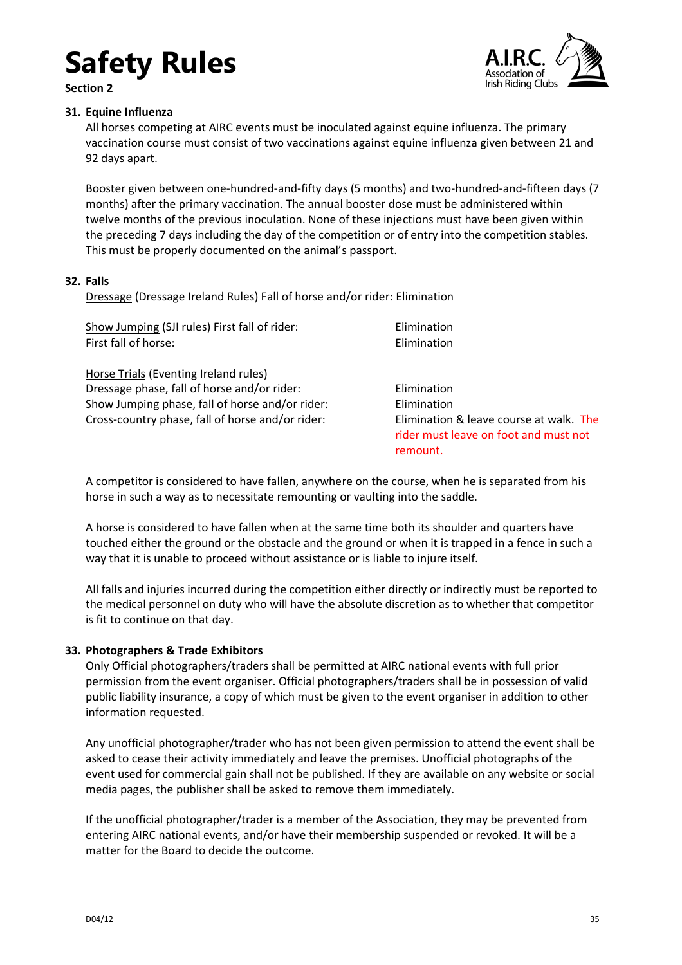**Section 2**



### <span id="page-34-0"></span>**31. Equine Influenza**

All horses competing at AIRC events must be inoculated against equine influenza. The primary vaccination course must consist of two vaccinations against equine influenza given between 21 and 92 days apart.

Booster given between one-hundred-and-fifty days (5 months) and two-hundred-and-fifteen days (7 months) after the primary vaccination. The annual booster dose must be administered within twelve months of the previous inoculation. None of these injections must have been given within the preceding 7 days including the day of the competition or of entry into the competition stables. This must be properly documented on the animal's passport.

### <span id="page-34-1"></span>**32. Falls**

Dressage (Dressage Ireland Rules) Fall of horse and/or rider: Elimination

| Show Jumping (SJI rules) First fall of rider:    | Elimination                                                                                  |
|--------------------------------------------------|----------------------------------------------------------------------------------------------|
| First fall of horse:                             | Elimination                                                                                  |
| Horse Trials (Eventing Ireland rules)            |                                                                                              |
| Dressage phase, fall of horse and/or rider:      | Elimination                                                                                  |
| Show Jumping phase, fall of horse and/or rider:  | Elimination                                                                                  |
| Cross-country phase, fall of horse and/or rider: | Elimination & leave course at walk. The<br>rider must leave on foot and must not<br>remount. |
|                                                  |                                                                                              |

A competitor is considered to have fallen, anywhere on the course, when he is separated from his horse in such a way as to necessitate remounting or vaulting into the saddle.

A horse is considered to have fallen when at the same time both its shoulder and quarters have touched either the ground or the obstacle and the ground or when it is trapped in a fence in such a way that it is unable to proceed without assistance or is liable to injure itself.

All falls and injuries incurred during the competition either directly or indirectly must be reported to the medical personnel on duty who will have the absolute discretion as to whether that competitor is fit to continue on that day.

### <span id="page-34-2"></span>**33. Photographers & Trade Exhibitors**

Only Official photographers/traders shall be permitted at AIRC national events with full prior permission from the event organiser. Official photographers/traders shall be in possession of valid public liability insurance, a copy of which must be given to the event organiser in addition to other information requested.

Any unofficial photographer/trader who has not been given permission to attend the event shall be asked to cease their activity immediately and leave the premises. Unofficial photographs of the event used for commercial gain shall not be published. If they are available on any website or social media pages, the publisher shall be asked to remove them immediately.

If the unofficial photographer/trader is a member of the Association, they may be prevented from entering AIRC national events, and/or have their membership suspended or revoked. It will be a matter for the Board to decide the outcome.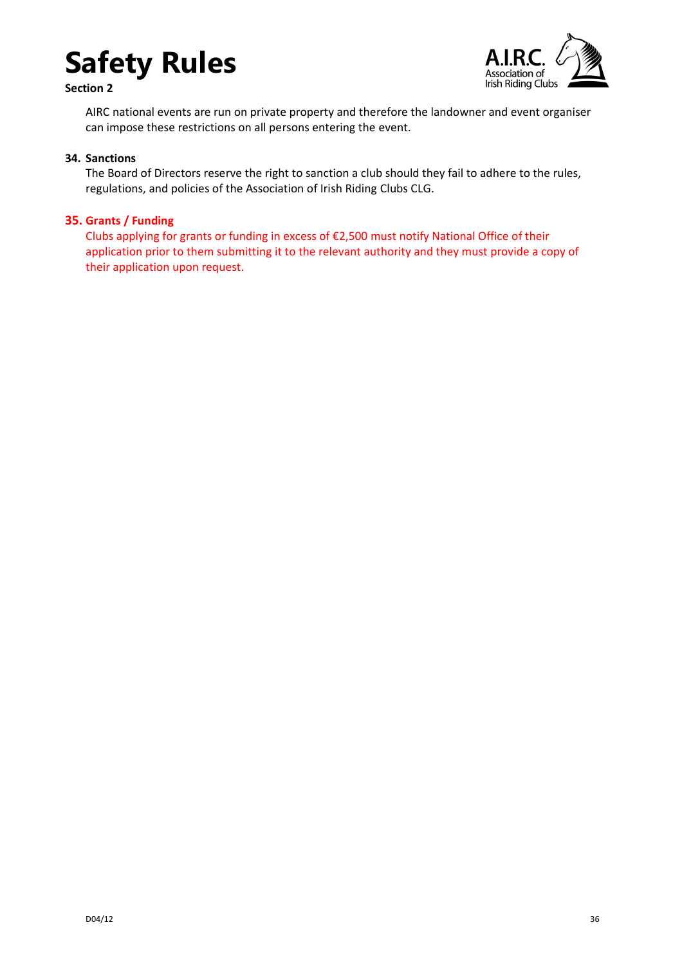

**Section 2**



AIRC national events are run on private property and therefore the landowner and event organiser can impose these restrictions on all persons entering the event.

#### <span id="page-35-0"></span>**34. Sanctions**

The Board of Directors reserve the right to sanction a club should they fail to adhere to the rules, regulations, and policies of the Association of Irish Riding Clubs CLG.

### <span id="page-35-1"></span>**35. Grants / Funding**

Clubs applying for grants or funding in excess of €2,500 must notify National Office of their application prior to them submitting it to the relevant authority and they must provide a copy of their application upon request.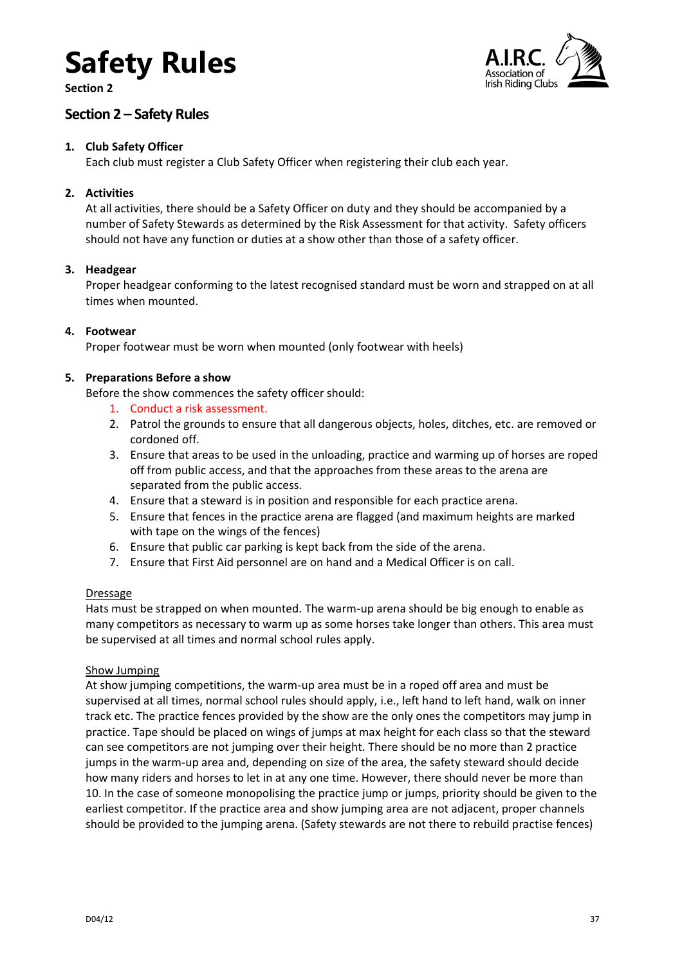**Section 2**



### <span id="page-36-0"></span>**Section 2 – Safety Rules**

### <span id="page-36-1"></span>**1. Club Safety Officer**

Each club must register a Club Safety Officer when registering their club each year.

### <span id="page-36-2"></span>**2. Activities**

At all activities, there should be a Safety Officer on duty and they should be accompanied by a number of Safety Stewards as determined by the Risk Assessment for that activity. Safety officers should not have any function or duties at a show other than those of a safety officer.

### <span id="page-36-3"></span>**3. Headgear**

Proper headgear conforming to the latest recognised standard must be worn and strapped on at all times when mounted.

### <span id="page-36-4"></span>**4. Footwear**

Proper footwear must be worn when mounted (only footwear with heels)

### <span id="page-36-5"></span>**5. Preparations Before a show**

Before the show commences the safety officer should:

- 1. Conduct a risk assessment.
- 2. Patrol the grounds to ensure that all dangerous objects, holes, ditches, etc. are removed or cordoned off.
- 3. Ensure that areas to be used in the unloading, practice and warming up of horses are roped off from public access, and that the approaches from these areas to the arena are separated from the public access.
- 4. Ensure that a steward is in position and responsible for each practice arena.
- 5. Ensure that fences in the practice arena are flagged (and maximum heights are marked with tape on the wings of the fences)
- 6. Ensure that public car parking is kept back from the side of the arena.
- 7. Ensure that First Aid personnel are on hand and a Medical Officer is on call.

### **Dressage**

Hats must be strapped on when mounted. The warm-up arena should be big enough to enable as many competitors as necessary to warm up as some horses take longer than others. This area must be supervised at all times and normal school rules apply.

### Show Jumping

At show jumping competitions, the warm-up area must be in a roped off area and must be supervised at all times, normal school rules should apply, i.e., left hand to left hand, walk on inner track etc. The practice fences provided by the show are the only ones the competitors may jump in practice. Tape should be placed on wings of jumps at max height for each class so that the steward can see competitors are not jumping over their height. There should be no more than 2 practice jumps in the warm-up area and, depending on size of the area, the safety steward should decide how many riders and horses to let in at any one time. However, there should never be more than 10. In the case of someone monopolising the practice jump or jumps, priority should be given to the earliest competitor. If the practice area and show jumping area are not adjacent, proper channels should be provided to the jumping arena. (Safety stewards are not there to rebuild practise fences)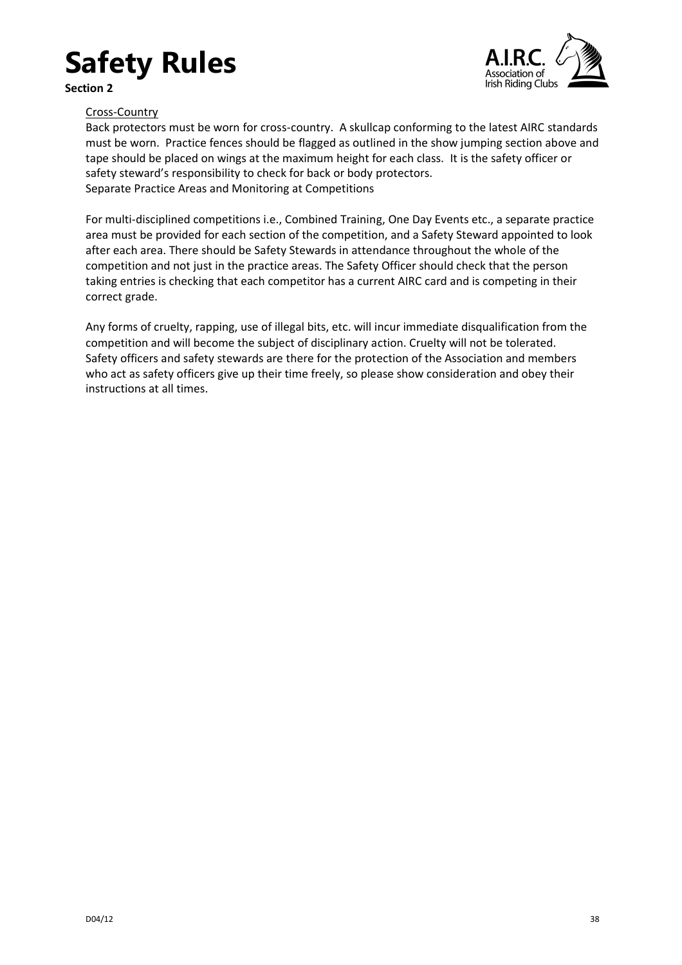**Section 2**



### Cross-Country

Back protectors must be worn for cross-country. A skullcap conforming to the latest AIRC standards must be worn. Practice fences should be flagged as outlined in the show jumping section above and tape should be placed on wings at the maximum height for each class. It is the safety officer or safety steward's responsibility to check for back or body protectors. Separate Practice Areas and Monitoring at Competitions

For multi-disciplined competitions i.e., Combined Training, One Day Events etc., a separate practice area must be provided for each section of the competition, and a Safety Steward appointed to look after each area. There should be Safety Stewards in attendance throughout the whole of the competition and not just in the practice areas. The Safety Officer should check that the person taking entries is checking that each competitor has a current AIRC card and is competing in their correct grade.

Any forms of cruelty, rapping, use of illegal bits, etc. will incur immediate disqualification from the competition and will become the subject of disciplinary action. Cruelty will not be tolerated. Safety officers and safety stewards are there for the protection of the Association and members who act as safety officers give up their time freely, so please show consideration and obey their instructions at all times.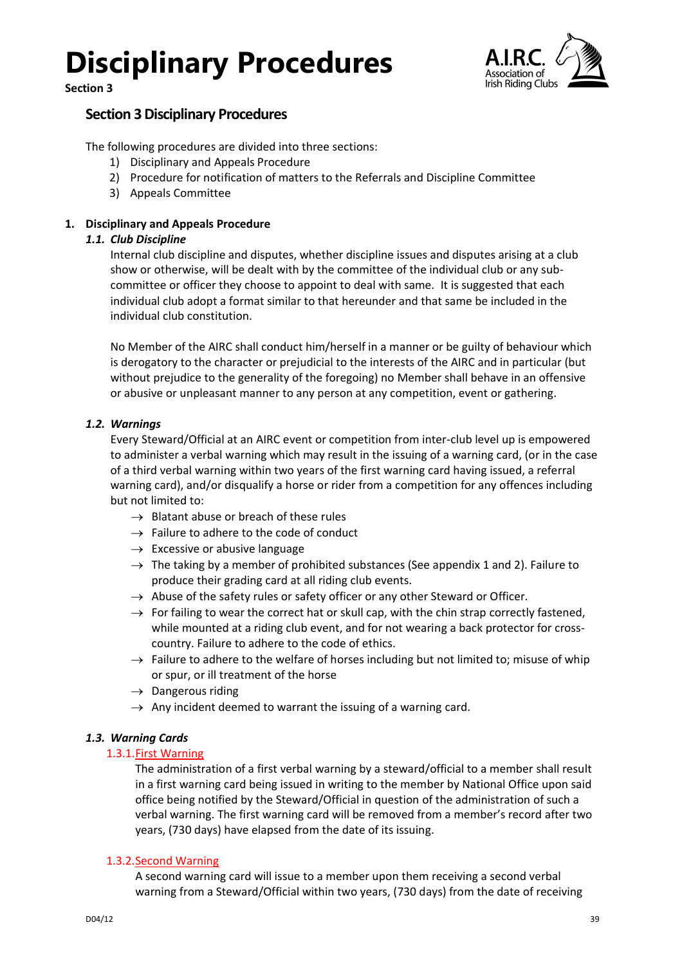**Section 3**



### <span id="page-38-0"></span>**Section 3 Disciplinary Procedures**

The following procedures are divided into three sections:

- 1) Disciplinary and Appeals Procedure
- 2) Procedure for notification of matters to the Referrals and Discipline Committee
- 3) Appeals Committee

### <span id="page-38-2"></span><span id="page-38-1"></span>**1. Disciplinary and Appeals Procedure**

### *1.1. Club Discipline*

Internal club discipline and disputes, whether discipline issues and disputes arising at a club show or otherwise, will be dealt with by the committee of the individual club or any subcommittee or officer they choose to appoint to deal with same. It is suggested that each individual club adopt a format similar to that hereunder and that same be included in the individual club constitution.

No Member of the AIRC shall conduct him/herself in a manner or be guilty of behaviour which is derogatory to the character or prejudicial to the interests of the AIRC and in particular (but without prejudice to the generality of the foregoing) no Member shall behave in an offensive or abusive or unpleasant manner to any person at any competition, event or gathering.

### <span id="page-38-3"></span>*1.2. Warnings*

Every Steward/Official at an AIRC event or competition from inter-club level up is empowered to administer a verbal warning which may result in the issuing of a warning card, (or in the case of a third verbal warning within two years of the first warning card having issued, a referral warning card), and/or disqualify a horse or rider from a competition for any offences including but not limited to:

- $\rightarrow$  Blatant abuse or breach of these rules
- $\rightarrow$  Failure to adhere to the code of conduct
- $\rightarrow$  Excessive or abusive language
- $\rightarrow$  The taking by a member of prohibited substances (See appendix 1 and 2). Failure to produce their grading card at all riding club events.
- $\rightarrow$  Abuse of the safety rules or safety officer or any other Steward or Officer.
- $\rightarrow$  For failing to wear the correct hat or skull cap, with the chin strap correctly fastened, while mounted at a riding club event, and for not wearing a back protector for crosscountry. Failure to adhere to the code of ethics.
- $\rightarrow$  Failure to adhere to the welfare of horses including but not limited to; misuse of whip or spur, or ill treatment of the horse
- $\rightarrow$  Dangerous riding
- $\rightarrow$  Any incident deemed to warrant the issuing of a warning card.

### <span id="page-38-5"></span><span id="page-38-4"></span>*1.3. Warning Cards*

### 1.3.1.First Warning

The administration of a first verbal warning by a steward/official to a member shall result in a first warning card being issued in writing to the member by National Office upon said office being notified by the Steward/Official in question of the administration of such a verbal warning. The first warning card will be removed from a member's record after two years, (730 days) have elapsed from the date of its issuing.

### <span id="page-38-6"></span>1.3.2.Second Warning

A second warning card will issue to a member upon them receiving a second verbal warning from a Steward/Official within two years, (730 days) from the date of receiving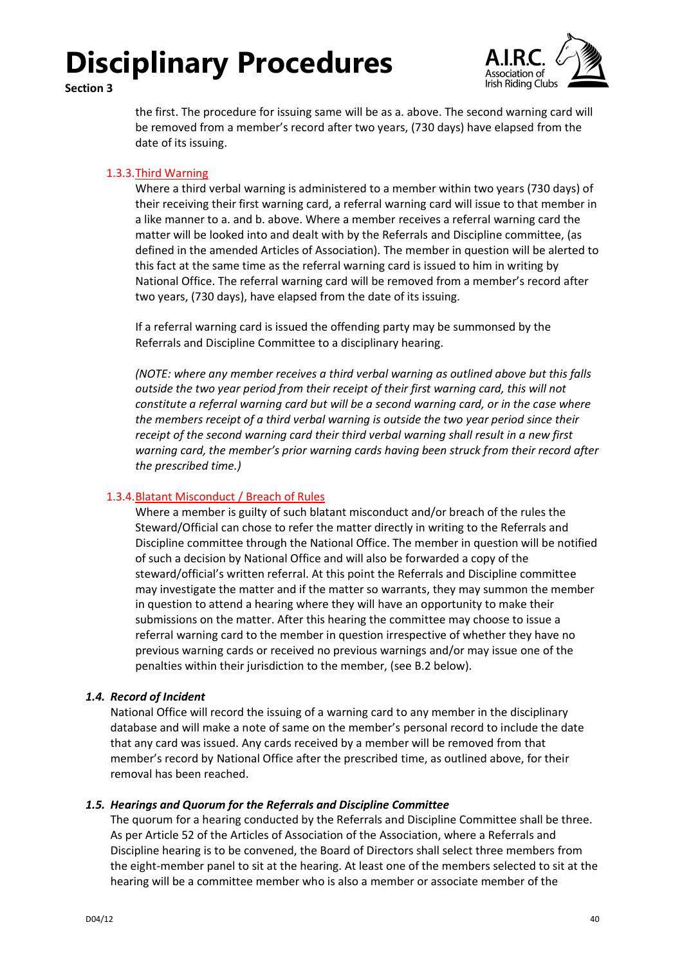### **Section 3**



the first. The procedure for issuing same will be as a. above. The second warning card will be removed from a member's record after two years, (730 days) have elapsed from the date of its issuing.

### <span id="page-39-0"></span>1.3.3.Third Warning

Where a third verbal warning is administered to a member within two years (730 days) of their receiving their first warning card, a referral warning card will issue to that member in a like manner to a. and b. above. Where a member receives a referral warning card the matter will be looked into and dealt with by the Referrals and Discipline committee, (as defined in the amended Articles of Association). The member in question will be alerted to this fact at the same time as the referral warning card is issued to him in writing by National Office. The referral warning card will be removed from a member's record after two years, (730 days), have elapsed from the date of its issuing.

If a referral warning card is issued the offending party may be summonsed by the Referrals and Discipline Committee to a disciplinary hearing.

*(NOTE: where any member receives a third verbal warning as outlined above but this falls outside the two year period from their receipt of their first warning card, this will not constitute a referral warning card but will be a second warning card, or in the case where the members receipt of a third verbal warning is outside the two year period since their receipt of the second warning card their third verbal warning shall result in a new first warning card, the member's prior warning cards having been struck from their record after the prescribed time.)*

### <span id="page-39-1"></span>1.3.4.Blatant Misconduct / Breach of Rules

Where a member is guilty of such blatant misconduct and/or breach of the rules the Steward/Official can chose to refer the matter directly in writing to the Referrals and Discipline committee through the National Office. The member in question will be notified of such a decision by National Office and will also be forwarded a copy of the steward/official's written referral. At this point the Referrals and Discipline committee may investigate the matter and if the matter so warrants, they may summon the member in question to attend a hearing where they will have an opportunity to make their submissions on the matter. After this hearing the committee may choose to issue a referral warning card to the member in question irrespective of whether they have no previous warning cards or received no previous warnings and/or may issue one of the penalties within their jurisdiction to the member, (see B.2 below).

### <span id="page-39-2"></span>*1.4. Record of Incident*

National Office will record the issuing of a warning card to any member in the disciplinary database and will make a note of same on the member's personal record to include the date that any card was issued. Any cards received by a member will be removed from that member's record by National Office after the prescribed time, as outlined above, for their removal has been reached.

### <span id="page-39-3"></span>*1.5. Hearings and Quorum for the Referrals and Discipline Committee*

The quorum for a hearing conducted by the Referrals and Discipline Committee shall be three. As per Article 52 of the Articles of Association of the Association, where a Referrals and Discipline hearing is to be convened, the Board of Directors shall select three members from the eight-member panel to sit at the hearing. At least one of the members selected to sit at the hearing will be a committee member who is also a member or associate member of the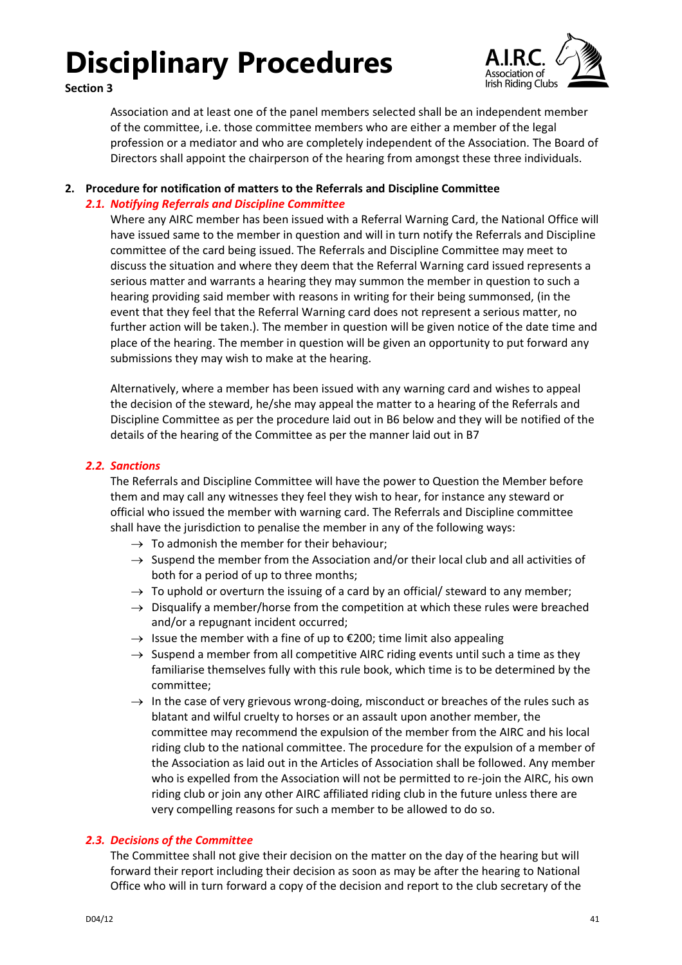



Association and at least one of the panel members selected shall be an independent member of the committee, i.e. those committee members who are either a member of the legal profession or a mediator and who are completely independent of the Association. The Board of Directors shall appoint the chairperson of the hearing from amongst these three individuals.

### <span id="page-40-1"></span><span id="page-40-0"></span>**2. Procedure for notification of matters to the Referrals and Discipline Committee**

### *2.1. Notifying Referrals and Discipline Committee*

Where any AIRC member has been issued with a Referral Warning Card, the National Office will have issued same to the member in question and will in turn notify the Referrals and Discipline committee of the card being issued. The Referrals and Discipline Committee may meet to discuss the situation and where they deem that the Referral Warning card issued represents a serious matter and warrants a hearing they may summon the member in question to such a hearing providing said member with reasons in writing for their being summonsed, (in the event that they feel that the Referral Warning card does not represent a serious matter, no further action will be taken.). The member in question will be given notice of the date time and place of the hearing. The member in question will be given an opportunity to put forward any submissions they may wish to make at the hearing.

Alternatively, where a member has been issued with any warning card and wishes to appeal the decision of the steward, he/she may appeal the matter to a hearing of the Referrals and Discipline Committee as per the procedure laid out in B6 below and they will be notified of the details of the hearing of the Committee as per the manner laid out in B7

### <span id="page-40-2"></span>*2.2. Sanctions*

The Referrals and Discipline Committee will have the power to Question the Member before them and may call any witnesses they feel they wish to hear, for instance any steward or official who issued the member with warning card. The Referrals and Discipline committee shall have the jurisdiction to penalise the member in any of the following ways:

- $\rightarrow$  To admonish the member for their behaviour:
- $\rightarrow$  Suspend the member from the Association and/or their local club and all activities of both for a period of up to three months;
- $\rightarrow$  To uphold or overturn the issuing of a card by an official/ steward to any member;
- $\rightarrow$  Disqualify a member/horse from the competition at which these rules were breached and/or a repugnant incident occurred;
- $\rightarrow$  Issue the member with a fine of up to  $\epsilon$ 200; time limit also appealing
- $\rightarrow$  Suspend a member from all competitive AIRC riding events until such a time as they familiarise themselves fully with this rule book, which time is to be determined by the committee;
- $\rightarrow$  In the case of very grievous wrong-doing, misconduct or breaches of the rules such as blatant and wilful cruelty to horses or an assault upon another member, the committee may recommend the expulsion of the member from the AIRC and his local riding club to the national committee. The procedure for the expulsion of a member of the Association as laid out in the Articles of Association shall be followed. Any member who is expelled from the Association will not be permitted to re-join the AIRC, his own riding club or join any other AIRC affiliated riding club in the future unless there are very compelling reasons for such a member to be allowed to do so.

### <span id="page-40-3"></span>*2.3. Decisions of the Committee*

The Committee shall not give their decision on the matter on the day of the hearing but will forward their report including their decision as soon as may be after the hearing to National Office who will in turn forward a copy of the decision and report to the club secretary of the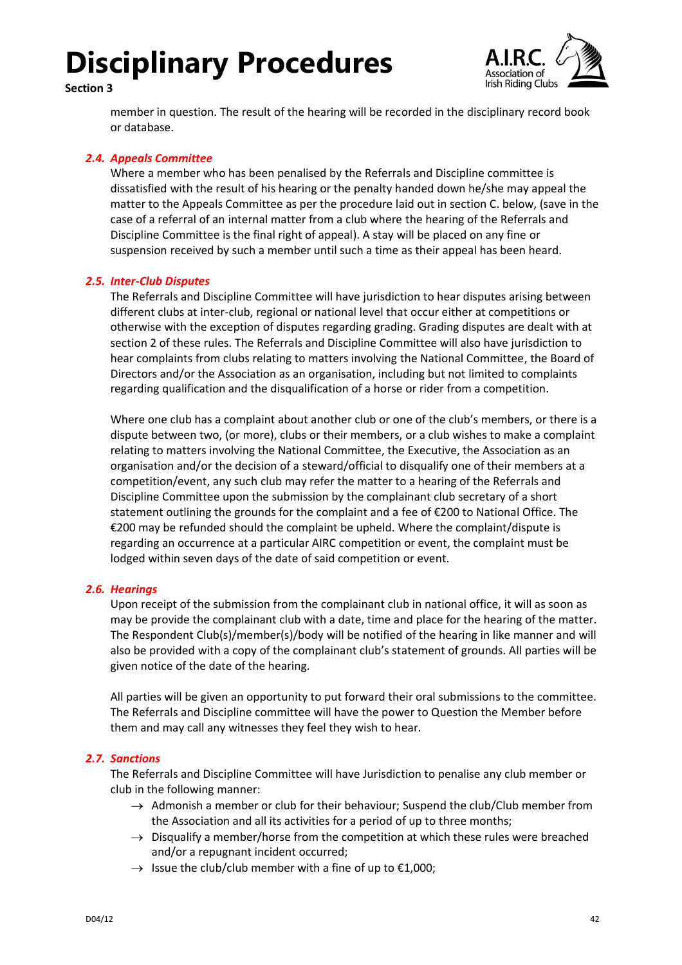



member in question. The result of the hearing will be recorded in the disciplinary record book or database.

### <span id="page-41-0"></span>*2.4. Appeals Committee*

Where a member who has been penalised by the Referrals and Discipline committee is dissatisfied with the result of his hearing or the penalty handed down he/she may appeal the matter to the Appeals Committee as per the procedure laid out in section C. below, (save in the case of a referral of an internal matter from a club where the hearing of the Referrals and Discipline Committee is the final right of appeal). A stay will be placed on any fine or suspension received by such a member until such a time as their appeal has been heard.

### <span id="page-41-1"></span>*2.5. Inter-Club Disputes*

The Referrals and Discipline Committee will have jurisdiction to hear disputes arising between different clubs at inter-club, regional or national level that occur either at competitions or otherwise with the exception of disputes regarding grading. Grading disputes are dealt with at section 2 of these rules. The Referrals and Discipline Committee will also have jurisdiction to hear complaints from clubs relating to matters involving the National Committee, the Board of Directors and/or the Association as an organisation, including but not limited to complaints regarding qualification and the disqualification of a horse or rider from a competition.

Where one club has a complaint about another club or one of the club's members, or there is a dispute between two, (or more), clubs or their members, or a club wishes to make a complaint relating to matters involving the National Committee, the Executive, the Association as an organisation and/or the decision of a steward/official to disqualify one of their members at a competition/event, any such club may refer the matter to a hearing of the Referrals and Discipline Committee upon the submission by the complainant club secretary of a short statement outlining the grounds for the complaint and a fee of €200 to National Office. The €200 may be refunded should the complaint be upheld. Where the complaint/dispute is regarding an occurrence at a particular AIRC competition or event, the complaint must be lodged within seven days of the date of said competition or event.

### <span id="page-41-2"></span>*2.6. Hearings*

Upon receipt of the submission from the complainant club in national office, it will as soon as may be provide the complainant club with a date, time and place for the hearing of the matter. The Respondent Club(s)/member(s)/body will be notified of the hearing in like manner and will also be provided with a copy of the complainant club's statement of grounds. All parties will be given notice of the date of the hearing.

All parties will be given an opportunity to put forward their oral submissions to the committee. The Referrals and Discipline committee will have the power to Question the Member before them and may call any witnesses they feel they wish to hear.

### <span id="page-41-3"></span>*2.7. Sanctions*

The Referrals and Discipline Committee will have Jurisdiction to penalise any club member or club in the following manner:

- $\rightarrow$  Admonish a member or club for their behaviour; Suspend the club/Club member from the Association and all its activities for a period of up to three months;
- $\rightarrow$  Disqualify a member/horse from the competition at which these rules were breached and/or a repugnant incident occurred;
- $\rightarrow$  Issue the club/club member with a fine of up to  $\epsilon$ 1,000;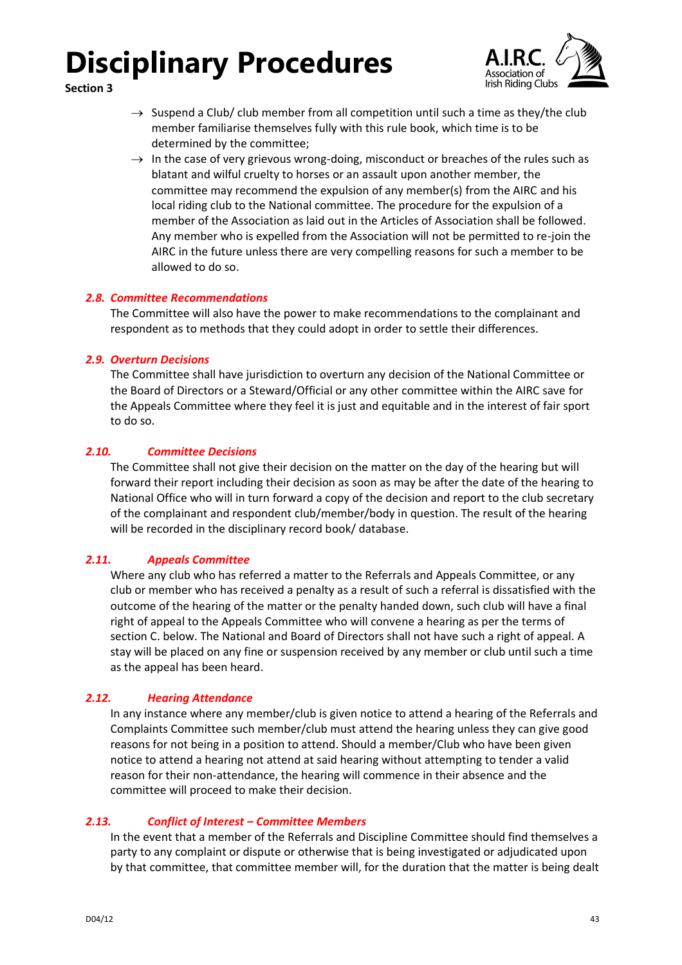



- $\rightarrow$  Suspend a Club/ club member from all competition until such a time as they/the club member familiarise themselves fully with this rule book, which time is to be determined by the committee;
- $\rightarrow$  In the case of very grievous wrong-doing, misconduct or breaches of the rules such as blatant and wilful cruelty to horses or an assault upon another member, the committee may recommend the expulsion of any member(s) from the AIRC and his local riding club to the National committee. The procedure for the expulsion of a member of the Association as laid out in the Articles of Association shall be followed. Any member who is expelled from the Association will not be permitted to re-join the AIRC in the future unless there are very compelling reasons for such a member to be allowed to do so.

### <span id="page-42-0"></span>*2.8. Committee Recommendations*

The Committee will also have the power to make recommendations to the complainant and respondent as to methods that they could adopt in order to settle their differences.

### <span id="page-42-1"></span>*2.9. Overturn Decisions*

The Committee shall have jurisdiction to overturn any decision of the National Committee or the Board of Directors or a Steward/Official or any other committee within the AIRC save for the Appeals Committee where they feel it is just and equitable and in the interest of fair sport to do so.

### <span id="page-42-2"></span>*2.10. Committee Decisions*

The Committee shall not give their decision on the matter on the day of the hearing but will forward their report including their decision as soon as may be after the date of the hearing to National Office who will in turn forward a copy of the decision and report to the club secretary of the complainant and respondent club/member/body in question. The result of the hearing will be recorded in the disciplinary record book/ database.

### <span id="page-42-3"></span>*2.11. Appeals Committee*

Where any club who has referred a matter to the Referrals and Appeals Committee, or any club or member who has received a penalty as a result of such a referral is dissatisfied with the outcome of the hearing of the matter or the penalty handed down, such club will have a final right of appeal to the Appeals Committee who will convene a hearing as per the terms of section C. below. The National and Board of Directors shall not have such a right of appeal. A stay will be placed on any fine or suspension received by any member or club until such a time as the appeal has been heard.

### <span id="page-42-4"></span>*2.12. Hearing Attendance*

In any instance where any member/club is given notice to attend a hearing of the Referrals and Complaints Committee such member/club must attend the hearing unless they can give good reasons for not being in a position to attend. Should a member/Club who have been given notice to attend a hearing not attend at said hearing without attempting to tender a valid reason for their non-attendance, the hearing will commence in their absence and the committee will proceed to make their decision.

### <span id="page-42-5"></span>*2.13. Conflict of Interest – Committee Members*

In the event that a member of the Referrals and Discipline Committee should find themselves a party to any complaint or dispute or otherwise that is being investigated or adjudicated upon by that committee, that committee member will, for the duration that the matter is being dealt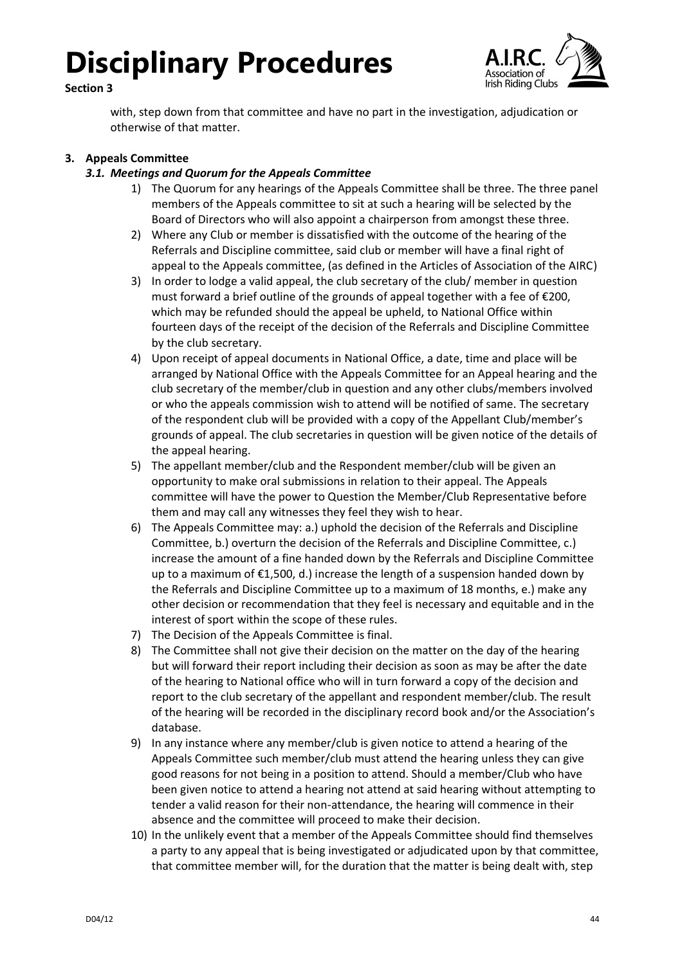### **Section 3**



with, step down from that committee and have no part in the investigation, adjudication or otherwise of that matter.

### <span id="page-43-1"></span><span id="page-43-0"></span>**3. Appeals Committee**

### *3.1. Meetings and Quorum for the Appeals Committee*

- 1) The Quorum for any hearings of the Appeals Committee shall be three. The three panel members of the Appeals committee to sit at such a hearing will be selected by the Board of Directors who will also appoint a chairperson from amongst these three.
- 2) Where any Club or member is dissatisfied with the outcome of the hearing of the Referrals and Discipline committee, said club or member will have a final right of appeal to the Appeals committee, (as defined in the Articles of Association of the AIRC)
- 3) In order to lodge a valid appeal, the club secretary of the club/ member in question must forward a brief outline of the grounds of appeal together with a fee of €200, which may be refunded should the appeal be upheld, to National Office within fourteen days of the receipt of the decision of the Referrals and Discipline Committee by the club secretary.
- 4) Upon receipt of appeal documents in National Office, a date, time and place will be arranged by National Office with the Appeals Committee for an Appeal hearing and the club secretary of the member/club in question and any other clubs/members involved or who the appeals commission wish to attend will be notified of same. The secretary of the respondent club will be provided with a copy of the Appellant Club/member's grounds of appeal. The club secretaries in question will be given notice of the details of the appeal hearing.
- 5) The appellant member/club and the Respondent member/club will be given an opportunity to make oral submissions in relation to their appeal. The Appeals committee will have the power to Question the Member/Club Representative before them and may call any witnesses they feel they wish to hear.
- 6) The Appeals Committee may: a.) uphold the decision of the Referrals and Discipline Committee, b.) overturn the decision of the Referrals and Discipline Committee, c.) increase the amount of a fine handed down by the Referrals and Discipline Committee up to a maximum of €1,500, d.) increase the length of a suspension handed down by the Referrals and Discipline Committee up to a maximum of 18 months, e.) make any other decision or recommendation that they feel is necessary and equitable and in the interest of sport within the scope of these rules.
- 7) The Decision of the Appeals Committee is final.
- 8) The Committee shall not give their decision on the matter on the day of the hearing but will forward their report including their decision as soon as may be after the date of the hearing to National office who will in turn forward a copy of the decision and report to the club secretary of the appellant and respondent member/club. The result of the hearing will be recorded in the disciplinary record book and/or the Association's database.
- 9) In any instance where any member/club is given notice to attend a hearing of the Appeals Committee such member/club must attend the hearing unless they can give good reasons for not being in a position to attend. Should a member/Club who have been given notice to attend a hearing not attend at said hearing without attempting to tender a valid reason for their non-attendance, the hearing will commence in their absence and the committee will proceed to make their decision.
- 10) In the unlikely event that a member of the Appeals Committee should find themselves a party to any appeal that is being investigated or adjudicated upon by that committee, that committee member will, for the duration that the matter is being dealt with, step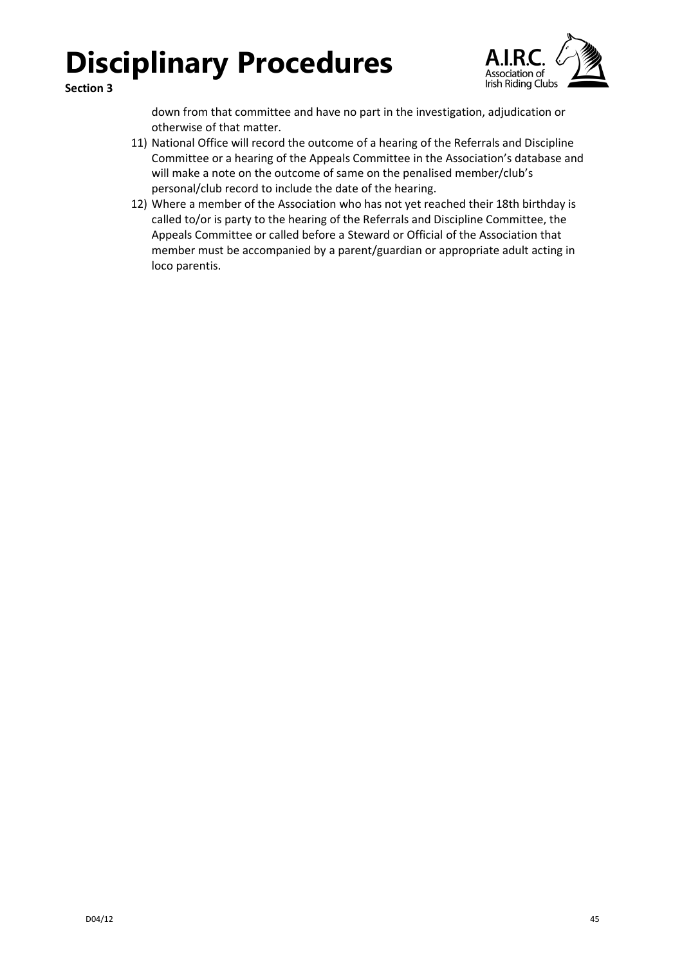

**Section 3**

down from that committee and have no part in the investigation, adjudication or otherwise of that matter.

- 11) National Office will record the outcome of a hearing of the Referrals and Discipline Committee or a hearing of the Appeals Committee in the Association's database and will make a note on the outcome of same on the penalised member/club's personal/club record to include the date of the hearing.
- 12) Where a member of the Association who has not yet reached their 18th birthday is called to/or is party to the hearing of the Referrals and Discipline Committee, the Appeals Committee or called before a Steward or Official of the Association that member must be accompanied by a parent/guardian or appropriate adult acting in loco parentis.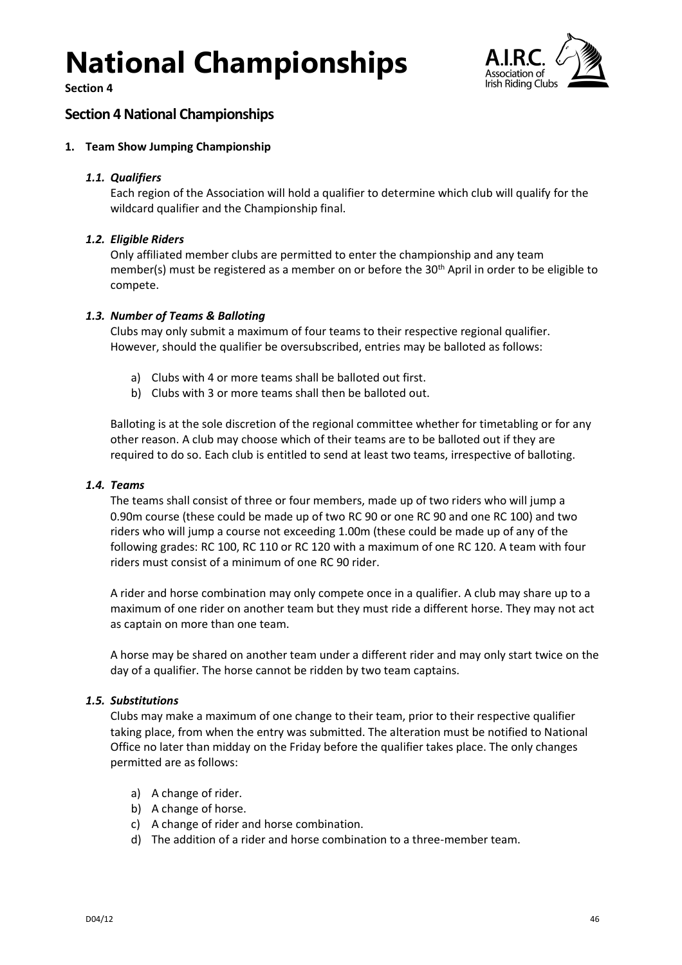**Section 4**



### <span id="page-45-0"></span>**Section 4 National Championships**

### <span id="page-45-1"></span>**1. Team Show Jumping Championship**

### <span id="page-45-2"></span>*1.1. Qualifiers*

Each region of the Association will hold a qualifier to determine which club will qualify for the wildcard qualifier and the Championship final.

### <span id="page-45-3"></span>*1.2. Eligible Riders*

Only affiliated member clubs are permitted to enter the championship and any team member(s) must be registered as a member on or before the 30<sup>th</sup> April in order to be eligible to compete.

### <span id="page-45-4"></span>*1.3. Number of Teams & Balloting*

Clubs may only submit a maximum of four teams to their respective regional qualifier. However, should the qualifier be oversubscribed, entries may be balloted as follows:

- a) Clubs with 4 or more teams shall be balloted out first.
- b) Clubs with 3 or more teams shall then be balloted out.

Balloting is at the sole discretion of the regional committee whether for timetabling or for any other reason. A club may choose which of their teams are to be balloted out if they are required to do so. Each club is entitled to send at least two teams, irrespective of balloting.

### <span id="page-45-5"></span>*1.4. Teams*

The teams shall consist of three or four members, made up of two riders who will jump a 0.90m course (these could be made up of two RC 90 or one RC 90 and one RC 100) and two riders who will jump a course not exceeding 1.00m (these could be made up of any of the following grades: RC 100, RC 110 or RC 120 with a maximum of one RC 120. A team with four riders must consist of a minimum of one RC 90 rider.

A rider and horse combination may only compete once in a qualifier. A club may share up to a maximum of one rider on another team but they must ride a different horse. They may not act as captain on more than one team.

A horse may be shared on another team under a different rider and may only start twice on the day of a qualifier. The horse cannot be ridden by two team captains.

### <span id="page-45-6"></span>*1.5. Substitutions*

Clubs may make a maximum of one change to their team, prior to their respective qualifier taking place, from when the entry was submitted. The alteration must be notified to National Office no later than midday on the Friday before the qualifier takes place. The only changes permitted are as follows:

- a) A change of rider.
- b) A change of horse.
- c) A change of rider and horse combination.
- d) The addition of a rider and horse combination to a three-member team.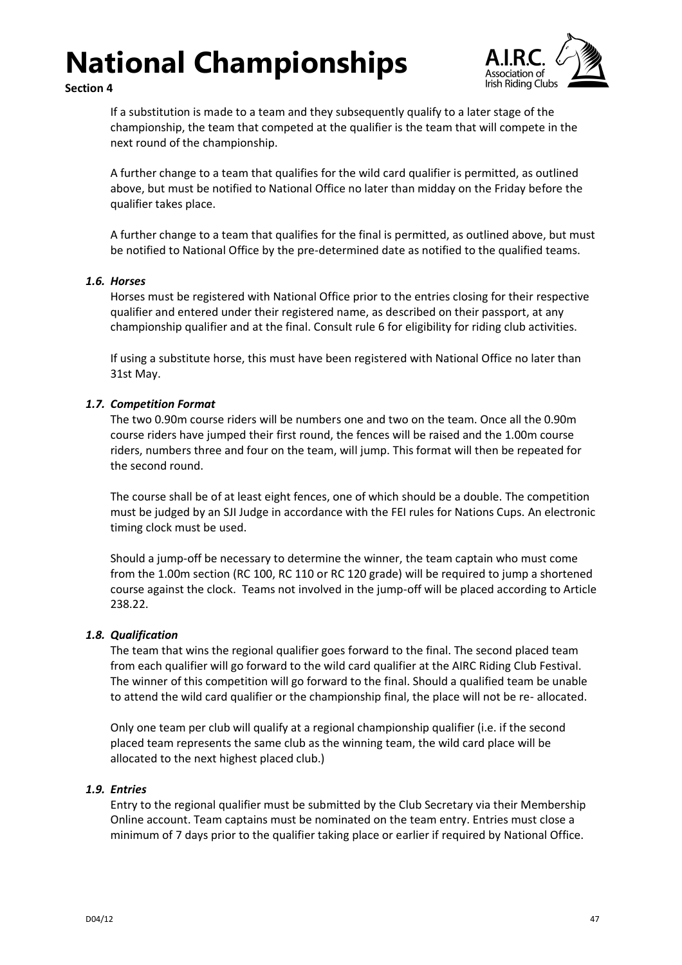

**Section 4**

If a substitution is made to a team and they subsequently qualify to a later stage of the championship, the team that competed at the qualifier is the team that will compete in the next round of the championship.

A further change to a team that qualifies for the wild card qualifier is permitted, as outlined above, but must be notified to National Office no later than midday on the Friday before the qualifier takes place.

A further change to a team that qualifies for the final is permitted, as outlined above, but must be notified to National Office by the pre-determined date as notified to the qualified teams.

### <span id="page-46-0"></span>*1.6. Horses*

Horses must be registered with National Office prior to the entries closing for their respective qualifier and entered under their registered name, as described on their passport, at any championship qualifier and at the final. Consult rule 6 for eligibility for riding club activities.

If using a substitute horse, this must have been registered with National Office no later than 31st May.

### <span id="page-46-1"></span>*1.7. Competition Format*

The two 0.90m course riders will be numbers one and two on the team. Once all the 0.90m course riders have jumped their first round, the fences will be raised and the 1.00m course riders, numbers three and four on the team, will jump. This format will then be repeated for the second round.

The course shall be of at least eight fences, one of which should be a double. The competition must be judged by an SJI Judge in accordance with the FEI rules for Nations Cups. An electronic timing clock must be used.

Should a jump-off be necessary to determine the winner, the team captain who must come from the 1.00m section (RC 100, RC 110 or RC 120 grade) will be required to jump a shortened course against the clock. Teams not involved in the jump-off will be placed according to Article 238.22.

### <span id="page-46-2"></span>*1.8. Qualification*

The team that wins the regional qualifier goes forward to the final. The second placed team from each qualifier will go forward to the wild card qualifier at the AIRC Riding Club Festival. The winner of this competition will go forward to the final. Should a qualified team be unable to attend the wild card qualifier or the championship final, the place will not be re- allocated.

Only one team per club will qualify at a regional championship qualifier (i.e. if the second placed team represents the same club as the winning team, the wild card place will be allocated to the next highest placed club.)

### <span id="page-46-3"></span>*1.9. Entries*

Entry to the regional qualifier must be submitted by the Club Secretary via their Membership Online account. Team captains must be nominated on the team entry. Entries must close a minimum of 7 days prior to the qualifier taking place or earlier if required by National Office.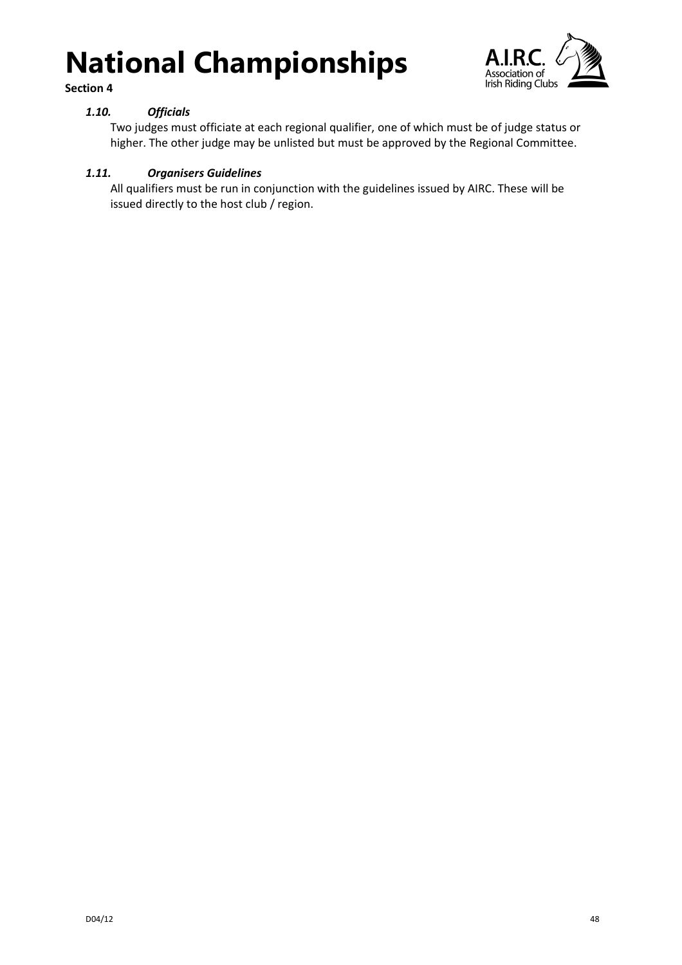



### <span id="page-47-0"></span>*1.10. Officials*

Two judges must officiate at each regional qualifier, one of which must be of judge status or higher. The other judge may be unlisted but must be approved by the Regional Committee.

### <span id="page-47-1"></span>*1.11. Organisers Guidelines*

All qualifiers must be run in conjunction with the guidelines issued by AIRC. These will be issued directly to the host club / region.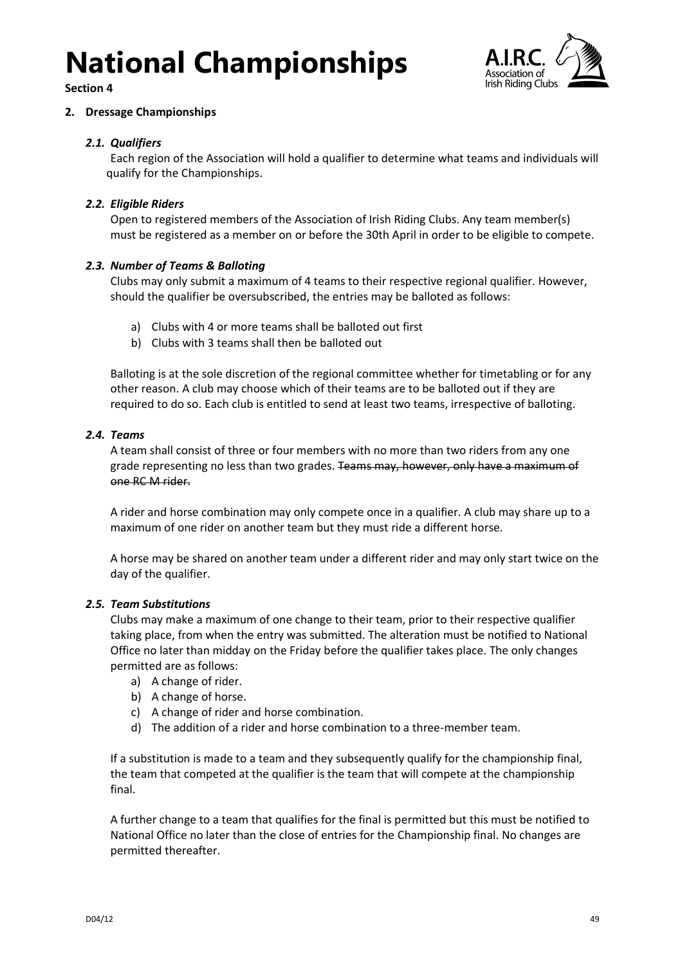

**Section 4**

### <span id="page-48-0"></span>**2. Dressage Championships**

### <span id="page-48-1"></span>*2.1. Qualifiers*

Each region of the Association will hold a qualifier to determine what teams and individuals will qualify for the Championships.

### <span id="page-48-2"></span>*2.2. Eligible Riders*

Open to registered members of the Association of Irish Riding Clubs. Any team member(s) must be registered as a member on or before the 30th April in order to be eligible to compete.

### <span id="page-48-3"></span>*2.3. Number of Teams & Balloting*

Clubs may only submit a maximum of 4 teams to their respective regional qualifier. However, should the qualifier be oversubscribed, the entries may be balloted as follows:

- a) Clubs with 4 or more teams shall be balloted out first
- b) Clubs with 3 teams shall then be balloted out

Balloting is at the sole discretion of the regional committee whether for timetabling or for any other reason. A club may choose which of their teams are to be balloted out if they are required to do so. Each club is entitled to send at least two teams, irrespective of balloting.

### <span id="page-48-4"></span>*2.4. Teams*

A team shall consist of three or four members with no more than two riders from any one grade representing no less than two grades. Teams may, however, only have a maximum of one RC M rider.

A rider and horse combination may only compete once in a qualifier. A club may share up to a maximum of one rider on another team but they must ride a different horse.

A horse may be shared on another team under a different rider and may only start twice on the day of the qualifier.

### <span id="page-48-5"></span>*2.5. Team Substitutions*

Clubs may make a maximum of one change to their team, prior to their respective qualifier taking place, from when the entry was submitted. The alteration must be notified to National Office no later than midday on the Friday before the qualifier takes place. The only changes permitted are as follows:

- a) A change of rider.
- b) A change of horse.
- c) A change of rider and horse combination.
- d) The addition of a rider and horse combination to a three-member team.

If a substitution is made to a team and they subsequently qualify for the championship final, the team that competed at the qualifier is the team that will compete at the championship final.

A further change to a team that qualifies for the final is permitted but this must be notified to National Office no later than the close of entries for the Championship final. No changes are permitted thereafter.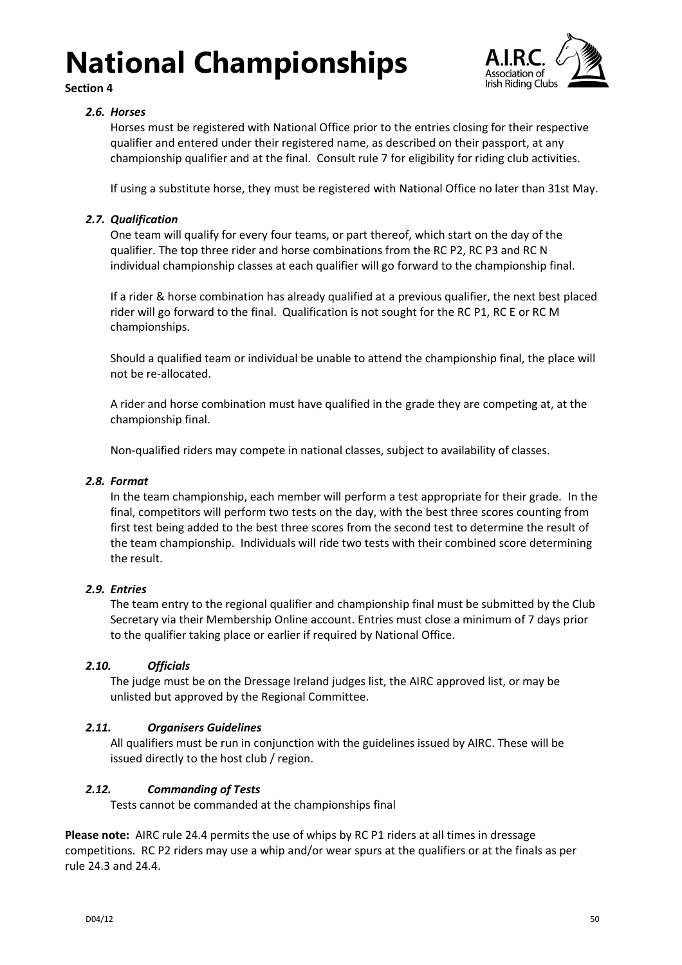

**Section 4**

### <span id="page-49-0"></span>*2.6. Horses*

Horses must be registered with National Office prior to the entries closing for their respective qualifier and entered under their registered name, as described on their passport, at any championship qualifier and at the final. Consult rule [7](#page-18-0) for eligibility for riding club activities.

If using a substitute horse, they must be registered with National Office no later than 31st May.

### <span id="page-49-1"></span>*2.7. Qualification*

One team will qualify for every four teams, or part thereof, which start on the day of the qualifier. The top three rider and horse combinations from the RC P2, RC P3 and RC N individual championship classes at each qualifier will go forward to the championship final.

If a rider & horse combination has already qualified at a previous qualifier, the next best placed rider will go forward to the final. Qualification is not sought for the RC P1, RC E or RC M championships.

Should a qualified team or individual be unable to attend the championship final, the place will not be re-allocated.

A rider and horse combination must have qualified in the grade they are competing at, at the championship final.

Non-qualified riders may compete in national classes, subject to availability of classes.

### <span id="page-49-2"></span>*2.8. Format*

In the team championship, each member will perform a test appropriate for their grade. In the final, competitors will perform two tests on the day, with the best three scores counting from first test being added to the best three scores from the second test to determine the result of the team championship. Individuals will ride two tests with their combined score determining the result.

### <span id="page-49-3"></span>*2.9. Entries*

The team entry to the regional qualifier and championship final must be submitted by the Club Secretary via their Membership Online account. Entries must close a minimum of 7 days prior to the qualifier taking place or earlier if required by National Office.

### <span id="page-49-4"></span>*2.10. Officials*

The judge must be on the Dressage Ireland judges list, the AIRC approved list, or may be unlisted but approved by the Regional Committee.

### <span id="page-49-5"></span>*2.11. Organisers Guidelines*

All qualifiers must be run in conjunction with the guidelines issued by AIRC. These will be issued directly to the host club / region.

### <span id="page-49-6"></span>*2.12. Commanding of Tests*

Tests cannot be commanded at the championships final

**Please note:** AIRC rule [24.4](#page-31-5) permits the use of whips by RC P1 riders at all times in dressage competitions. RC P2 riders may use a whip and/or wear spurs at the qualifiers or at the finals as per rule [24.3](#page-31-4) and [24.4.](#page-31-5)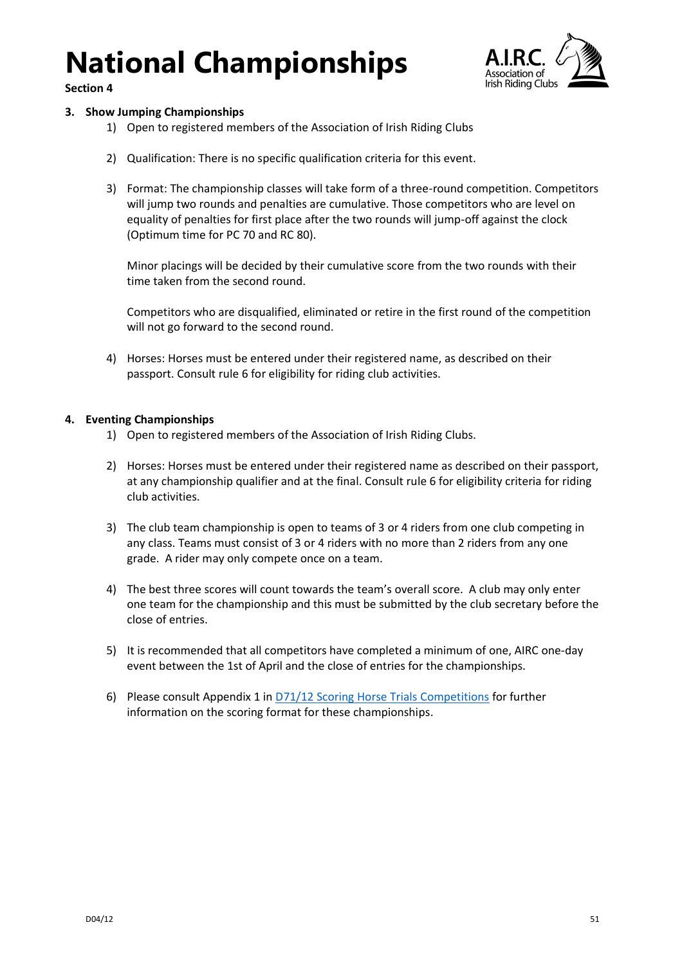

**Section 4**

### <span id="page-50-0"></span>**3. Show Jumping Championships**

- 1) Open to registered members of the Association of Irish Riding Clubs
- 2) Qualification: There is no specific qualification criteria for this event.
- 3) Format: The championship classes will take form of a three-round competition. Competitors will jump two rounds and penalties are cumulative. Those competitors who are level on equality of penalties for first place after the two rounds will jump-off against the clock (Optimum time for PC 70 and RC 80).

Minor placings will be decided by their cumulative score from the two rounds with their time taken from the second round.

Competitors who are disqualified, eliminated or retire in the first round of the competition will not go forward to the second round.

4) Horses: Horses must be entered under their registered name, as described on their passport. Consult rule 6 for eligibility for riding club activities.

### <span id="page-50-1"></span>**4. Eventing Championships**

- 1) Open to registered members of the Association of Irish Riding Clubs.
- 2) Horses: Horses must be entered under their registered name as described on their passport, at any championship qualifier and at the final. Consult rule 6 for eligibility criteria for riding club activities.
- 3) The club team championship is open to teams of 3 or 4 riders from one club competing in any class. Teams must consist of 3 or 4 riders with no more than 2 riders from any one grade. A rider may only compete once on a team.
- 4) The best three scores will count towards the team's overall score. A club may only enter one team for the championship and this must be submitted by the club secretary before the close of entries.
- 5) It is recommended that all competitors have completed a minimum of one, AIRC one-day event between the 1st of April and the close of entries for the championships.
- 6) Please consult Appendix 1 in [D71/12 Scoring Horse Trials Competitions](https://airc.ie/app/uploads/D71_12-Scoring-Horse-Trials-Competitions.pdf) for further information on the scoring format for these championships.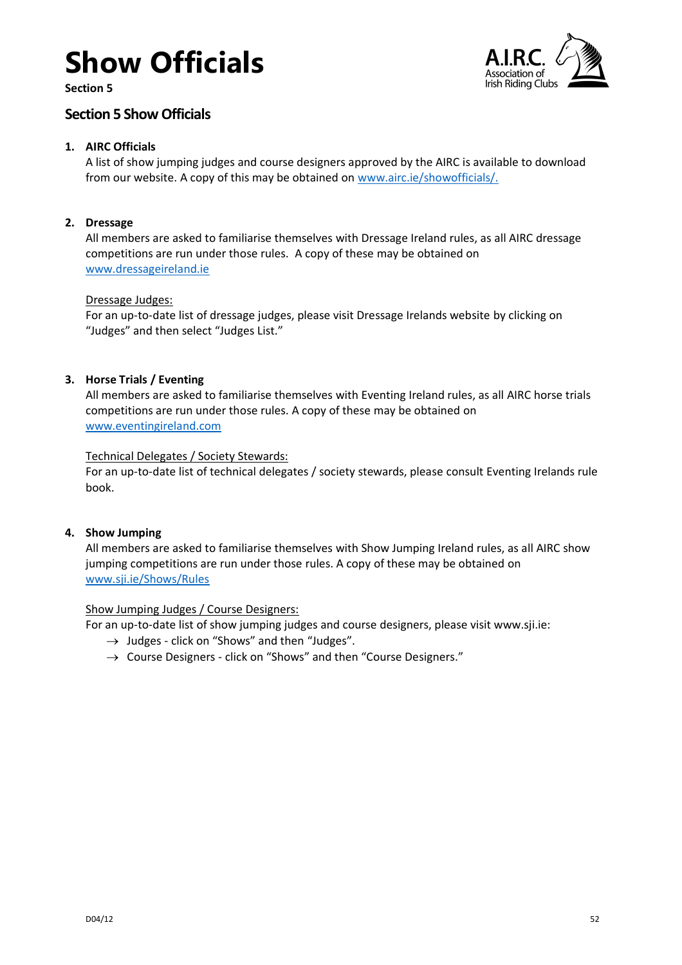# **Show Officials**

**Section 5**



### <span id="page-51-0"></span>**Section 5 Show Officials**

### <span id="page-51-1"></span>**1. AIRC Officials**

A list of show jumping judges and course designers approved by the AIRC is available to download from our website. A copy of this may be obtained on [www.airc.ie/showofficials/.](https://airc.ie/showofficials/)

### <span id="page-51-2"></span>**2. Dressage**

All members are asked to familiarise themselves with Dressage Ireland rules, as all AIRC dressage competitions are run under those rules. A copy of these may be obtained on [www.dressageireland.ie](https://www.dressageireland.ie/)

### Dressage Judges:

For an up-to-date list of dressage judges, please visit Dressage Irelands website by clicking on "Judges" and then select "Judges List."

### <span id="page-51-3"></span>**3. Horse Trials / Eventing**

All members are asked to familiarise themselves with Eventing Ireland rules, as all AIRC horse trials competitions are run under those rules. A copy of these may be obtained on [www.eventingireland.com](https://www.eventingireland.com/)

### Technical Delegates / Society Stewards:

For an up-to-date list of technical delegates / society stewards, please consult Eventing Irelands rule book.

### <span id="page-51-4"></span>**4. Show Jumping**

All members are asked to familiarise themselves with Show Jumping Ireland rules, as all AIRC show jumping competitions are run under those rules. A copy of these may be obtained on [www.sji.ie/Shows/Rules](http://www.sji.ie/Shows/Rules)

### Show Jumping Judges / Course Designers:

For an up-to-date list of show jumping judges and course designers, please visit www.sji.ie:

- $\rightarrow$  Judges click on "Shows" and then "Judges".
- $\rightarrow$  Course Designers click on "Shows" and then "Course Designers."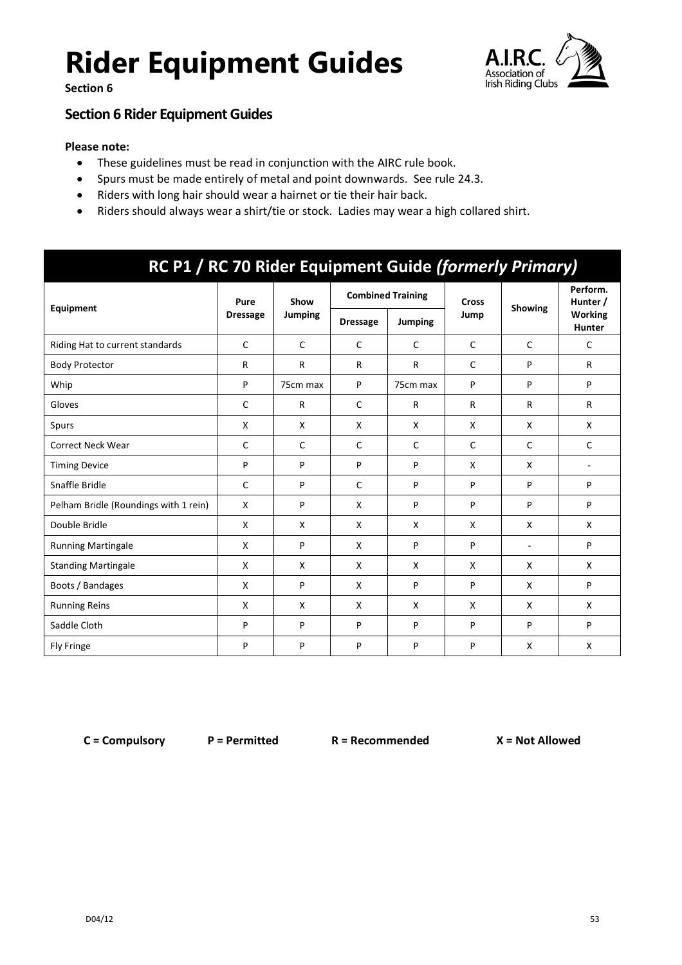**Section 6**



### <span id="page-52-0"></span>**Section 6 Rider Equipment Guides**

### **Please note:**

- These guidelines must be read in conjunction with the AIRC rule book.
- Spurs must be made entirely of metal and point downwards. See rule [24.3.](#page-31-4)
- Riders with long hair should wear a hairnet or tie their hair back.
- Riders should always wear a shirt/tie or stock. Ladies may wear a high collared shirt.

### **RC P1 / RC 70 Rider Equipment Guide** *(formerly Primary)*

|                                       | Pure            | Show           |                 | <b>Combined Training</b> | <b>Cross</b> |                | Perform.<br>Hunter /            |
|---------------------------------------|-----------------|----------------|-----------------|--------------------------|--------------|----------------|---------------------------------|
| Equipment                             | <b>Dressage</b> | <b>Jumping</b> | <b>Dressage</b> | Jumping                  | Jump         | Showing        | <b>Working</b><br><b>Hunter</b> |
| Riding Hat to current standards       | C               | $\mathsf{C}$   | $\mathsf{C}$    | $\mathsf{C}$             | $\mathsf{C}$ | $\mathsf{C}$   | $\mathsf{C}$                    |
| <b>Body Protector</b>                 | R               | $\mathsf{R}$   | $\mathsf{R}$    | R                        | $\mathsf{C}$ | P              | R                               |
| Whip                                  | P               | 75cm max       | P               | 75cm max                 | P            | P              | P                               |
| Gloves                                | C               | $\mathsf{R}$   | $\mathsf{C}$    | R                        | $\mathsf{R}$ | $\mathsf{R}$   | R                               |
| Spurs                                 | X               | X              | X               | X                        | X            | X              | X                               |
| <b>Correct Neck Wear</b>              | C               | $\mathsf C$    | $\mathsf{C}$    | $\mathsf{C}$             | $\mathsf{C}$ | C              | $\mathsf{C}$                    |
| <b>Timing Device</b>                  | P               | P              | P               | P                        | X            | X              | $\overline{\phantom{a}}$        |
| Snaffle Bridle                        | C               | P              | $\mathsf C$     | P                        | P            | P              | P                               |
| Pelham Bridle (Roundings with 1 rein) | X               | P              | $\mathsf{X}$    | P                        | P            | P              | P                               |
| Double Bridle                         | X               | X              | X               | X                        | X            | X              | X                               |
| <b>Running Martingale</b>             | X               | P              | X               | P                        | P            | $\blacksquare$ | P                               |
| <b>Standing Martingale</b>            | X               | X              | X               | X                        | X            | X              | X                               |
| Boots / Bandages                      | X               | P              | X               | P                        | P            | X              | P                               |
| <b>Running Reins</b>                  | X               | X              | X               | X                        | X            | X              | X                               |
| Saddle Cloth                          | P               | P              | P               | P                        | P            | P              | P                               |
| <b>Fly Fringe</b>                     | P               | P              | P               | P                        | P            | X              | X                               |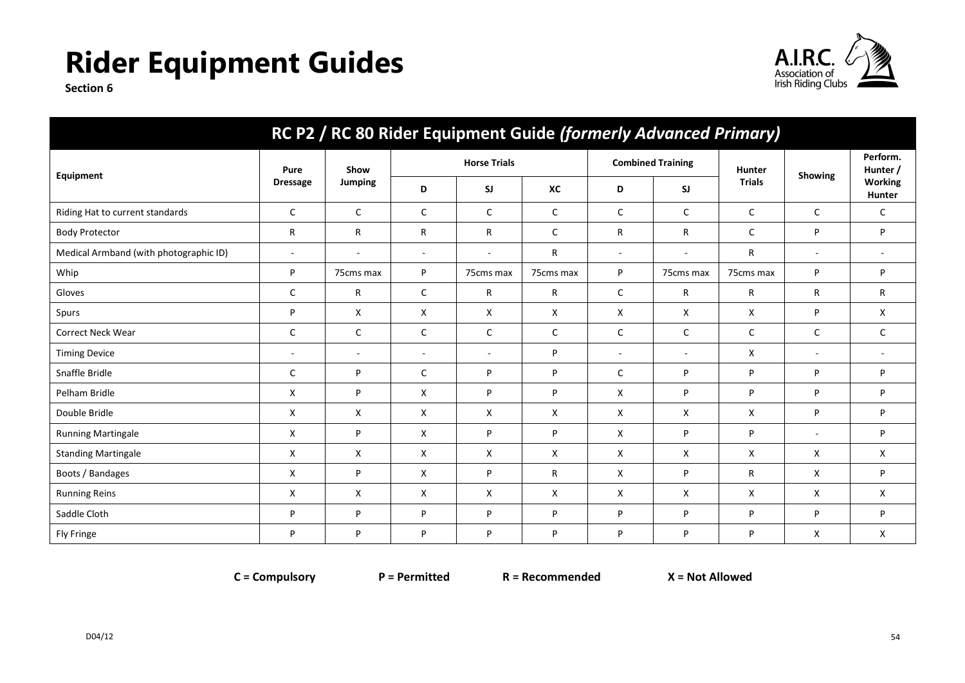

**Section 6**

| RC P2 / RC 80 Rider Equipment Guide (formerly Advanced Primary) |                          |                          |                          |                     |              |                          |                          |               |                          |                          |
|-----------------------------------------------------------------|--------------------------|--------------------------|--------------------------|---------------------|--------------|--------------------------|--------------------------|---------------|--------------------------|--------------------------|
|                                                                 | Pure                     | Show                     |                          | <b>Horse Trials</b> |              |                          | <b>Combined Training</b> | <b>Hunter</b> | Showing                  | Perform.<br>Hunter /     |
| Equipment                                                       | <b>Dressage</b>          | <b>Jumping</b>           | D                        | <b>SJ</b>           | XC           | D                        | SJ                       | <b>Trials</b> |                          | <b>Working</b><br>Hunter |
| Riding Hat to current standards                                 | $\mathsf{C}$             | $\mathsf{C}$             | C                        | C                   | $\mathsf{C}$ | C                        | C                        | $\mathsf{C}$  | C                        | C                        |
| <b>Body Protector</b>                                           | R                        | $\mathsf R$              | R                        | R                   | $\mathsf{C}$ | R                        | R                        | $\mathsf{C}$  | P                        | P                        |
| Medical Armband (with photographic ID)                          | $\overline{\phantom{a}}$ | $\overline{\phantom{a}}$ | $\overline{\phantom{a}}$ | $\sim$              | $\mathsf{R}$ | $\overline{\phantom{a}}$ | $\sim$                   | $\mathsf R$   | $\sim$                   | $\overline{\phantom{a}}$ |
| Whip                                                            | P                        | 75cms max                | P                        | 75cms max           | 75cms max    | P                        | 75cms max                | 75cms max     | P                        | P                        |
| Gloves                                                          | $\mathsf{C}$             | $\mathsf{R}$             | $\mathsf C$              | R                   | $\mathsf{R}$ | $\mathsf C$              | R                        | R             | R                        | R                        |
| Spurs                                                           | P                        | X                        | X                        | X                   | X            | X                        | X                        | x             | P                        | X                        |
| <b>Correct Neck Wear</b>                                        | C                        | $\mathsf{C}$             | $\mathsf C$              | C                   | $\mathsf C$  | $\mathsf{C}$             | C                        | $\mathsf{C}$  | C                        | C                        |
| <b>Timing Device</b>                                            | $\sim$                   | $\overline{\phantom{a}}$ | $\overline{\phantom{a}}$ | $\sim$              | P            | $\overline{\phantom{a}}$ | $\sim$                   | X             | $\overline{\phantom{a}}$ | $\overline{a}$           |
| Snaffle Bridle                                                  | $\mathsf{C}$             | P                        | C                        | P                   | P            | C                        | P                        | P             | P                        | P                        |
| Pelham Bridle                                                   | X                        | P                        | X                        | P                   | P            | X                        | P                        | P             | P                        | P                        |
| Double Bridle                                                   | X                        | X                        | X                        | X                   | X            | X                        | X                        | X             | P                        | P                        |
| <b>Running Martingale</b>                                       | X                        | P                        | X                        | P                   | P            | X                        | P                        | P             | $\overline{\phantom{a}}$ | P                        |
| <b>Standing Martingale</b>                                      | X                        | Χ                        | X                        | X                   | X            | X                        | X                        | X             | X                        | X                        |
| Boots / Bandages                                                | X                        | P                        | X                        | P                   | $\mathsf{R}$ | X                        | P                        | $\mathsf R$   | X                        | P                        |
| <b>Running Reins</b>                                            | X                        | X                        | X                        | X                   | X            | X                        | X                        | X             | x                        | X                        |
| Saddle Cloth                                                    | P                        | P                        | P                        | P                   | P            | P                        | P                        | P             | P                        | P                        |
| Fly Fringe                                                      | P                        | P                        | P                        | P                   | P            | P                        | P                        | P             | x                        | X                        |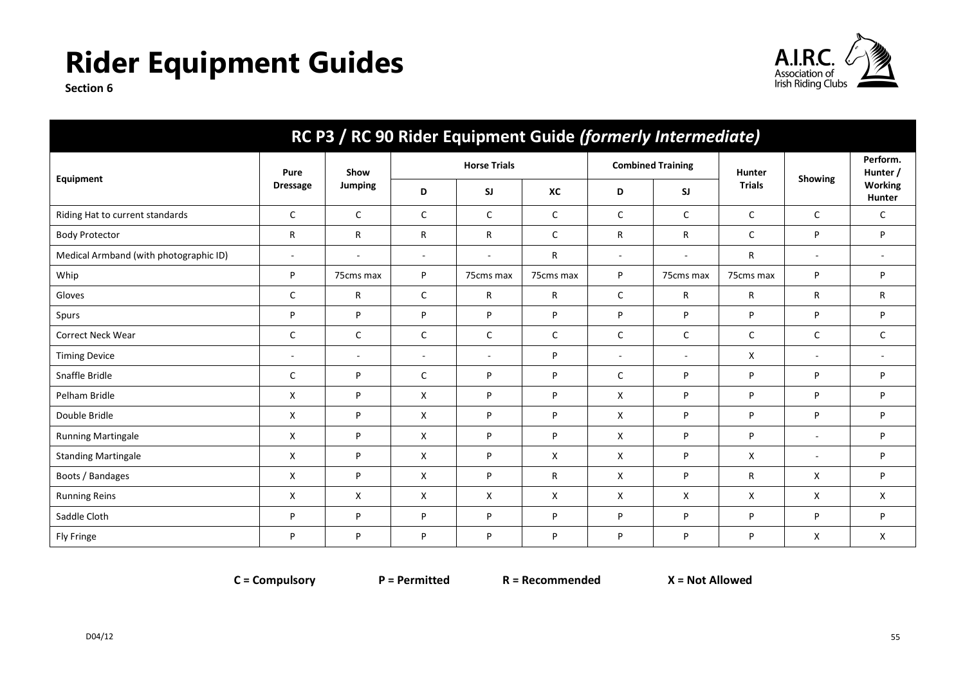

**Section 6**

| RC P3 / RC 90 Rider Equipment Guide (formerly Intermediate) |                          |                          |                          |                          |              |                |                          |               |              |                      |
|-------------------------------------------------------------|--------------------------|--------------------------|--------------------------|--------------------------|--------------|----------------|--------------------------|---------------|--------------|----------------------|
|                                                             | Pure                     | Show                     |                          | <b>Horse Trials</b>      |              |                | <b>Combined Training</b> | Hunter        | Showing      | Perform.<br>Hunter / |
| Equipment                                                   | <b>Dressage</b>          | Jumping                  | D                        | <b>SJ</b>                | XC           | D              | SI                       | <b>Trials</b> |              | Working<br>Hunter    |
| Riding Hat to current standards                             | C                        | $\mathsf{C}$             | C                        | C                        | $\mathsf{C}$ | C              | C                        | $\mathsf{C}$  | C            | C                    |
| <b>Body Protector</b>                                       | R                        | R                        | R                        | R                        | $\mathsf{C}$ | R              | R                        | $\mathsf{C}$  | P            | P                    |
| Medical Armband (with photographic ID)                      | $\overline{\phantom{a}}$ | $\overline{\phantom{a}}$ | $\sim$                   | $\overline{\phantom{a}}$ | R            | $\sim$         | $\sim$                   | R             | $\sim$       | $\sim$               |
| Whip                                                        | P                        | 75cms max                | P                        | 75cms max                | 75cms max    | P              | 75cms max                | 75cms max     | P            | P                    |
| Gloves                                                      | C                        | R                        | $\mathsf{C}$             | R                        | $\mathsf{R}$ | C              | R                        | $\mathsf{R}$  | R            | R.                   |
| Spurs                                                       | P                        | P                        | P                        | P                        | P            | P              | P                        | P             | P            | P                    |
| Correct Neck Wear                                           | $\mathsf{C}$             | $\mathsf{C}$             | $\mathsf{C}$             | C                        | $\mathsf{C}$ | C              | C                        | $\mathsf{C}$  | $\mathsf{C}$ | C                    |
| <b>Timing Device</b>                                        | $\overline{\phantom{a}}$ | $\overline{\phantom{a}}$ | $\overline{\phantom{a}}$ | $\overline{\phantom{a}}$ | <b>p</b>     | $\blacksquare$ | $\sim$                   | X             | $\sim$       | $\sim$               |
| Snaffle Bridle                                              | C                        | P                        | $\mathsf{C}$             | P                        | P            | C              | P                        | P             | P            | P                    |
| Pelham Bridle                                               | X                        | P                        | X                        | P                        | P            | X              | P                        | P             | P            | P                    |
| Double Bridle                                               | X                        | P                        | X                        | P                        | P            | X              | P                        | P             | P            | P                    |
| <b>Running Martingale</b>                                   | X                        | P                        | X                        | P                        | P            | X              | P                        | P             | $\sim$       | P                    |
| <b>Standing Martingale</b>                                  | X                        | P                        | X                        | P                        | X            | X              | P                        | X             |              | P                    |
| Boots / Bandages                                            | X                        | P                        | X                        | P                        | $\mathsf{R}$ | X              | P                        | $\mathsf{R}$  | X            | P                    |
| <b>Running Reins</b>                                        | X                        | X                        | X                        | X                        | X            | X              | X                        | X             | X            | X                    |
| Saddle Cloth                                                | P                        | P                        | P                        | P                        | <b>p</b>     | P              | P                        | P             | P            | P                    |
| Fly Fringe                                                  | P                        | P                        | P                        | P                        | P            | P              | P                        | P             | X            | X                    |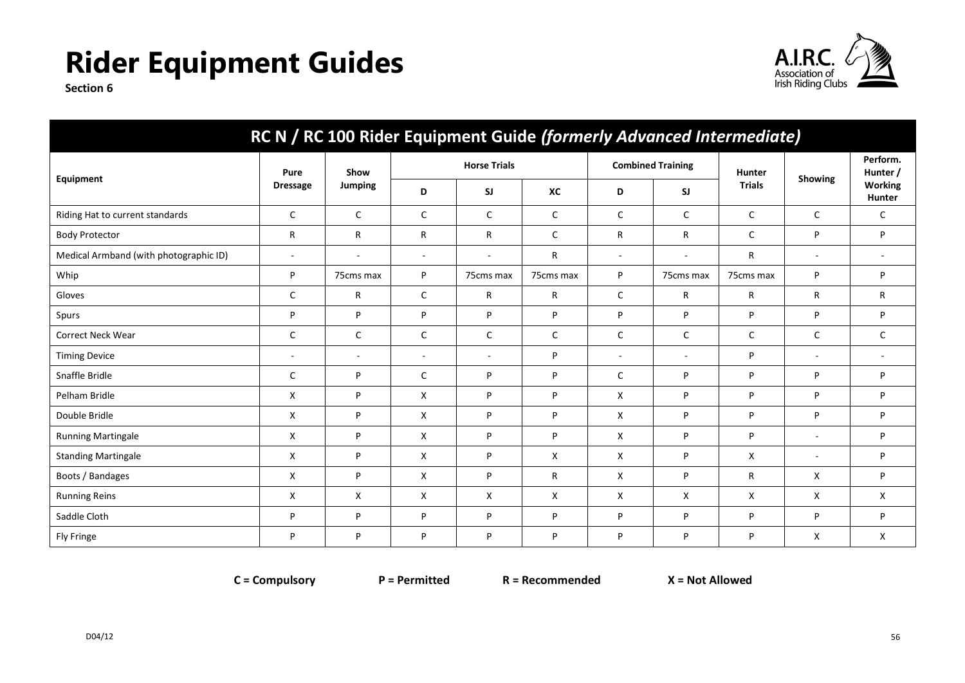

**Section 6**

| RC N / RC 100 Rider Equipment Guide (formerly Advanced Intermediate) |                          |                |                          |                     |              |                          |                          |               |                          |                          |
|----------------------------------------------------------------------|--------------------------|----------------|--------------------------|---------------------|--------------|--------------------------|--------------------------|---------------|--------------------------|--------------------------|
|                                                                      | Pure                     | Show           |                          | <b>Horse Trials</b> |              |                          | <b>Combined Training</b> | Hunter        | Showing                  | Perform.<br>Hunter /     |
| Equipment                                                            | <b>Dressage</b>          | <b>Jumping</b> | D                        | <b>SJ</b>           | XC           | D                        | SJ                       | <b>Trials</b> |                          | <b>Working</b><br>Hunter |
| Riding Hat to current standards                                      | C                        | $\mathsf{C}$   | C                        | $\mathsf{C}$        | $\mathsf{C}$ | C                        | $\mathsf{C}$             | $\mathsf{C}$  | C                        | $\mathsf{C}$             |
| <b>Body Protector</b>                                                | R                        | $\mathsf{R}$   | R                        | $\mathsf{R}$        | $\mathsf C$  | R                        | $\mathsf{R}$             | $\mathsf{C}$  | P                        | P                        |
| Medical Armband (with photographic ID)                               | $\sim$                   | $\sim$         | $\overline{\phantom{a}}$ | ÷.                  | R            | $\overline{\phantom{a}}$ | ä,                       | R             | $\overline{\phantom{a}}$ | $\sim$                   |
| Whip                                                                 | P                        | 75cms max      | P                        | 75cms max           | 75cms max    | P                        | 75cms max                | 75cms max     | P                        | P                        |
| Gloves                                                               | C                        | R              | C                        | R                   | R            | C                        | R                        | R             | R                        | R                        |
| Spurs                                                                | P                        | P              | P                        | P                   | P            | P                        | P                        | P             | P                        | P                        |
| Correct Neck Wear                                                    | C                        | C              | C                        | C                   | $\mathsf{C}$ | C                        | C                        | C             | C                        | C                        |
| <b>Timing Device</b>                                                 | $\overline{\phantom{a}}$ | $\overline{a}$ | $\overline{a}$           | $\sim$              | P            | $\sim$                   | ÷                        | P             | $\overline{a}$           | $\sim$                   |
| Snaffle Bridle                                                       | C                        | P              | $\mathsf{C}$             | P                   | P            | C                        | P                        | P             | P                        | P                        |
| Pelham Bridle                                                        | X                        | P              | X                        | P                   | P            | X                        | Þ                        | P             | P                        | P                        |
| Double Bridle                                                        | X                        | P              | X                        | P                   | P            | X                        | P                        | P             | P                        | P                        |
| <b>Running Martingale</b>                                            | X                        | P              | X                        | P                   | P            | X                        | P                        | P             | $\sim$                   | P                        |
| <b>Standing Martingale</b>                                           | X                        | P              | X                        | P                   | X            | X                        | P                        | X             | ٠                        | P                        |
| Boots / Bandages                                                     | X                        | P              | X                        | P                   | R            | X                        | P                        | R             | X                        | P                        |
| <b>Running Reins</b>                                                 | X                        | X              | X                        | X                   | X            | X                        | X                        | X             | X                        | X                        |
| Saddle Cloth                                                         | P                        | P              | P                        | P                   | P            | P                        | P                        | P             | P                        | P                        |
| Fly Fringe                                                           | P                        | P              | P                        | P                   | P            | P                        | P                        | P             | X                        | X                        |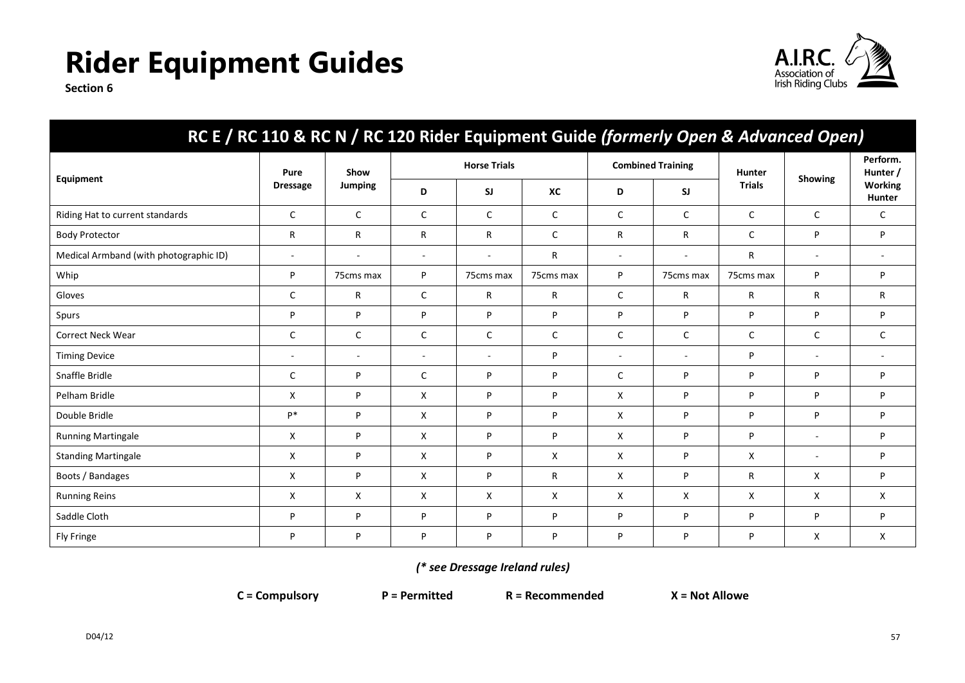

**Section 6**

| RC E / RC 110 & RC N / RC 120 Rider Equipment Guide (formerly Open & Advanced Open) |                 |                          |                     |           |              |                          |              |               |                          |                          |
|-------------------------------------------------------------------------------------|-----------------|--------------------------|---------------------|-----------|--------------|--------------------------|--------------|---------------|--------------------------|--------------------------|
|                                                                                     | Pure            | Show                     | <b>Horse Trials</b> |           |              | <b>Combined Training</b> |              | Hunter        |                          | Perform.<br>Hunter /     |
| Equipment                                                                           | <b>Dressage</b> | <b>Jumping</b>           | D                   | <b>SJ</b> | XC           | D                        | <b>SJ</b>    | <b>Trials</b> | <b>Showing</b>           | Working<br>Hunter        |
| Riding Hat to current standards                                                     | $\mathsf{C}$    | $\mathsf{C}$             | C                   | C         | $\mathsf{C}$ | $\mathsf{C}$             | $\mathsf{C}$ | $\mathsf{C}$  | $\mathsf{C}$             | C                        |
| <b>Body Protector</b>                                                               | R               | R                        | R                   | R         | $\mathsf C$  | R                        | R            | $\mathsf{C}$  | P                        | P                        |
| Medical Armband (with photographic ID)                                              | ٠               | $\overline{\phantom{a}}$ | $\sim$              | ٠         | R            | $\overline{\phantom{a}}$ |              | R             | $\sim$                   | $\overline{\phantom{a}}$ |
| Whip                                                                                | P               | 75cms max                | P                   | 75cms max | 75cms max    | P                        | 75cms max    | 75cms max     | P                        | P                        |
| Gloves                                                                              | C               | R                        | C                   | R         | R            | $\mathsf{C}$             | R            | R             | R                        | R                        |
| Spurs                                                                               | P               | P                        | P                   | P         | P            | P                        | P            | P             | P                        | P                        |
| Correct Neck Wear                                                                   | C               | C                        | C                   | C         | C            | C                        | C            | C             | C                        | C                        |
| <b>Timing Device</b>                                                                | $\overline{a}$  | $\sim$                   | $\sim$              | $\sim$    | P            | $\blacksquare$           |              | P             | $\sim$                   | $\overline{a}$           |
| Snaffle Bridle                                                                      | C               | P                        | C                   | P         | P            | C                        | P            | P             | P                        | P                        |
| Pelham Bridle                                                                       | X               | P                        | X                   | P         | P            | X                        | P            | P             | P                        | P                        |
| Double Bridle                                                                       | $P*$            | P                        | X                   | P         | P            | X                        | P            | P             | P                        | P                        |
| <b>Running Martingale</b>                                                           | X               | P                        | X                   | P         | P            | X                        | P            | P             | $\sim$                   | P                        |
| <b>Standing Martingale</b>                                                          | X               | P                        | X                   | P         | X            | X                        | P            | X             | $\overline{\phantom{a}}$ | P                        |
| Boots / Bandages                                                                    | X               | P                        | X                   | P         | R            | X                        | P            | R             | X                        | P                        |
| <b>Running Reins</b>                                                                | X               | X                        | X                   | X         | X            | X                        | X            | X             | X                        | Χ                        |
| Saddle Cloth                                                                        | P               | P                        | P                   | P         | P            | P                        | P            | P             | P                        | P                        |
| Fly Fringe                                                                          | P               | P                        | P                   | P         | P            | P                        | P            | P             | X                        | Χ                        |

### *(\* see Dressage Ireland rules)*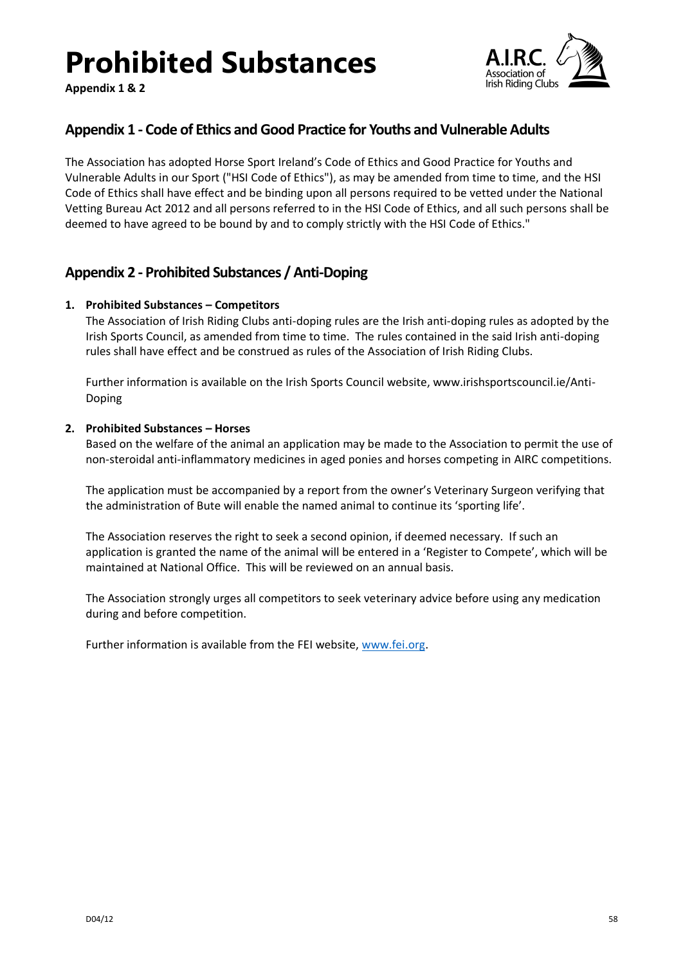# **Prohibited Substances**

**Appendix 1 & 2**



### <span id="page-57-0"></span>**Appendix 1 - Code of Ethics and Good Practice for Youths and Vulnerable Adults**

The Association has adopted Horse Sport Ireland's Code of Ethics and Good Practice for Youths and Vulnerable Adults in our Sport ("HSI Code of Ethics"), as may be amended from time to time, and the HSI Code of Ethics shall have effect and be binding upon all persons required to be vetted under the National Vetting Bureau Act 2012 and all persons referred to in the HSI Code of Ethics, and all such persons shall be deemed to have agreed to be bound by and to comply strictly with the HSI Code of Ethics."

### <span id="page-57-1"></span>**Appendix 2 - Prohibited Substances / Anti-Doping**

### <span id="page-57-2"></span>**1. Prohibited Substances – Competitors**

The Association of Irish Riding Clubs anti-doping rules are the Irish anti-doping rules as adopted by the Irish Sports Council, as amended from time to time. The rules contained in the said Irish anti-doping rules shall have effect and be construed as rules of the Association of Irish Riding Clubs.

Further information is available on the Irish Sports Council website, www.irishsportscouncil.ie/Anti-Doping

### <span id="page-57-3"></span>**2. Prohibited Substances – Horses**

Based on the welfare of the animal an application may be made to the Association to permit the use of non-steroidal anti-inflammatory medicines in aged ponies and horses competing in AIRC competitions.

The application must be accompanied by a report from the owner's Veterinary Surgeon verifying that the administration of Bute will enable the named animal to continue its 'sporting life'.

The Association reserves the right to seek a second opinion, if deemed necessary. If such an application is granted the name of the animal will be entered in a 'Register to Compete', which will be maintained at National Office. This will be reviewed on an annual basis.

The Association strongly urges all competitors to seek veterinary advice before using any medication during and before competition.

Further information is available from the FEI website, [www.fei.org.](http://www.fei.org/)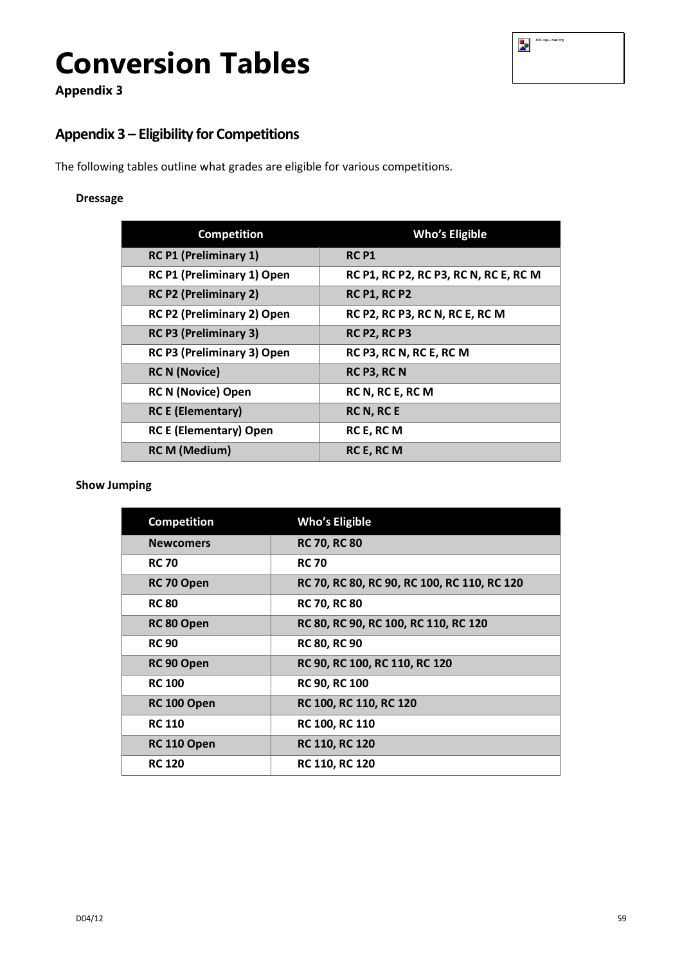| AIRC-logo-Linear-png |
|----------------------|
|                      |

### **Appendix 3**

### <span id="page-58-0"></span>**Appendix 3 – Eligibility for Competitions**

The following tables outline what grades are eligible for various competitions.

### **Dressage**

| <b>Competition</b>            | <b>Who's Eligible</b>                 |
|-------------------------------|---------------------------------------|
| <b>RC P1 (Preliminary 1)</b>  | <b>RC P1</b>                          |
| RC P1 (Preliminary 1) Open    | RC P1, RC P2, RC P3, RC N, RC E, RC M |
| <b>RC P2 (Preliminary 2)</b>  | <b>RC P1, RC P2</b>                   |
| RC P2 (Preliminary 2) Open    | RC P2, RC P3, RC N, RC E, RC M        |
| <b>RC P3 (Preliminary 3)</b>  | <b>RC P2, RC P3</b>                   |
| RC P3 (Preliminary 3) Open    | RC P3, RC N, RC E, RC M               |
| <b>RC N (Novice)</b>          | RC P3, RC N                           |
| <b>RC N (Novice) Open</b>     | RC N, RC E, RC M                      |
| <b>RC E (Elementary)</b>      | RC N, RC E                            |
| <b>RC E (Elementary) Open</b> | RC E, RC M                            |
| <b>RC M (Medium)</b>          | RC E, RC M                            |

### **Show Jumping**

| <b>Competition</b> | <b>Who's Eligible</b>                       |
|--------------------|---------------------------------------------|
| <b>Newcomers</b>   | <b>RC 70, RC 80</b>                         |
| <b>RC 70</b>       | <b>RC 70</b>                                |
| RC 70 Open         | RC 70, RC 80, RC 90, RC 100, RC 110, RC 120 |
| <b>RC 80</b>       | <b>RC 70, RC 80</b>                         |
| RC 80 Open         | RC 80, RC 90, RC 100, RC 110, RC 120        |
| <b>RC 90</b>       | <b>RC 80, RC 90</b>                         |
| RC 90 Open         | RC 90, RC 100, RC 110, RC 120               |
| <b>RC 100</b>      | <b>RC 90, RC 100</b>                        |
| RC 100 Open        | <b>RC 100, RC 110, RC 120</b>               |
| <b>RC 110</b>      | <b>RC 100, RC 110</b>                       |
| RC 110 Open        | <b>RC 110, RC 120</b>                       |
| <b>RC 120</b>      | <b>RC 110, RC 120</b>                       |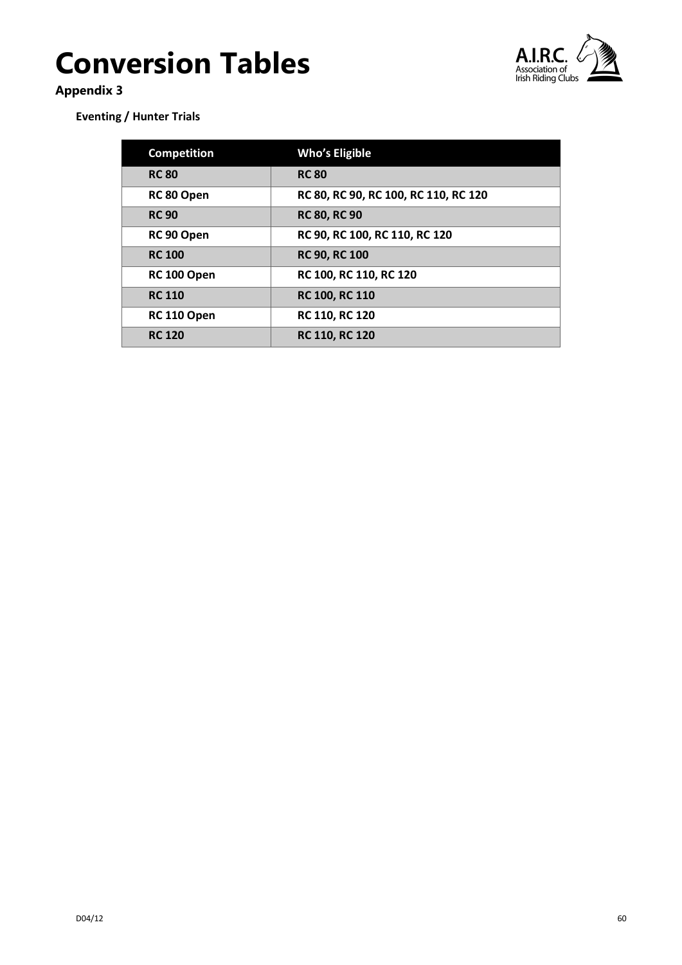

### **Appendix 3**

**Eventing / Hunter Trials**

| <b>Competition</b> | <b>Who's Eligible</b>                |
|--------------------|--------------------------------------|
| <b>RC 80</b>       | <b>RC 80</b>                         |
| RC 80 Open         | RC 80, RC 90, RC 100, RC 110, RC 120 |
| <b>RC 90</b>       | <b>RC 80, RC 90</b>                  |
| RC 90 Open         | RC 90, RC 100, RC 110, RC 120        |
| <b>RC 100</b>      | <b>RC 90, RC 100</b>                 |
| RC 100 Open        | RC 100, RC 110, RC 120               |
| <b>RC 110</b>      | RC 100, RC 110                       |
| RC 110 Open        | <b>RC 110, RC 120</b>                |
| <b>RC 120</b>      | <b>RC 110, RC 120</b>                |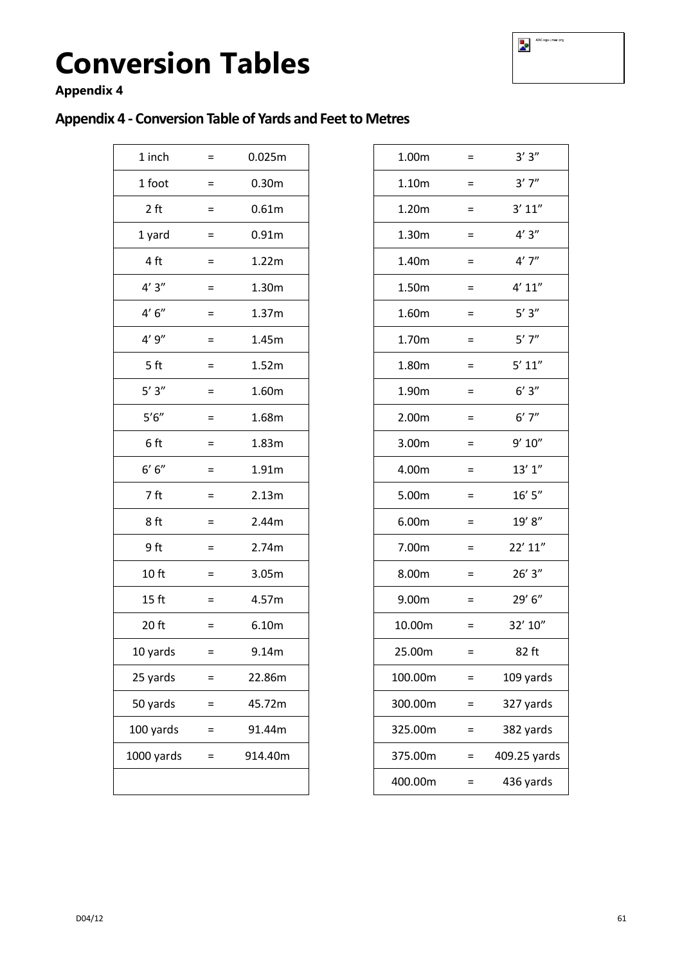### **Appendix 4**

### <span id="page-60-0"></span>**Appendix 4 - Conversion Table of Yards and Feet to Metres**

| 1 inch           | $\equiv$          | 0.025m            | 1.00m   | $\equiv$          | 3'3''       |
|------------------|-------------------|-------------------|---------|-------------------|-------------|
| 1 foot           | $=$               | 0.30 <sub>m</sub> | 1.10m   | $\equiv$          | 3'7''       |
| 2 ft             | Ξ                 | 0.61m             | 1.20m   | $=$               | 3' 11''     |
| 1 yard           | $\equiv$          | 0.91m             | 1.30m   | $\equiv$          | 4'3''       |
| 4 ft             | $\equiv$          | 1.22m             | 1.40m   | $\equiv$          | 4'7''       |
| 4'3''            | $\equiv$          | 1.30m             | 1.50m   | $\equiv$          | 4' 11''     |
| $4' 6''$         | $\equiv$          | 1.37m             | 1.60m   | $=$               | $5'3''$     |
| 4'9''            | $\equiv$          | 1.45m             | 1.70m   | $=$               | $5'$ 7"     |
| 5 ft             | $\qquad \qquad =$ | 1.52m             | 1.80m   | $\qquad \qquad =$ | 5' 11''     |
| $5'3''$          | $=$               | 1.60m             | 1.90m   | $\equiv$          | 6'3''       |
| $5'6''$          | $=$               | 1.68m             | 2.00m   | $\equiv$          | 6'7''       |
| 6ft              | $=$               | 1.83m             | 3.00m   | $=$               | 9' 10''     |
| $6' 6''$         | $=$               | 1.91m             | 4.00m   | $=$               | 13' 1''     |
| 7 ft             | $=$               | 2.13m             | 5.00m   | $\equiv$          | 16' 5"      |
| 8ft              | $=$               | 2.44m             | 6.00m   | $\equiv$          | 19' 8"      |
| 9ft              | $=$               | 2.74m             | 7.00m   | $=$               | 22' 11"     |
| 10 <sub>ft</sub> | $=$               | 3.05m             | 8.00m   | $=$               | 26'3''      |
| 15 <sub>ft</sub> | $\equiv$          | 4.57m             | 9.00m   | $=$               | 29' 6"      |
| 20 ft            | $\equiv$          | 6.10m             | 10.00m  | $\equiv$          | 32' 10"     |
| 10 yards         | $\equiv$          | 9.14m             | 25.00m  | $\equiv$          | 82 ft       |
| 25 yards         | $=$               | 22.86m            | 100.00m | $=$               | 109 yards   |
| 50 yards         | $=$               | 45.72m            | 300.00m | $\equiv$          | 327 yards   |
| 100 yards        | $=$               | 91.44m            | 325.00m | $\equiv$          | 382 yards   |
| 1000 yards       | $=$               | 914.40m           | 375.00m | $\equiv$          | 409.25 yard |
|                  |                   |                   | 400.00m | $\equiv$          | 436 yards   |
|                  |                   |                   |         |                   |             |

| 1 inch           | $=$      | 0.025m            | 1.00m   | $=$      | 3'3''        |
|------------------|----------|-------------------|---------|----------|--------------|
| 1 foot           | $=$      | 0.30m             | 1.10m   | $=$      | 3'7''        |
| 2 <sub>ft</sub>  | $\equiv$ | 0.61m             | 1.20m   | $\equiv$ | 3' 11''      |
| 1 yard           | $\equiv$ | 0.91 <sub>m</sub> | 1.30m   | $=$      | 4'3''        |
| 4 ft             | $=$      | 1.22m             | 1.40m   | $=$      | 4'7''        |
| 4'3''            | $=$      | 1.30m             | 1.50m   | $=$      | 4' 11''      |
| $4'6''$          | $=$      | 1.37m             | 1.60m   | $\equiv$ | $5'3''$      |
| 4'9''            | $=$      | 1.45m             | 1.70m   | $=$      | $5'$ 7"      |
| 5 ft             | $=$      | 1.52m             | 1.80m   | $=$      | $5'$ $11''$  |
| $5'3''$          | $=$      | 1.60m             | 1.90m   | $=$      | $6'3''$      |
| $5'6''$          | $\equiv$ | 1.68m             | 2.00m   | $\equiv$ | 6'7''        |
| 6 ft             | $=$      | 1.83m             | 3.00m   | $=$      | 9' 10''      |
| $6' 6''$         | $=$      | 1.91m             | 4.00m   | $=$      | 13'1''       |
| 7 ft             | $=$      | 2.13m             | 5.00m   | $=$      | 16' 5''      |
| 8 ft             | $=$      | 2.44m             | 6.00m   | $=$      | 19' 8"       |
| 9ft              | $=$      | 2.74m             | 7.00m   | $=$      | 22' 11"      |
| 10 <sub>ft</sub> | $\equiv$ | 3.05m             | 8.00m   | $\equiv$ | 26'3''       |
| 15 <sub>ft</sub> | $=$      | 4.57m             | 9.00m   | $=$      | 29' 6''      |
| 20 ft            | $=$      | 6.10m             | 10.00m  | $\equiv$ | 32' 10"      |
| 10 yards         | $=$      | 9.14m             | 25.00m  | Ξ.       | 82 ft        |
| 25 yards         | $=$      | 22.86m            | 100.00m | $=$      | 109 yards    |
| 50 yards         | $=$      | 45.72m            | 300.00m | $=$      | 327 yards    |
| 100 yards        | $=$      | 91.44m            | 325.00m | $=$      | 382 yards    |
| 1000 yards       | $=$      | 914.40m           | 375.00m | $=$      | 409.25 yards |
|                  |          |                   | 400.00m | $=$      | 436 yards    |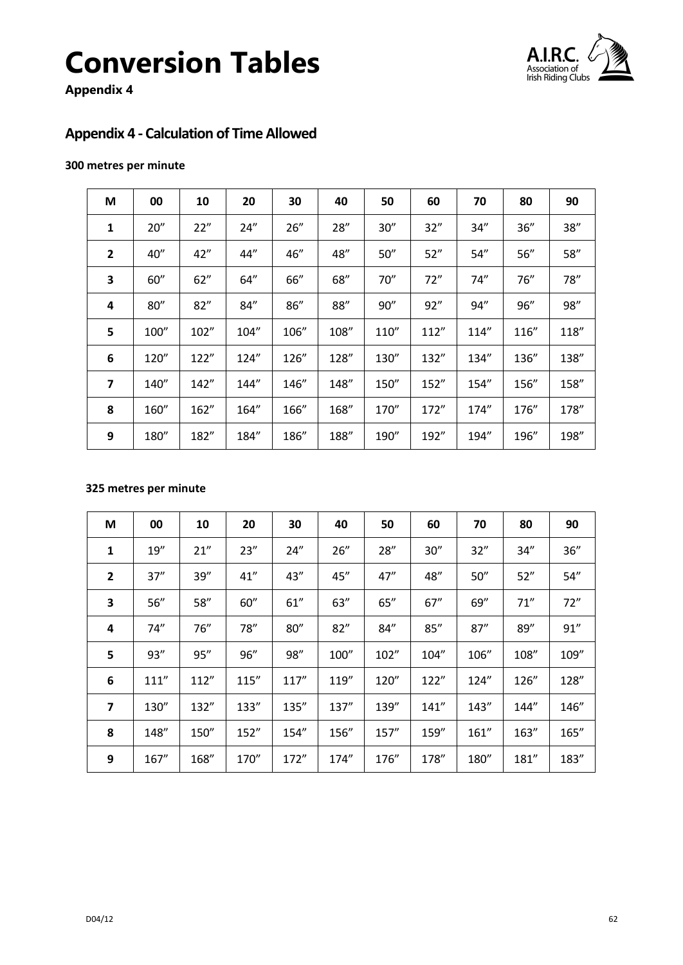

**Appendix 4**

### <span id="page-61-0"></span>**Appendix 4 - Calculation of Time Allowed**

### **300 metres per minute**

| M              | 00   | 10    | 20    | 30   | 40   | 50   | 60    | 70   | 80   | 90   |
|----------------|------|-------|-------|------|------|------|-------|------|------|------|
| 1              | 20'' | 22"   | 24''  | 26'' | 28"  | 30'' | 32''  | 34"  | 36'' | 38'' |
| $\overline{2}$ | 40"  | 42''  | 44"   | 46"  | 48"  | 50'' | 52"   | 54"  | 56'' | 58'' |
| 3              | 60"  | 62"   | 64''  | 66"  | 68"  | 70"  | 72"   | 74'' | 76"  | 78"  |
| 4              | 80'' | 82"   | 84"   | 86'' | 88"  | 90'' | 92"   | 94"  | 96"  | 98'' |
| 5              | 100" | 102"  | 104"  | 106" | 108" | 110" | 112"  | 114" | 116" | 118" |
| 6              | 120" | 122"  | 124'' | 126" | 128" | 130" | 132"  | 134" | 136" | 138" |
| $\overline{ }$ | 140" | 142"  | 144"  | 146" | 148" | 150" | 152'' | 154" | 156" | 158" |
| 8              | 160" | 162'' | 164"  | 166" | 168" | 170" | 172"  | 174" | 176" | 178" |
| 9              | 180" | 182"  | 184"  | 186" | 188" | 190" | 192"  | 194" | 196" | 198" |

### **325 metres per minute**

| M                       | 00    | 10    | 20    | 30    | 40    | 50   | 60    | 70    | 80    | 90    |
|-------------------------|-------|-------|-------|-------|-------|------|-------|-------|-------|-------|
| 1                       | 19''  | 21"   | 23''  | 24''  | 26''  | 28'' | 30''  | 32"   | 34''  | 36''  |
| $\overline{2}$          | 37''  | 39''  | 41"   | 43''  | 45"   | 47'' | 48"   | 50''  | 52"   | 54''  |
| 3                       | 56''  | 58"   | 60''  | 61''  | 63''  | 65'' | 67''  | 69"   | 71''  | 72"   |
| 4                       | 74''  | 76''  | 78''  | 80''  | 82"   | 84"  | 85''  | 87''  | 89"   | 91"   |
| 5                       | 93''  | 95"   | 96"   | 98"   | 100"  | 102" | 104"  | 106"  | 108"  | 109"  |
| 6                       | 111'' | 112"  | 115'' | 117'' | 119'' | 120" | 122"  | 124"  | 126"  | 128"  |
| $\overline{\mathbf{z}}$ | 130"  | 132"  | 133"  | 135"  | 137"  | 139" | 141'' | 143"  | 144"  | 146"  |
| 8                       | 148"  | 150'' | 152'' | 154"  | 156"  | 157" | 159'' | 161'' | 163'' | 165'' |
| 9                       | 167"  | 168"  | 170"  | 172"  | 174"  | 176" | 178"  | 180"  | 181"  | 183"  |